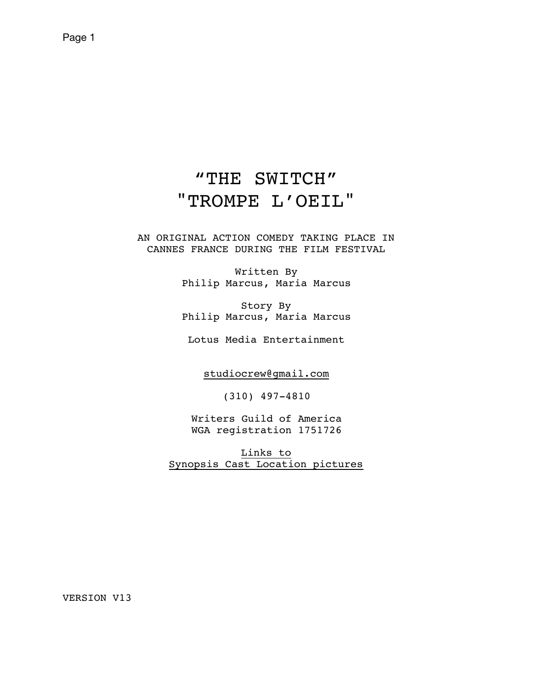# "THE SWITCH" "TROMPE L'OEIL"

AN ORIGINAL ACTION COMEDY TAKING PLACE IN CANNES FRANCE DURING THE FILM FESTIVAL

> Written By Philip Marcus, Maria Marcus

> Story By Philip Marcus, Maria Marcus

Lotus Media Entertainment

[studiocrew@gmail.com](mailto:studiocrew@gmail.com)

(310) 497-4810

Writers Guild of America WGA registration 1751726

[Links to](https://www.lotusmediaentertainment.com/the-switch) [Synopsis Cast Location pictures](https://www.lotusmediaentertainment.com/the-switch)

VERSION V13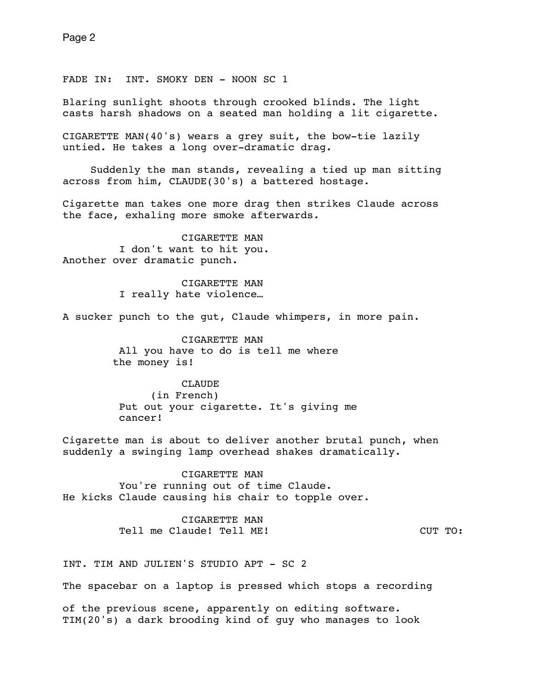FADE IN: INT. SMOKY DEN - NOON SC 1

Blaring sunlight shoots through crooked blinds. The light casts harsh shadows on a seated man holding a lit cigarette.

CIGARETTE MAN(40's) wears a grey suit, the bow-tie lazily untied. He takes a long over-dramatic drag.

Suddenly the man stands, revealing a tied up man sitting across from him, CLAUDE(30's) a battered hostage.

Cigarette man takes one more drag then strikes Claude across the face, exhaling more smoke afterwards.

 CIGARETTE MAN I don't want to hit you. Another over dramatic punch.

> CIGARETTE MAN I really hate violence…

A sucker punch to the gut, Claude whimpers, in more pain.

 CIGARETTE MAN All you have to do is tell me where the money is!

 CLAUDE (in French) Put out your cigarette. It's giving me cancer!

Cigarette man is about to deliver another brutal punch, when suddenly a swinging lamp overhead shakes dramatically.

 CIGARETTE MAN You're running out of time Claude. He kicks Claude causing his chair to topple over.

> CIGARETTE MAN Tell me Claude! Tell ME! The CUT TO:

INT. TIM AND JULIEN'S STUDIO APT - SC 2

The spacebar on a laptop is pressed which stops a recording

of the previous scene, apparently on editing software. TIM(20's) a dark brooding kind of guy who manages to look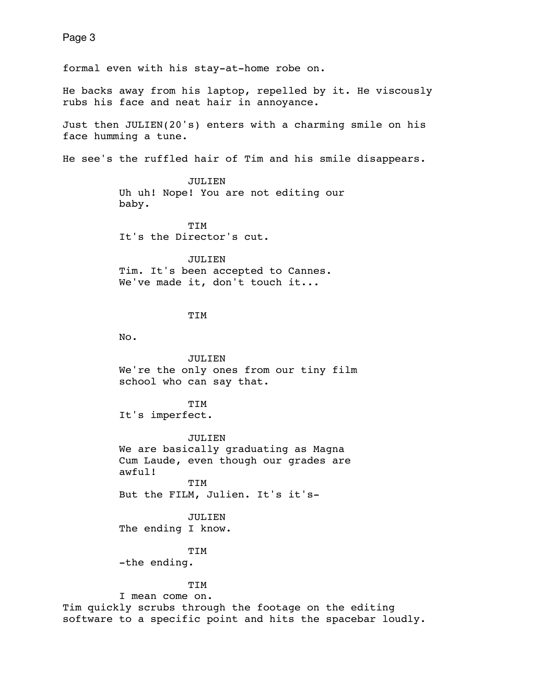formal even with his stay-at-home robe on.

He backs away from his laptop, repelled by it. He viscously rubs his face and neat hair in annoyance.

Just then JULIEN(20's) enters with a charming smile on his face humming a tune.

He see's the ruffled hair of Tim and his smile disappears.

 JULIEN Uh uh! Nope! You are not editing our baby.

 TIM It's the Director's cut.

JULIEN Tim. It's been accepted to Cannes. We've made it, don't touch it...

# TIM

No.

 JULIEN We're the only ones from our tiny film school who can say that.

TIM It's imperfect.

JULIEN We are basically graduating as Magna Cum Laude, even though our grades are awful! TIM

But the FILM, Julien. It's it's-

JULIEN The ending I know.

TIM

-the ending.

#### TIM

 I mean come on. Tim quickly scrubs through the footage on the editing software to a specific point and hits the spacebar loudly.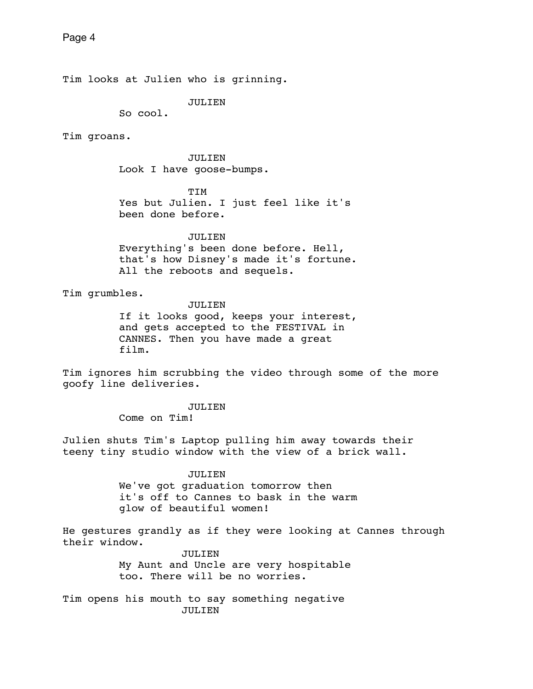Tim looks at Julien who is grinning.

JULIEN

So cool.

Tim groans.

 JULIEN Look I have goose-bumps.

TIM Yes but Julien. I just feel like it's been done before.

JULIEN

 Everything's been done before. Hell, that's how Disney's made it's fortune. All the reboots and sequels.

Tim grumbles.

 JULIEN If it looks good, keeps your interest, and gets accepted to the FESTIVAL in CANNES. Then you have made a great film.

Tim ignores him scrubbing the video through some of the more goofy line deliveries.

> JULIEN Come on Tim!

Julien shuts Tim's Laptop pulling him away towards their teeny tiny studio window with the view of a brick wall.

> JULIEN We've got graduation tomorrow then it's off to Cannes to bask in the warm glow of beautiful women!

He gestures grandly as if they were looking at Cannes through their window.

> JULIEN My Aunt and Uncle are very hospitable too. There will be no worries.

Tim opens his mouth to say something negative JULIEN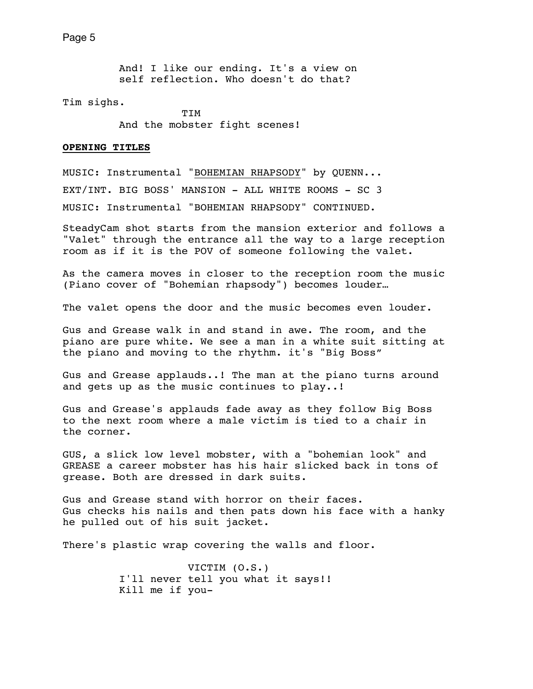And! I like our ending. It's a view on self reflection. Who doesn't do that?

Tim sighs.

 TIM And the mobster fight scenes!

## **OPENING TITLES**

MUSIC: Instrumental ["BOHEMIAN RHAPSODY"](https://www.youtube.com/watch?v=p3K5DAWIDEc) by QUENN... EXT/INT. BIG BOSS' MANSION - ALL WHITE ROOMS - SC 3 MUSIC: Instrumental "BOHEMIAN RHAPSODY" CONTINUED.

SteadyCam shot starts from the mansion exterior and follows a "Valet" through the entrance all the way to a large reception room as if it is the POV of someone following the valet.

As the camera moves in closer to the reception room the music (Piano cover of "Bohemian rhapsody") becomes louder…

The valet opens the door and the music becomes even louder.

Gus and Grease walk in and stand in awe. The room, and the piano are pure white. We see a man in a white suit sitting at the piano and moving to the rhythm. it's "Big Boss"

Gus and Grease applauds..! The man at the piano turns around and gets up as the music continues to play..!

Gus and Grease's applauds fade away as they follow Big Boss to the next room where a male victim is tied to a chair in the corner.

GUS, a slick low level mobster, with a "bohemian look" and GREASE a career mobster has his hair slicked back in tons of grease. Both are dressed in dark suits.

Gus and Grease stand with horror on their faces. Gus checks his nails and then pats down his face with a hanky he pulled out of his suit jacket.

There's plastic wrap covering the walls and floor.

 VICTIM (O.S.) I'll never tell you what it says!! Kill me if you-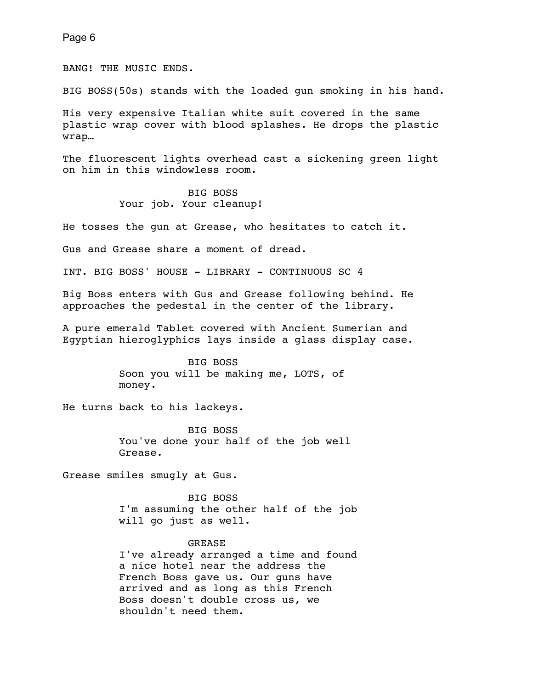BANG! THE MUSIC ENDS.

BIG BOSS(50s) stands with the loaded gun smoking in his hand.

His very expensive Italian white suit covered in the same plastic wrap cover with blood splashes. He drops the plastic wrap…

The fluorescent lights overhead cast a sickening green light on him in this windowless room.

# BIG BOSS Your job. Your cleanup!

He tosses the gun at Grease, who hesitates to catch it.

Gus and Grease share a moment of dread.

INT. BIG BOSS' HOUSE - LIBRARY - CONTINUOUS SC 4

Big Boss enters with Gus and Grease following behind. He approaches the pedestal in the center of the library.

A pure emerald Tablet covered with Ancient Sumerian and Egyptian hieroglyphics lays inside a glass display case.

> BIG BOSS Soon you will be making me, LOTS, of money.

He turns back to his lackeys.

 BIG BOSS You've done your half of the job well Grease.

Grease smiles smugly at Gus.

 BIG BOSS I'm assuming the other half of the job will go just as well.

## GREASE

 I've already arranged a time and found a nice hotel near the address the French Boss gave us. Our guns have arrived and as long as this French Boss doesn't double cross us, we shouldn't need them.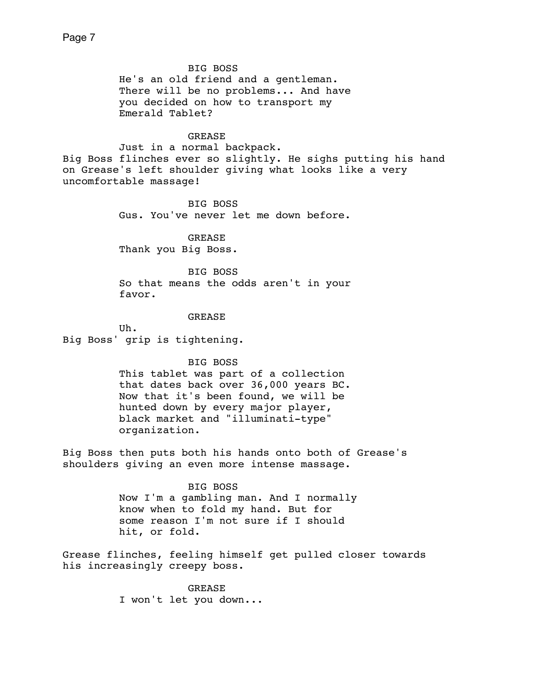# BIG BOSS

 He's an old friend and a gentleman. There will be no problems... And have you decided on how to transport my Emerald Tablet?

# GREASE

 Just in a normal backpack. Big Boss flinches ever so slightly. He sighs putting his hand on Grease's left shoulder giving what looks like a very uncomfortable massage!

> BIG BOSS Gus. You've never let me down before.

 GREASE Thank you Big Boss.

 BIG BOSS So that means the odds aren't in your favor.

# GREASE

 Uh. Big Boss' grip is tightening.

BIG BOSS

 This tablet was part of a collection that dates back over 36,000 years BC. Now that it's been found, we will be hunted down by every major player, black market and "illuminati-type" organization.

Big Boss then puts both his hands onto both of Grease's shoulders giving an even more intense massage.

## BIG BOSS

 Now I'm a gambling man. And I normally know when to fold my hand. But for some reason I'm not sure if I should hit, or fold.

Grease flinches, feeling himself get pulled closer towards his increasingly creepy boss.

> GREASE I won't let you down...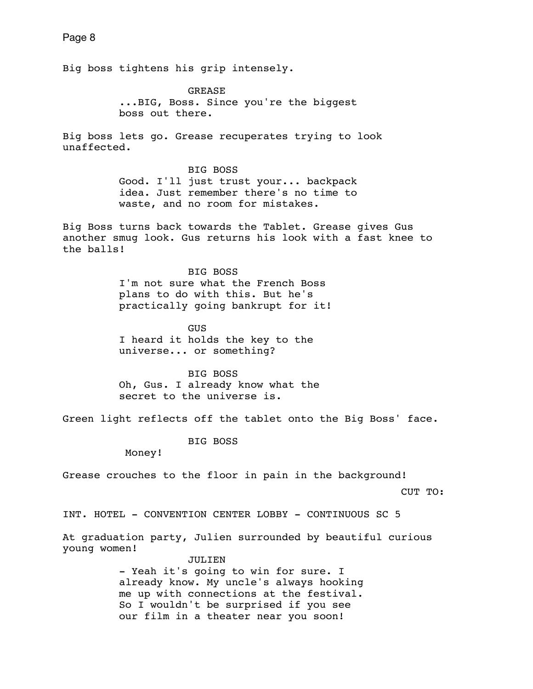Big boss tightens his grip intensely. GREASE ...BIG, Boss. Since you're the biggest boss out there. Big boss lets go. Grease recuperates trying to look unaffected. BIG BOSS Good. I'll just trust your... backpack idea. Just remember there's no time to waste, and no room for mistakes. Big Boss turns back towards the Tablet. Grease gives Gus another smug look. Gus returns his look with a fast knee to the balls! BIG BOSS I'm not sure what the French Boss plans to do with this. But he's practically going bankrupt for it! **GUS GUS**  I heard it holds the key to the universe... or something? BIG BOSS Oh, Gus. I already know what the secret to the universe is. Green light reflects off the tablet onto the Big Boss' face. BIG BOSS Money! Grease crouches to the floor in pain in the background! CUT TO:

INT. HOTEL - CONVENTION CENTER LOBBY - CONTINUOUS SC 5

At graduation party, Julien surrounded by beautiful curious young women!

> JULIEN - Yeah it's going to win for sure. I already know. My uncle's always hooking me up with connections at the festival. So I wouldn't be surprised if you see our film in a theater near you soon!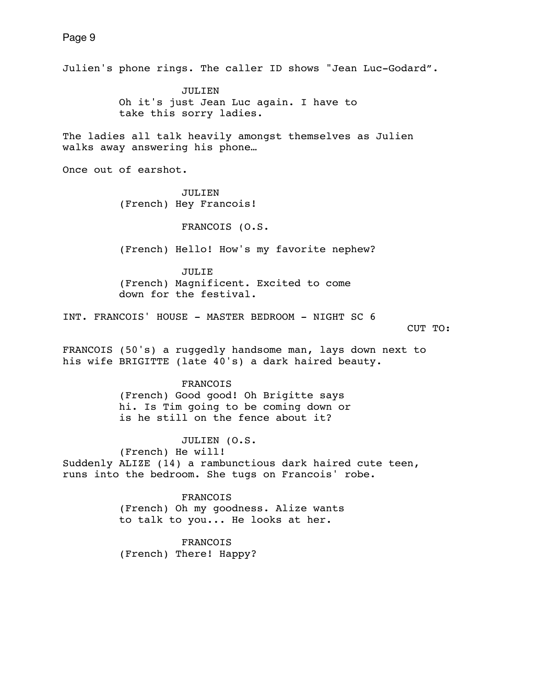Julien's phone rings. The caller ID shows "Jean Luc-Godard". JULIEN Oh it's just Jean Luc again. I have to take this sorry ladies. The ladies all talk heavily amongst themselves as Julien walks away answering his phone… Once out of earshot. JULIEN (French) Hey Francois! FRANCOIS (O.S. (French) Hello! How's my favorite nephew? JULIE (French) Magnificent. Excited to come down for the festival. INT. FRANCOIS' HOUSE - MASTER BEDROOM - NIGHT SC 6 CUT TO: FRANCOIS (50's) a ruggedly handsome man, lays down next to his wife BRIGITTE (late 40's) a dark haired beauty. FRANCOIS (French) Good good! Oh Brigitte says hi. Is Tim going to be coming down or is he still on the fence about it? JULIEN (O.S. (French) He will! Suddenly ALIZE (14) a rambunctious dark haired cute teen, runs into the bedroom. She tugs on Francois' robe. FRANCOIS (French) Oh my goodness. Alize wants to talk to you... He looks at her. FRANCOIS (French) There! Happy?

Page 9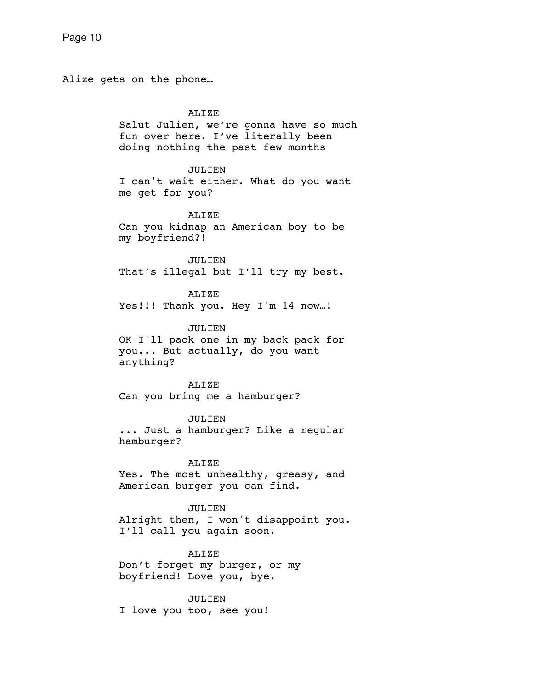Alize gets on the phone…

## ALIZE

 Salut Julien, we're gonna have so much fun over here. I've literally been doing nothing the past few months

## JULIEN

 I can't wait either. What do you want me get for you?

#### ALIZE

 Can you kidnap an American boy to be my boyfriend?!

JULIEN. That's illegal but I'll try my best.

ALIZE Yes!!! Thank you. Hey I'm 14 now...!

#### JULIEN

 OK I'll pack one in my back pack for you... But actually, do you want anything?

 ALIZE Can you bring me a hamburger?

# JULIEN

 ... Just a hamburger? Like a regular hamburger?

# ALIZE Yes. The most unhealthy, greasy, and American burger you can find.

 JULIEN Alright then, I won't disappoint you. I'll call you again soon.

#### ALIZE

 Don't forget my burger, or my boyfriend! Love you, bye.

 JULIEN I love you too, see you!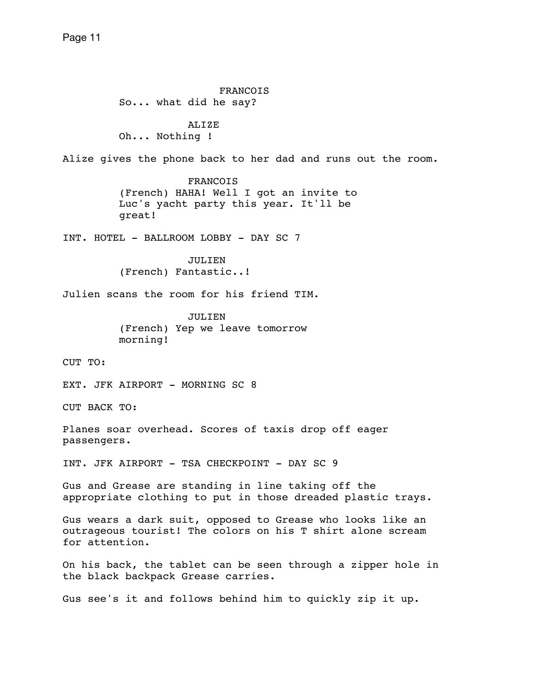FRANCOIS So... what did he say? ALIZE Oh... Nothing ! Alize gives the phone back to her dad and runs out the room. FRANCOIS (French) HAHA! Well I got an invite to Luc's yacht party this year. It'll be great! INT. HOTEL - BALLROOM LOBBY - DAY SC 7 JULIEN. (French) Fantastic..! Julien scans the room for his friend TIM. JULIEN (French) Yep we leave tomorrow morning! CUT TO: EXT. JFK AIRPORT - MORNING SC 8 CUT BACK TO: Planes soar overhead. Scores of taxis drop off eager passengers. INT. JFK AIRPORT - TSA CHECKPOINT - DAY SC 9 Gus and Grease are standing in line taking off the appropriate clothing to put in those dreaded plastic trays. Gus wears a dark suit, opposed to Grease who looks like an outrageous tourist! The colors on his T shirt alone scream for attention. On his back, the tablet can be seen through a zipper hole in the black backpack Grease carries. Gus see's it and follows behind him to quickly zip it up.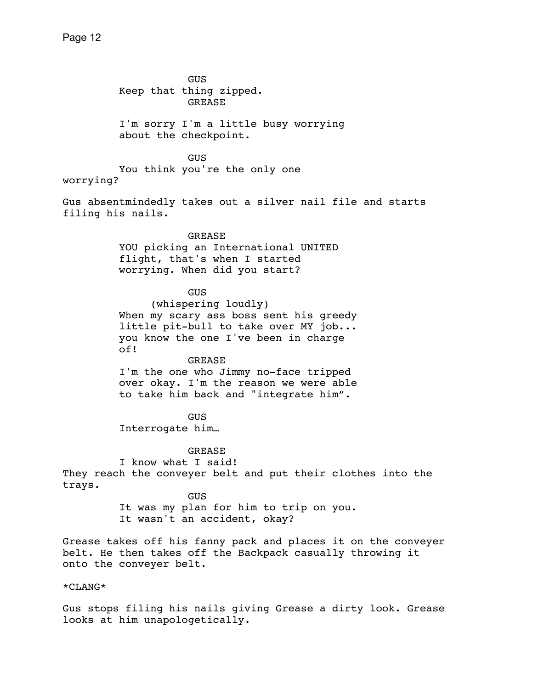GUS Keep that thing zipped. GREASE I'm sorry I'm a little busy worrying about the checkpoint. GUS You think you're the only one worrying? Gus absentmindedly takes out a silver nail file and starts filing his nails. GREASE YOU picking an International UNITED flight, that's when I started worrying. When did you start? GUS (whispering loudly) When my scary ass boss sent his greedy little pit-bull to take over MY job... you know the one I've been in charge of! GREASE I'm the one who Jimmy no-face tripped over okay. I'm the reason we were able to take him back and "integrate him". **GUS GUS**  Interrogate him… **GREASE**  I know what I said! They reach the conveyer belt and put their clothes into the trays. **GUS GUS**  It was my plan for him to trip on you. It wasn't an accident, okay? Grease takes off his fanny pack and places it on the conveyer belt. He then takes off the Backpack casually throwing it onto the conveyer belt. \*CLANG\*

Gus stops filing his nails giving Grease a dirty look. Grease looks at him unapologetically.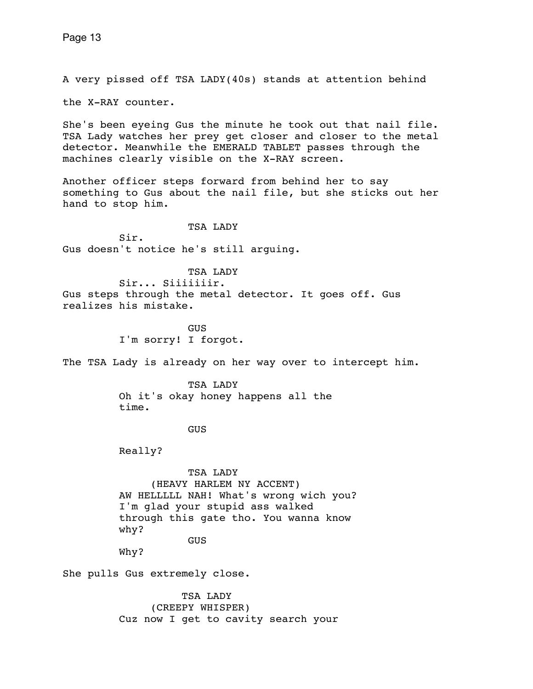A very pissed off TSA LADY(40s) stands at attention behind

the X-RAY counter.

She's been eyeing Gus the minute he took out that nail file. TSA Lady watches her prey get closer and closer to the metal detector. Meanwhile the EMERALD TABLET passes through the machines clearly visible on the X-RAY screen.

Another officer steps forward from behind her to say something to Gus about the nail file, but she sticks out her hand to stop him.

## TSA LADY

 Sir. Gus doesn't notice he's still arguing.

 TSA LADY Sir... Siiiiiiir. Gus steps through the metal detector. It goes off. Gus realizes his mistake.

**GUS GUS** I'm sorry! I forgot.

The TSA Lady is already on her way over to intercept him.

 TSA LADY Oh it's okay honey happens all the time.

GUS

Really?

 TSA LADY (HEAVY HARLEM NY ACCENT) AW HELLLLL NAH! What's wrong wich you? I'm glad your stupid ass walked through this gate tho. You wanna know why? GUS

Why?

She pulls Gus extremely close.

 TSA LADY (CREEPY WHISPER) Cuz now I get to cavity search your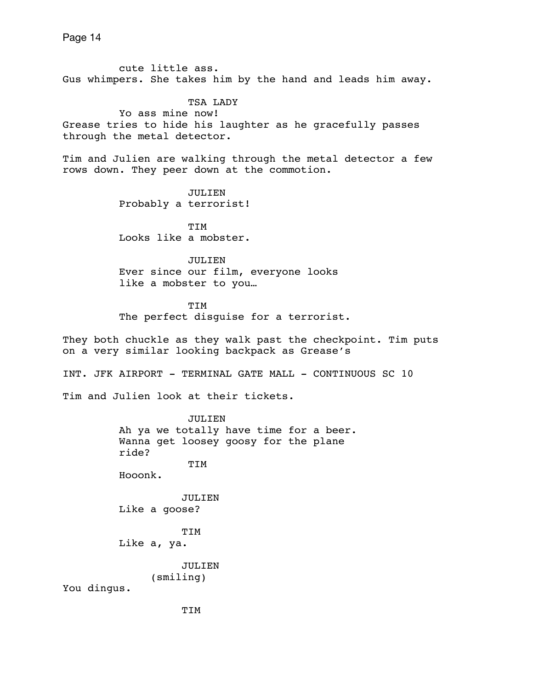Page 14 cute little ass. Gus whimpers. She takes him by the hand and leads him away. TSA LADY Yo ass mine now! Grease tries to hide his laughter as he gracefully passes through the metal detector. Tim and Julien are walking through the metal detector a few rows down. They peer down at the commotion. JULIEN Probably a terrorist! TIM Looks like a mobster. JULIEN Ever since our film, everyone looks like a mobster to you… TIM The perfect disguise for a terrorist. They both chuckle as they walk past the checkpoint. Tim puts on a very similar looking backpack as Grease's INT. JFK AIRPORT - TERMINAL GATE MALL - CONTINUOUS SC 10 Tim and Julien look at their tickets. JULIEN Ah ya we totally have time for a beer. Wanna get loosey goosy for the plane ride? TIM Hooonk. JULIEN Like a goose?

> TIM Like a, ya.

> > JULIEN (smiling)

You dingus.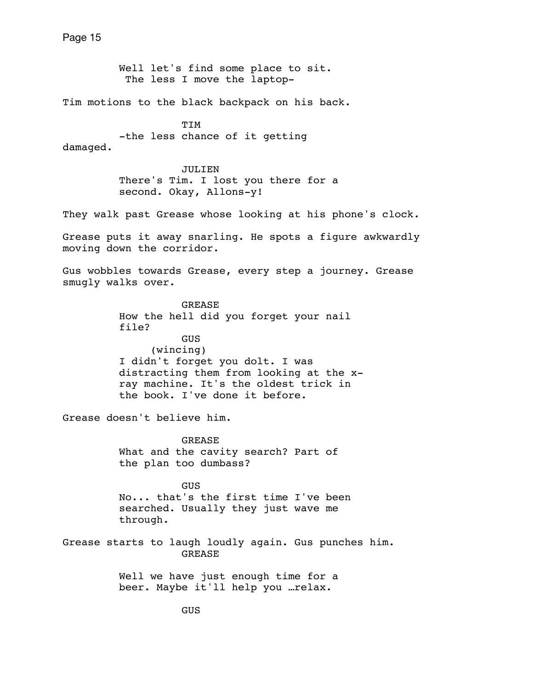Well let's find some place to sit. The less I move the laptop-

Tim motions to the black backpack on his back.

 TIM -the less chance of it getting

damaged.

 JULIEN There's Tim. I lost you there for a second. Okay, Allons-y!

They walk past Grease whose looking at his phone's clock.

Grease puts it away snarling. He spots a figure awkwardly moving down the corridor.

Gus wobbles towards Grease, every step a journey. Grease smugly walks over.

> GREASE How the hell did you forget your nail file? GUS (wincing) I didn't forget you dolt. I was distracting them from looking at the x ray machine. It's the oldest trick in the book. I've done it before.

Grease doesn't believe him.

 GREASE What and the cavity search? Part of the plan too dumbass?

**GUS GUS**  No... that's the first time I've been searched. Usually they just wave me through.

Grease starts to laugh loudly again. Gus punches him. GREASE

> Well we have just enough time for a beer. Maybe it'll help you …relax.

> > GUS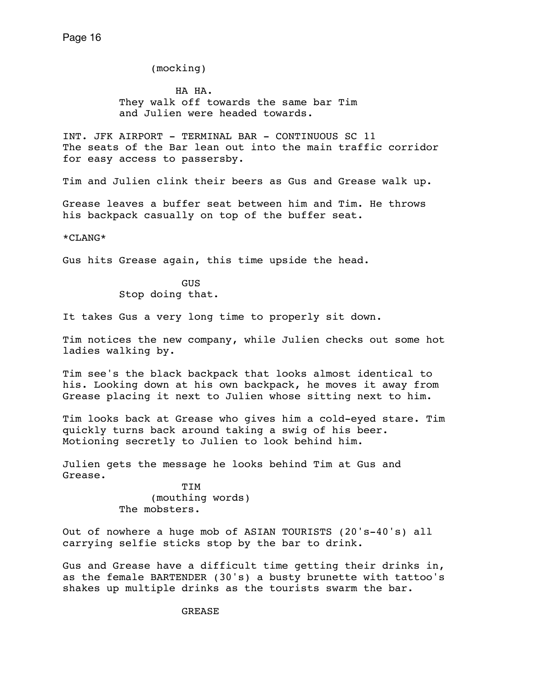(mocking)

 HA HA. They walk off towards the same bar Tim and Julien were headed towards.

INT. JFK AIRPORT - TERMINAL BAR - CONTINUOUS SC 11 The seats of the Bar lean out into the main traffic corridor for easy access to passersby.

Tim and Julien clink their beers as Gus and Grease walk up.

Grease leaves a buffer seat between him and Tim. He throws his backpack casually on top of the buffer seat.

\*CLANG\*

Gus hits Grease again, this time upside the head.

 GUS Stop doing that.

It takes Gus a very long time to properly sit down.

Tim notices the new company, while Julien checks out some hot ladies walking by.

Tim see's the black backpack that looks almost identical to his. Looking down at his own backpack, he moves it away from Grease placing it next to Julien whose sitting next to him.

Tim looks back at Grease who gives him a cold-eyed stare. Tim quickly turns back around taking a swig of his beer. Motioning secretly to Julien to look behind him.

Julien gets the message he looks behind Tim at Gus and Grease.

 TIM (mouthing words) The mobsters.

Out of nowhere a huge mob of ASIAN TOURISTS (20's-40's) all carrying selfie sticks stop by the bar to drink.

Gus and Grease have a difficult time getting their drinks in, as the female BARTENDER (30's) a busty brunette with tattoo's shakes up multiple drinks as the tourists swarm the bar.

GREASE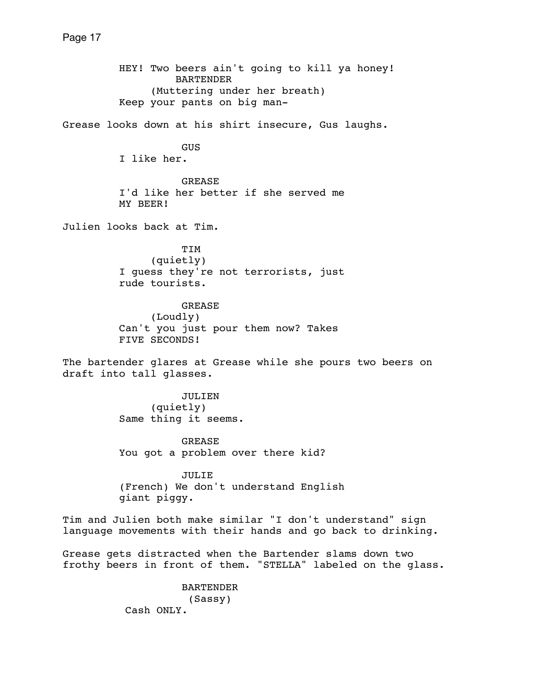HEY! Two beers ain't going to kill ya honey! BARTENDER (Muttering under her breath) Keep your pants on big man-Grease looks down at his shirt insecure, Gus laughs. GUS I like her. GREASE I'd like her better if she served me MY BEER! Julien looks back at Tim. TIM (quietly) I guess they're not terrorists, just rude tourists. GREASE (Loudly) Can't you just pour them now? Takes FIVE SECONDS! The bartender glares at Grease while she pours two beers on draft into tall glasses. JULIEN (quietly) Same thing it seems. GREASE You got a problem over there kid? JULIE (French) We don't understand English giant piggy. Tim and Julien both make similar "I don't understand" sign language movements with their hands and go back to drinking. Grease gets distracted when the Bartender slams down two frothy beers in front of them. "STELLA" labeled on the glass. BARTENDER (Sassy)

Cash ONLY.

# Page 17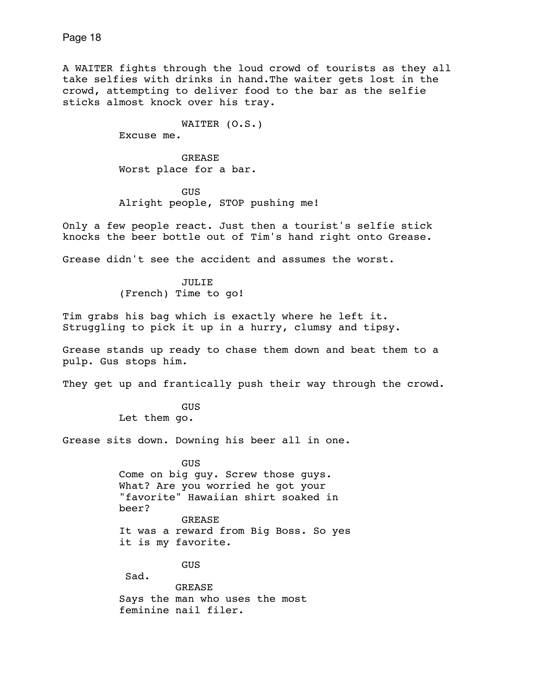A WAITER fights through the loud crowd of tourists as they all take selfies with drinks in hand.The waiter gets lost in the crowd, attempting to deliver food to the bar as the selfie sticks almost knock over his tray.

WAITER (O.S.)

Excuse me.

 GREASE Worst place for a bar.

 GUS Alright people, STOP pushing me!

Only a few people react. Just then a tourist's selfie stick knocks the beer bottle out of Tim's hand right onto Grease.

Grease didn't see the accident and assumes the worst.

 JULIE (French) Time to go!

Tim grabs his bag which is exactly where he left it. Struggling to pick it up in a hurry, clumsy and tipsy.

Grease stands up ready to chase them down and beat them to a pulp. Gus stops him.

They get up and frantically push their way through the crowd.

 GUS Let them go.

Grease sits down. Downing his beer all in one.

 GUS Come on big guy. Screw those guys. What? Are you worried he got your "favorite" Hawaiian shirt soaked in beer? GREASE It was a reward from Big Boss. So yes it is my favorite.

GUS

Sad. GREASE Says the man who uses the most feminine nail filer.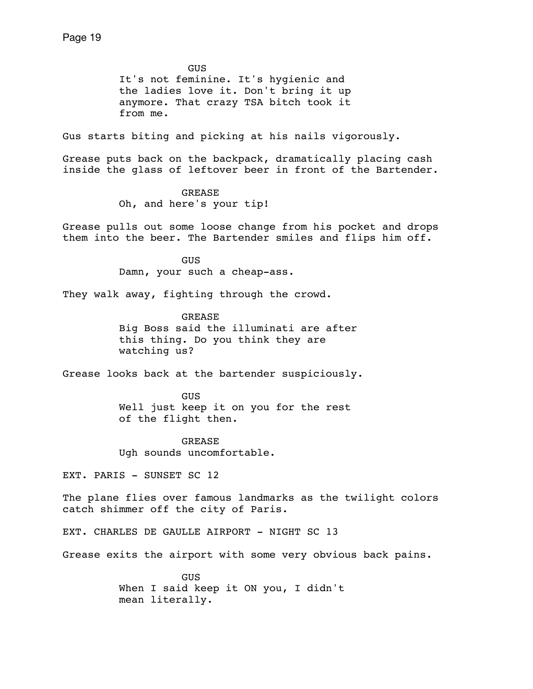GUS It's not feminine. It's hygienic and the ladies love it. Don't bring it up anymore. That crazy TSA bitch took it from me.

Gus starts biting and picking at his nails vigorously.

Grease puts back on the backpack, dramatically placing cash inside the glass of leftover beer in front of the Bartender.

> GREASE Oh, and here's your tip!

Grease pulls out some loose change from his pocket and drops them into the beer. The Bartender smiles and flips him off.

> **GUS** Damn, your such a cheap-ass.

They walk away, fighting through the crowd.

 GREASE Big Boss said the illuminati are after this thing. Do you think they are watching us?

Grease looks back at the bartender suspiciously.

 GUS Well just keep it on you for the rest of the flight then.

 GREASE Ugh sounds uncomfortable.

EXT. PARIS - SUNSET SC 12

The plane flies over famous landmarks as the twilight colors catch shimmer off the city of Paris.

EXT. CHARLES DE GAULLE AIRPORT - NIGHT SC 13

Grease exits the airport with some very obvious back pains.

**GUS GUS**  When I said keep it ON you, I didn't mean literally.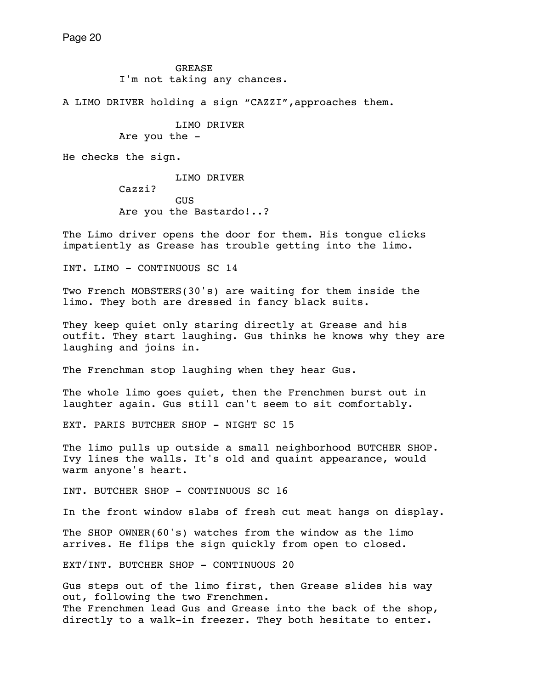GREASE I'm not taking any chances.

A LIMO DRIVER holding a sign "CAZZI",approaches them.

 LIMO DRIVER Are you the -

He checks the sign.

 LIMO DRIVER Cazzi? **GUS** Are you the Bastardo!..?

The Limo driver opens the door for them. His tongue clicks impatiently as Grease has trouble getting into the limo.

INT. LIMO - CONTINUOUS SC 14

Two French MOBSTERS(30's) are waiting for them inside the limo. They both are dressed in fancy black suits.

They keep quiet only staring directly at Grease and his outfit. They start laughing. Gus thinks he knows why they are laughing and joins in.

The Frenchman stop laughing when they hear Gus.

The whole limo goes quiet, then the Frenchmen burst out in laughter again. Gus still can't seem to sit comfortably.

EXT. PARIS BUTCHER SHOP - NIGHT SC 15

The limo pulls up outside a small neighborhood BUTCHER SHOP. Ivy lines the walls. It's old and quaint appearance, would warm anyone's heart.

INT. BUTCHER SHOP - CONTINUOUS SC 16

In the front window slabs of fresh cut meat hangs on display.

The SHOP OWNER(60's) watches from the window as the limo arrives. He flips the sign quickly from open to closed.

EXT/INT. BUTCHER SHOP - CONTINUOUS 20

Gus steps out of the limo first, then Grease slides his way out, following the two Frenchmen. The Frenchmen lead Gus and Grease into the back of the shop, directly to a walk-in freezer. They both hesitate to enter.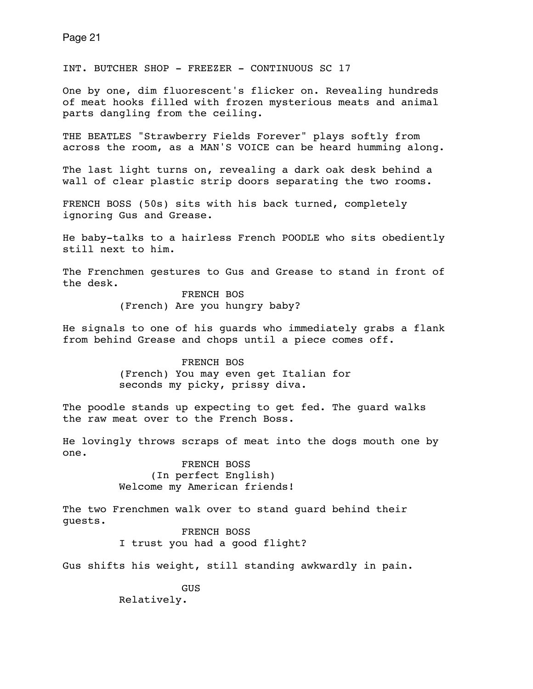INT. BUTCHER SHOP - FREEZER - CONTINUOUS SC 17

One by one, dim fluorescent's flicker on. Revealing hundreds of meat hooks filled with frozen mysterious meats and animal parts dangling from the ceiling.

THE BEATLES "Strawberry Fields Forever" plays softly from across the room, as a MAN'S VOICE can be heard humming along.

The last light turns on, revealing a dark oak desk behind a wall of clear plastic strip doors separating the two rooms.

FRENCH BOSS (50s) sits with his back turned, completely ignoring Gus and Grease.

He baby-talks to a hairless French POODLE who sits obediently still next to him.

The Frenchmen gestures to Gus and Grease to stand in front of the desk.

> FRENCH BOS (French) Are you hungry baby?

He signals to one of his guards who immediately grabs a flank from behind Grease and chops until a piece comes off.

> FRENCH BOS (French) You may even get Italian for seconds my picky, prissy diva.

The poodle stands up expecting to get fed. The quard walks the raw meat over to the French Boss.

He lovingly throws scraps of meat into the dogs mouth one by one.

> FRENCH BOSS (In perfect English) Welcome my American friends!

The two Frenchmen walk over to stand guard behind their guests.

 FRENCH BOSS I trust you had a good flight?

Gus shifts his weight, still standing awkwardly in pain.

 GUS Relatively.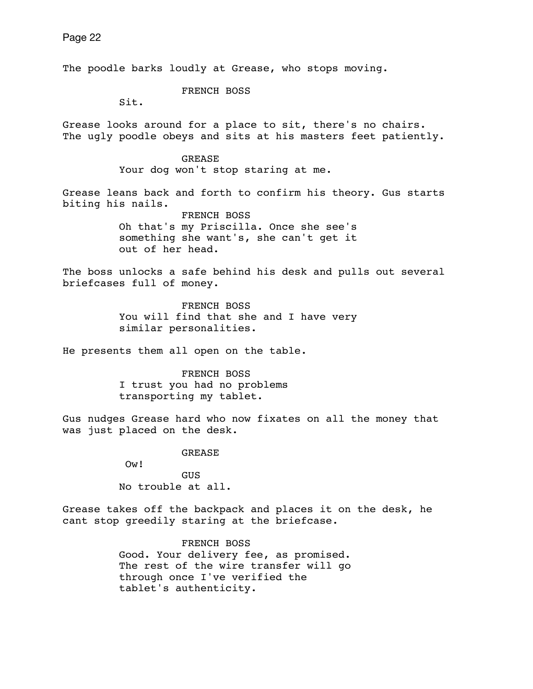The poodle barks loudly at Grease, who stops moving. FRENCH BOSS Sit. Grease looks around for a place to sit, there's no chairs. The ugly poodle obeys and sits at his masters feet patiently. GREASE Your dog won't stop staring at me. Grease leans back and forth to confirm his theory. Gus starts biting his nails. FRENCH BOSS Oh that's my Priscilla. Once she see's something she want's, she can't get it out of her head. The boss unlocks a safe behind his desk and pulls out several briefcases full of money. FRENCH BOSS You will find that she and I have very similar personalities. He presents them all open on the table. FRENCH BOSS I trust you had no problems transporting my tablet. Gus nudges Grease hard who now fixates on all the money that was just placed on the desk. GREASE Ow! GUS No trouble at all. Grease takes off the backpack and places it on the desk, he cant stop greedily staring at the briefcase. FRENCH BOSS

 Good. Your delivery fee, as promised. The rest of the wire transfer will go through once I've verified the tablet's authenticity.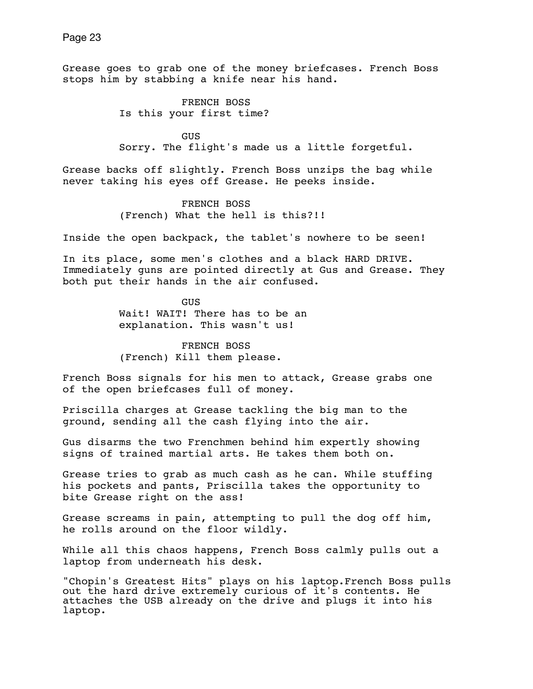Grease goes to grab one of the money briefcases. French Boss stops him by stabbing a knife near his hand.

> FRENCH BOSS Is this your first time?

**GUS GUS** Sorry. The flight's made us a little forgetful.

Grease backs off slightly. French Boss unzips the bag while never taking his eyes off Grease. He peeks inside.

> FRENCH BOSS (French) What the hell is this?!!

Inside the open backpack, the tablet's nowhere to be seen!

In its place, some men's clothes and a black HARD DRIVE. Immediately guns are pointed directly at Gus and Grease. They both put their hands in the air confused.

> **GUS**  Wait! WAIT! There has to be an explanation. This wasn't us!

 FRENCH BOSS (French) Kill them please.

French Boss signals for his men to attack, Grease grabs one of the open briefcases full of money.

Priscilla charges at Grease tackling the big man to the ground, sending all the cash flying into the air.

Gus disarms the two Frenchmen behind him expertly showing signs of trained martial arts. He takes them both on.

Grease tries to grab as much cash as he can. While stuffing his pockets and pants, Priscilla takes the opportunity to bite Grease right on the ass!

Grease screams in pain, attempting to pull the dog off him, he rolls around on the floor wildly.

While all this chaos happens, French Boss calmly pulls out a laptop from underneath his desk.

"Chopin's Greatest Hits" plays on his laptop.French Boss pulls out the hard drive extremely curious of it's contents. He attaches the USB already on the drive and plugs it into his laptop.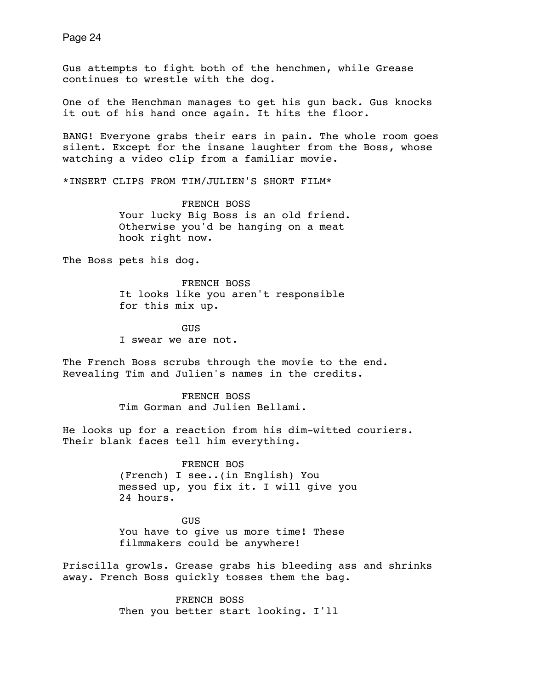Gus attempts to fight both of the henchmen, while Grease continues to wrestle with the dog.

One of the Henchman manages to get his gun back. Gus knocks it out of his hand once again. It hits the floor.

BANG! Everyone grabs their ears in pain. The whole room goes silent. Except for the insane laughter from the Boss, whose watching a video clip from a familiar movie.

\*INSERT CLIPS FROM TIM/JULIEN'S SHORT FILM\*

 FRENCH BOSS Your lucky Big Boss is an old friend. Otherwise you'd be hanging on a meat hook right now.

The Boss pets his dog.

 FRENCH BOSS It looks like you aren't responsible for this mix up.

**GUS GUS** I swear we are not.

The French Boss scrubs through the movie to the end. Revealing Tim and Julien's names in the credits.

> FRENCH BOSS Tim Gorman and Julien Bellami.

He looks up for a reaction from his dim-witted couriers. Their blank faces tell him everything.

> FRENCH BOS (French) I see..(in English) You messed up, you fix it. I will give you 24 hours.

 GUS You have to give us more time! These filmmakers could be anywhere!

Priscilla growls. Grease grabs his bleeding ass and shrinks away. French Boss quickly tosses them the bag.

> FRENCH BOSS Then you better start looking. I'll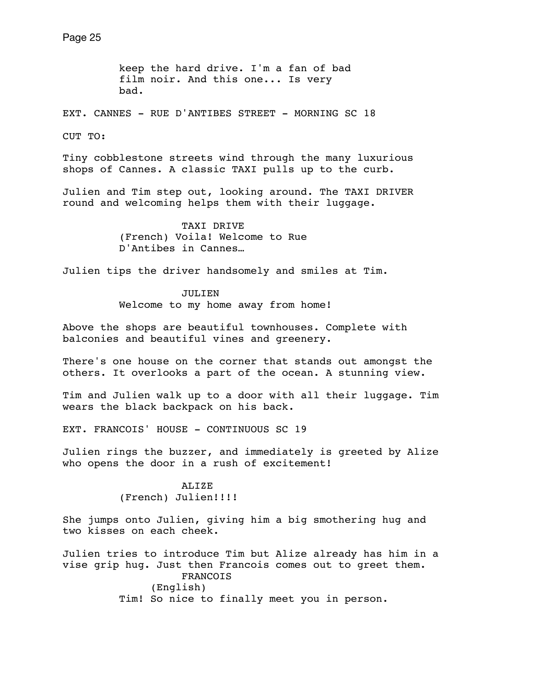keep the hard drive. I'm a fan of bad film noir. And this one... Is very bad.

EXT. CANNES - RUE D'ANTIBES STREET - MORNING SC 18

 $C$ UT  $TO:$ 

Tiny cobblestone streets wind through the many luxurious shops of Cannes. A classic TAXI pulls up to the curb.

Julien and Tim step out, looking around. The TAXI DRIVER round and welcoming helps them with their luggage.

> TAXI DRIVE (French) Voila! Welcome to Rue D'Antibes in Cannes…

Julien tips the driver handsomely and smiles at Tim.

 JULIEN Welcome to my home away from home!

Above the shops are beautiful townhouses. Complete with balconies and beautiful vines and greenery.

There's one house on the corner that stands out amongst the others. It overlooks a part of the ocean. A stunning view.

Tim and Julien walk up to a door with all their luggage. Tim wears the black backpack on his back.

EXT. FRANCOIS' HOUSE - CONTINUOUS SC 19

Julien rings the buzzer, and immediately is greeted by Alize who opens the door in a rush of excitement!

> ALIZE (French) Julien!!!!

She jumps onto Julien, giving him a big smothering hug and two kisses on each cheek.

Julien tries to introduce Tim but Alize already has him in a vise grip hug. Just then Francois comes out to greet them. FRANCOIS (English) Tim! So nice to finally meet you in person.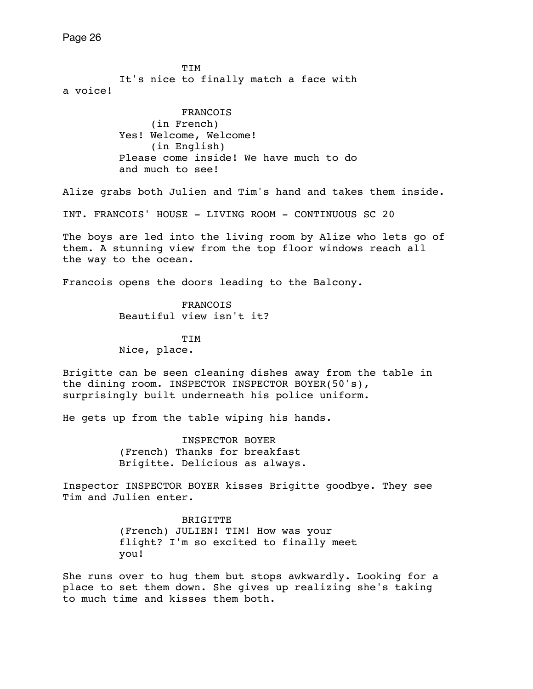TIM It's nice to finally match a face with a voice! FRANCOIS (in French) Yes! Welcome, Welcome! (in English) Please come inside! We have much to do and much to see! Alize grabs both Julien and Tim's hand and takes them inside. INT. FRANCOIS' HOUSE - LIVING ROOM - CONTINUOUS SC 20 The boys are led into the living room by Alize who lets go of them. A stunning view from the top floor windows reach all the way to the ocean. Francois opens the doors leading to the Balcony. FRANCOIS Beautiful view isn't it? **TIM**  Nice, place. Brigitte can be seen cleaning dishes away from the table in the dining room. INSPECTOR INSPECTOR BOYER(50's), surprisingly built underneath his police uniform. He gets up from the table wiping his hands. INSPECTOR BOYER (French) Thanks for breakfast Brigitte. Delicious as always. Inspector INSPECTOR BOYER kisses Brigitte goodbye. They see Tim and Julien enter. **BRIGITTE**  (French) JULIEN! TIM! How was your flight? I'm so excited to finally meet you! She runs over to hug them but stops awkwardly. Looking for a place to set them down. She gives up realizing she's taking to much time and kisses them both.

Page 26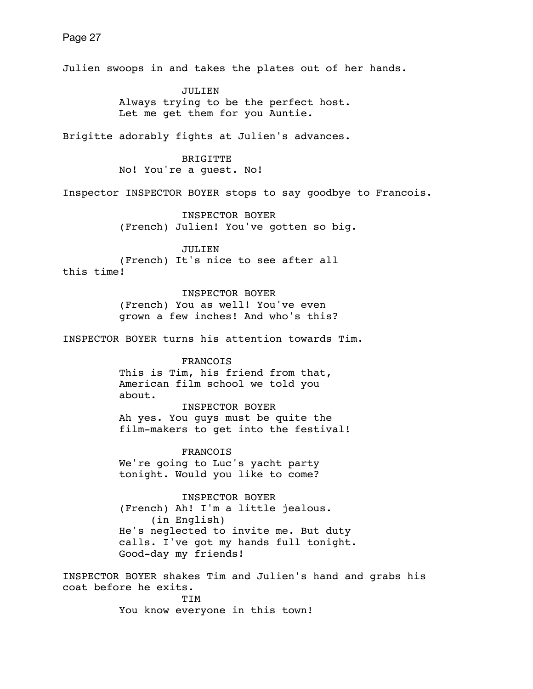Julien swoops in and takes the plates out of her hands. JULIEN Always trying to be the perfect host. Let me get them for you Auntie. Brigitte adorably fights at Julien's advances. BRIGITTE No! You're a guest. No! Inspector INSPECTOR BOYER stops to say goodbye to Francois. INSPECTOR BOYER (French) Julien! You've gotten so big. JULIEN (French) It's nice to see after all this time! INSPECTOR BOYER (French) You as well! You've even grown a few inches! And who's this? INSPECTOR BOYER turns his attention towards Tim. FRANCOIS This is Tim, his friend from that, American film school we told you about. INSPECTOR BOYER Ah yes. You guys must be quite the film-makers to get into the festival! FRANCOIS We're going to Luc's yacht party tonight. Would you like to come? INSPECTOR BOYER (French) Ah! I'm a little jealous. (in English) He's neglected to invite me. But duty calls. I've got my hands full tonight. Good-day my friends! INSPECTOR BOYER shakes Tim and Julien's hand and grabs his

coat before he exits. TIM You know everyone in this town!

Page 27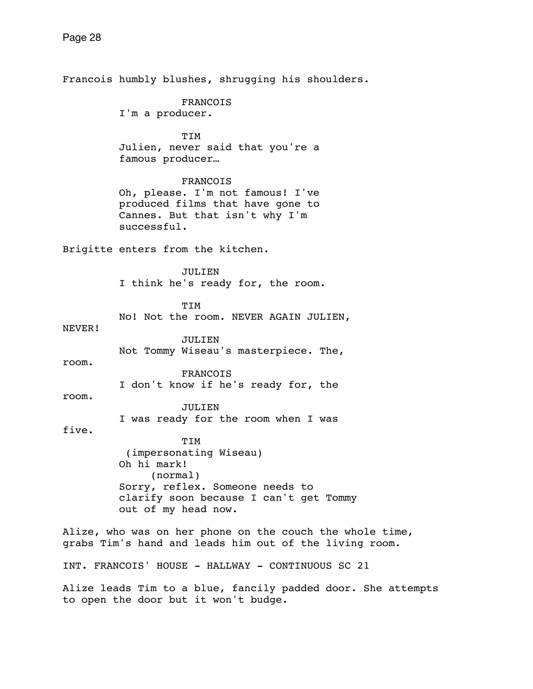Francois humbly blushes, shrugging his shoulders. FRANCOIS I'm a producer. TIM Julien, never said that you're a famous producer… FRANCOIS Oh, please. I'm not famous! I've produced films that have gone to Cannes. But that isn't why I'm successful. Brigitte enters from the kitchen. JULIEN I think he's ready for, the room. TIM No! Not the room. NEVER AGAIN JULIEN, NEVER! JULIEN Not Tommy Wiseau's masterpiece. The, room. FRANCOIS I don't know if he's ready for, the room. JULIEN I was ready for the room when I was five. TIM (impersonating Wiseau) Oh hi mark! (normal) Sorry, reflex. Someone needs to clarify soon because I can't get Tommy out of my head now. Alize, who was on her phone on the couch the whole time, grabs Tim's hand and leads him out of the living room. INT. FRANCOIS' HOUSE - HALLWAY - CONTINUOUS SC 21 Alize leads Tim to a blue, fancily padded door. She attempts to open the door but it won't budge.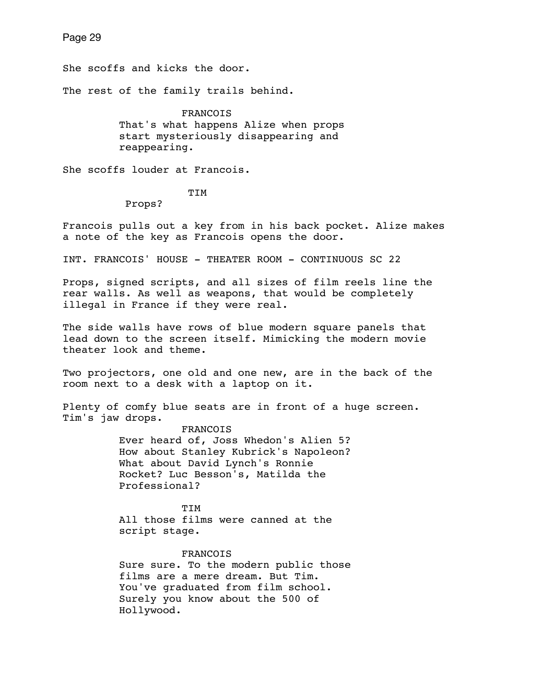She scoffs and kicks the door.

The rest of the family trails behind.

 FRANCOIS That's what happens Alize when props start mysteriously disappearing and reappearing.

She scoffs louder at Francois.

TIM

Props?

Francois pulls out a key from in his back pocket. Alize makes a note of the key as Francois opens the door.

INT. FRANCOIS' HOUSE - THEATER ROOM - CONTINUOUS SC 22

Props, signed scripts, and all sizes of film reels line the rear walls. As well as weapons, that would be completely illegal in France if they were real.

The side walls have rows of blue modern square panels that lead down to the screen itself. Mimicking the modern movie theater look and theme.

Two projectors, one old and one new, are in the back of the room next to a desk with a laptop on it.

Plenty of comfy blue seats are in front of a huge screen. Tim's jaw drops.

> FRANCOIS Ever heard of, Joss Whedon's Alien 5? How about Stanley Kubrick's Napoleon? What about David Lynch's Ronnie Rocket? Luc Besson's, Matilda the Professional?

**TIM**  All those films were canned at the script stage.

## FRANCOIS

 Sure sure. To the modern public those films are a mere dream. But Tim. You've graduated from film school. Surely you know about the 500 of Hollywood.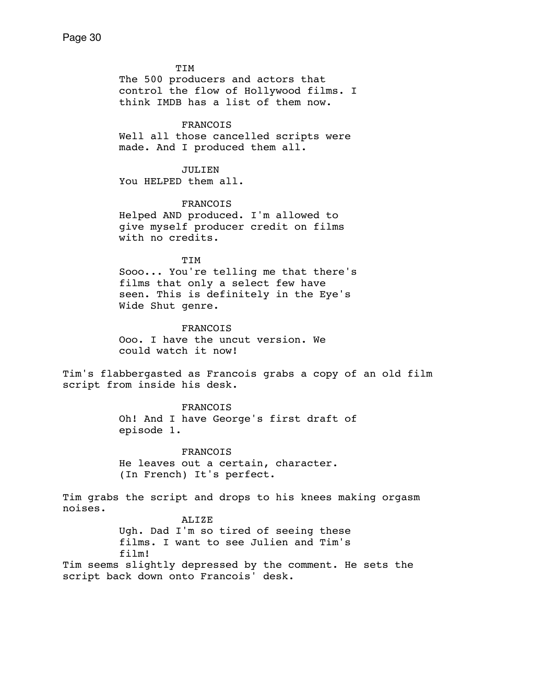TIM The 500 producers and actors that control the flow of Hollywood films. I think IMDB has a list of them now. FRANCOIS Well all those cancelled scripts were made. And I produced them all. JULIEN You HELPED them all. FRANCOIS Helped AND produced. I'm allowed to give myself producer credit on films with no credits. TIM Sooo... You're telling me that there's films that only a select few have seen. This is definitely in the Eye's Wide Shut genre. FRANCOIS Ooo. I have the uncut version. We could watch it now! Tim's flabbergasted as Francois grabs a copy of an old film script from inside his desk. FRANCOIS Oh! And I have George's first draft of episode 1. FRANCOIS He leaves out a certain, character. (In French) It's perfect. Tim grabs the script and drops to his knees making orgasm noises. ALIZE Ugh. Dad I'm so tired of seeing these films. I want to see Julien and Tim's film! Tim seems slightly depressed by the comment. He sets the script back down onto Francois' desk.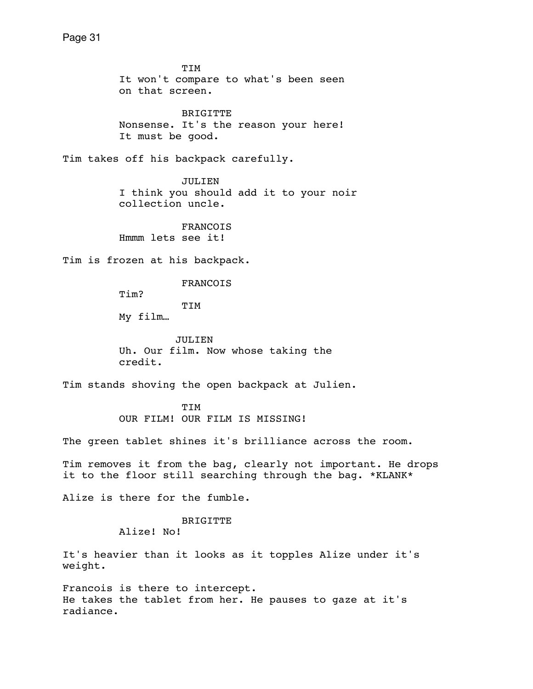TIM It won't compare to what's been seen on that screen.

 BRIGITTE Nonsense. It's the reason your here! It must be good.

Tim takes off his backpack carefully.

 JULIEN I think you should add it to your noir collection uncle.

 FRANCOIS Hmmm lets see it!

Tim is frozen at his backpack.

FRANCOIS

Tim?

TIM

My film…

 JULIEN Uh. Our film. Now whose taking the credit.

Tim stands shoving the open backpack at Julien.

 TIM OUR FILM! OUR FILM IS MISSING!

The green tablet shines it's brilliance across the room.

Tim removes it from the bag, clearly not important. He drops it to the floor still searching through the bag. \*KLANK\*

Alize is there for the fumble.

 BRIGITTE Alize! No!

It's heavier than it looks as it topples Alize under it's weight.

Francois is there to intercept. He takes the tablet from her. He pauses to gaze at it's radiance.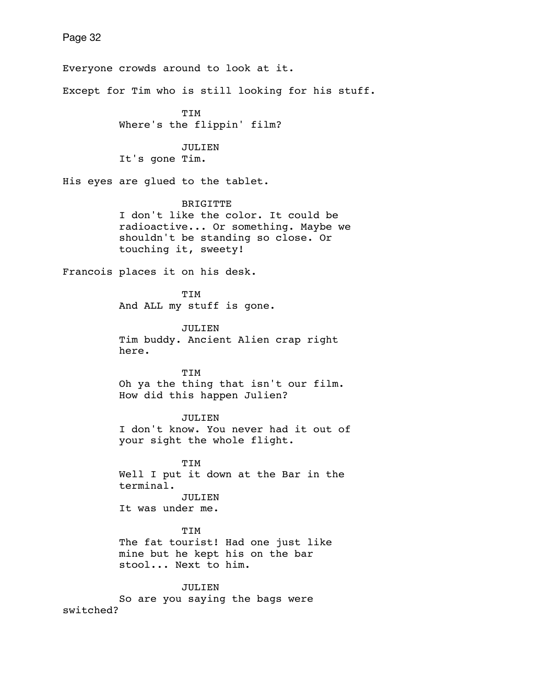Everyone crowds around to look at it. Except for Tim who is still looking for his stuff. TIM Where's the flippin' film? JULIEN It's gone Tim. His eyes are glued to the tablet. BRIGITTE I don't like the color. It could be radioactive... Or something. Maybe we shouldn't be standing so close. Or touching it, sweety! Francois places it on his desk. TIM And ALL my stuff is gone. JULIEN Tim buddy. Ancient Alien crap right here. TIM Oh ya the thing that isn't our film. How did this happen Julien? JULIEN I don't know. You never had it out of your sight the whole flight. TIM Well I put it down at the Bar in the terminal. JULIEN It was under me. TIM The fat tourist! Had one just like mine but he kept his on the bar stool... Next to him. JULIEN So are you saying the bags were switched?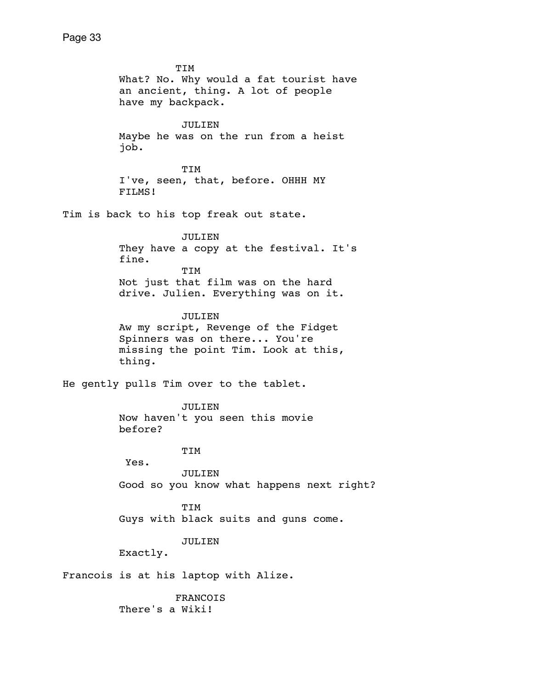TIM What? No. Why would a fat tourist have an ancient, thing. A lot of people have my backpack. JULIEN Maybe he was on the run from a heist job. TIM I've, seen, that, before. OHHH MY FILMS! Tim is back to his top freak out state. JULIEN They have a copy at the festival. It's fine. TIM Not just that film was on the hard drive. Julien. Everything was on it. JULIEN Aw my script, Revenge of the Fidget Spinners was on there... You're missing the point Tim. Look at this, thing. He gently pulls Tim over to the tablet. JULIEN Now haven't you seen this movie before? TIM Yes. JULIEN Good so you know what happens next right? TIM Guys with black suits and guns come. JULIEN Exactly. Francois is at his laptop with Alize. FRANCOIS There's a Wiki!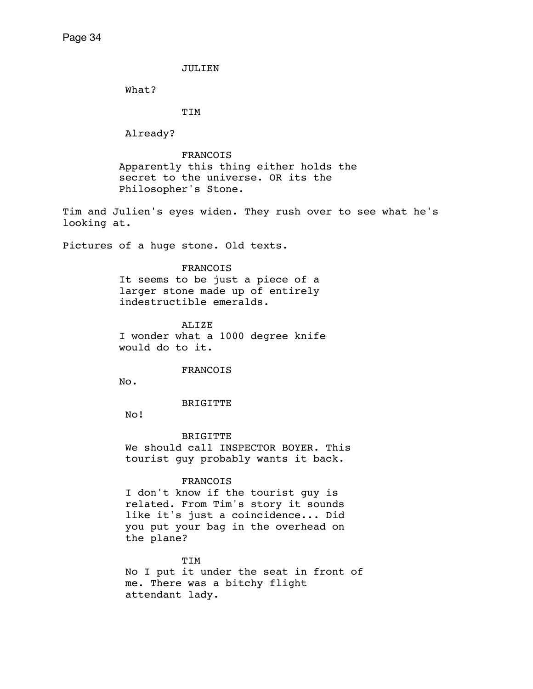JULIEN

What?

TIM

Already?

 FRANCOIS Apparently this thing either holds the secret to the universe. OR its the Philosopher's Stone.

Tim and Julien's eyes widen. They rush over to see what he's looking at.

Pictures of a huge stone. Old texts.

## FRANCOIS

 It seems to be just a piece of a larger stone made up of entirely indestructible emeralds.

 ALIZE I wonder what a 1000 degree knife would do to it.

## FRANCOIS

No.

## BRIGITTE

No!

# BRIGITTE

We should call INSPECTOR BOYER. This tourist guy probably wants it back.

# FRANCOIS

I don't know if the tourist guy is related. From Tim's story it sounds like it's just a coincidence... Did you put your bag in the overhead on the plane?

# TIM

No I put it under the seat in front of me. There was a bitchy flight attendant lady.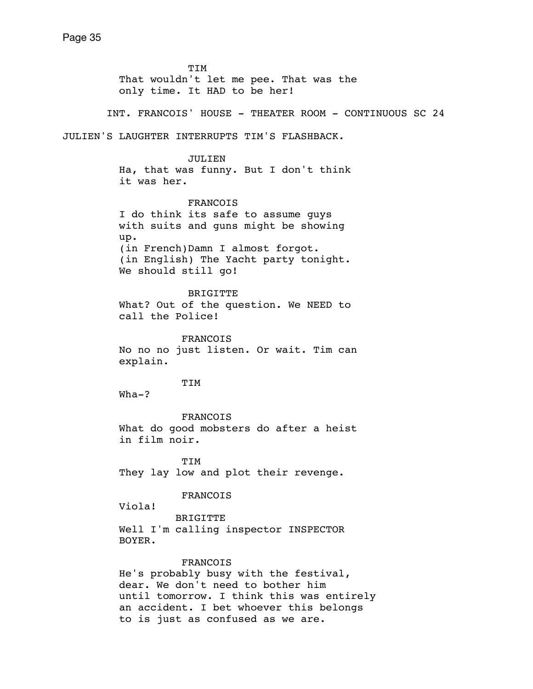TIM That wouldn't let me pee. That was the only time. It HAD to be her!

INT. FRANCOIS' HOUSE - THEATER ROOM - CONTINUOUS SC 24

JULIEN'S LAUGHTER INTERRUPTS TIM'S FLASHBACK.

 JULIEN Ha, that was funny. But I don't think it was her.

 FRANCOIS I do think its safe to assume guys with suits and guns might be showing up. (in French)Damn I almost forgot. (in English) The Yacht party tonight. We should still go!

 BRIGITTE What? Out of the question. We NEED to call the Police!

 FRANCOIS No no no just listen. Or wait. Tim can explain.

TIM

Wha-?

 FRANCOIS What do good mobsters do after a heist in film noir.

 TIM They lay low and plot their revenge.

FRANCOIS

Viola!

 BRIGITTE Well I'm calling inspector INSPECTOR BOYER.

FRANCOIS

 He's probably busy with the festival, dear. We don't need to bother him until tomorrow. I think this was entirely an accident. I bet whoever this belongs to is just as confused as we are.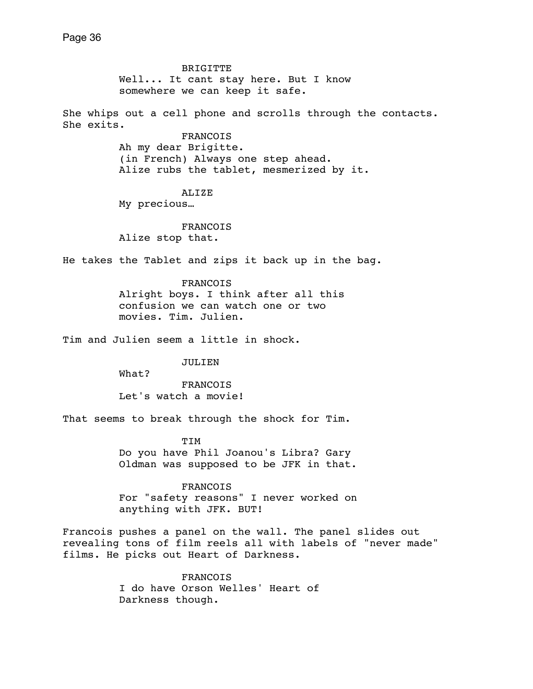BRIGITTE Well... It cant stay here. But I know somewhere we can keep it safe. She whips out a cell phone and scrolls through the contacts. She exits. **FRANCOIS**  Ah my dear Brigitte. (in French) Always one step ahead. Alize rubs the tablet, mesmerized by it. ALIZE My precious… FRANCOIS Alize stop that. He takes the Tablet and zips it back up in the bag. FRANCOIS Alright boys. I think after all this confusion we can watch one or two movies. Tim. Julien. Tim and Julien seem a little in shock. JULIEN What? FRANCOIS Let's watch a movie! That seems to break through the shock for Tim. TIM Do you have Phil Joanou's Libra? Gary Oldman was supposed to be JFK in that. FRANCOIS For "safety reasons" I never worked on anything with JFK. BUT! Francois pushes a panel on the wall. The panel slides out

revealing tons of film reels all with labels of "never made" films. He picks out Heart of Darkness.

> **FRANCOIS**  I do have Orson Welles' Heart of Darkness though.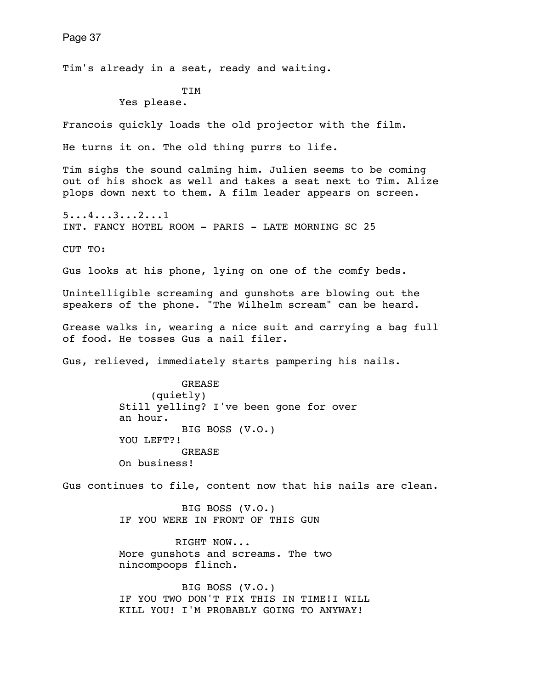Page 37 Tim's already in a seat, ready and waiting. TIM Yes please. Francois quickly loads the old projector with the film. He turns it on. The old thing purrs to life. Tim sighs the sound calming him. Julien seems to be coming out of his shock as well and takes a seat next to Tim. Alize plops down next to them. A film leader appears on screen. 5...4...3...2...1 INT. FANCY HOTEL ROOM - PARIS - LATE MORNING SC 25 CUT TO: Gus looks at his phone, lying on one of the comfy beds. Unintelligible screaming and gunshots are blowing out the speakers of the phone. "The Wilhelm scream" can be heard. Grease walks in, wearing a nice suit and carrying a bag full of food. He tosses Gus a nail filer. Gus, relieved, immediately starts pampering his nails. GREASE (quietly) Still yelling? I've been gone for over an hour. BIG BOSS (V.O.) YOU LEFT?! GREASE On business! Gus continues to file, content now that his nails are clean. BIG BOSS (V.O.) IF YOU WERE IN FRONT OF THIS GUN RIGHT NOW... More gunshots and screams. The two nincompoops flinch. BIG BOSS (V.O.) IF YOU TWO DON'T FIX THIS IN TIME!I WILL KILL YOU! I'M PROBABLY GOING TO ANYWAY!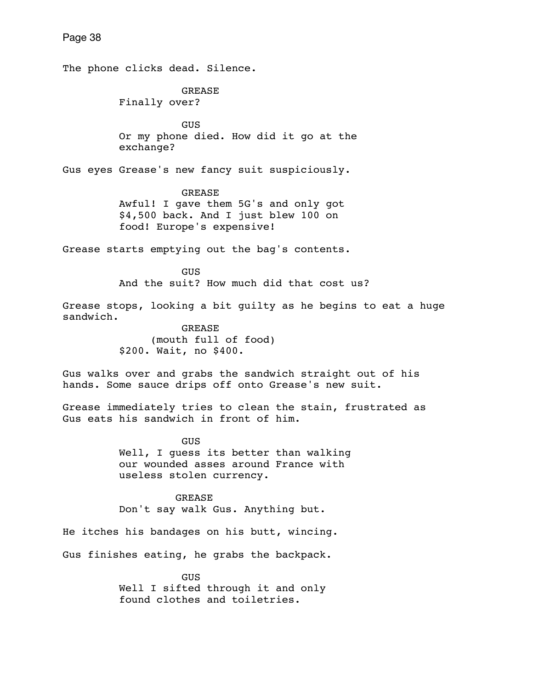The phone clicks dead. Silence. GREASE Finally over? GUS Or my phone died. How did it go at the exchange? Gus eyes Grease's new fancy suit suspiciously. GREASE Awful! I gave them 5G's and only got \$4,500 back. And I just blew 100 on food! Europe's expensive! Grease starts emptying out the bag's contents. **GUS GUS**  And the suit? How much did that cost us? Grease stops, looking a bit guilty as he begins to eat a huge sandwich. GREASE (mouth full of food) \$200. Wait, no \$400. Gus walks over and grabs the sandwich straight out of his hands. Some sauce drips off onto Grease's new suit. Grease immediately tries to clean the stain, frustrated as Gus eats his sandwich in front of him. GUS Well, I guess its better than walking our wounded asses around France with useless stolen currency. GREASE Don't say walk Gus. Anything but. He itches his bandages on his butt, wincing. Gus finishes eating, he grabs the backpack. **GUS GUS**  Well I sifted through it and only found clothes and toiletries.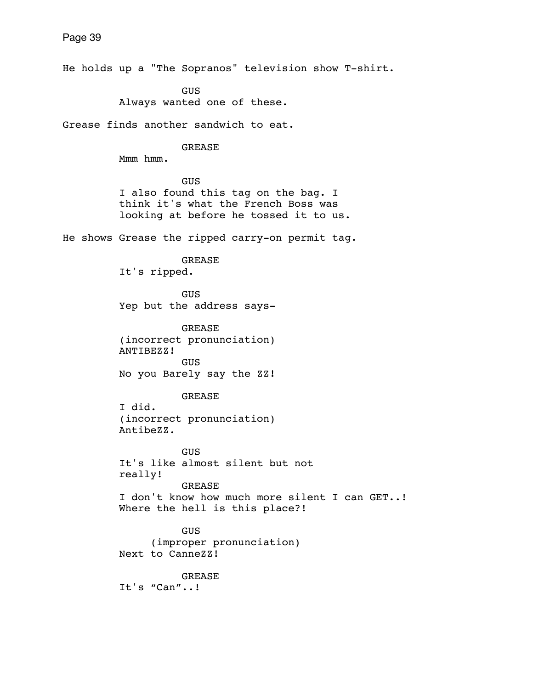He holds up a "The Sopranos" television show T-shirt.

 GUS Always wanted one of these.

Grease finds another sandwich to eat.

#### GREASE

Mmm hmm.

 GUS I also found this tag on the bag. I think it's what the French Boss was looking at before he tossed it to us.

He shows Grease the ripped carry-on permit tag.

 GREASE It's ripped.

 GUS Yep but the address says-

 GREASE (incorrect pronunciation) ANTIBEZZ! GUS No you Barely say the ZZ!

 GREASE I did. (incorrect pronunciation) AntibeZZ.

 GUS It's like almost silent but not really! GREASE I don't know how much more silent I can GET..! Where the hell is this place?!

 GUS (improper pronunciation) Next to CanneZZ!

 GREASE It's "Can"..!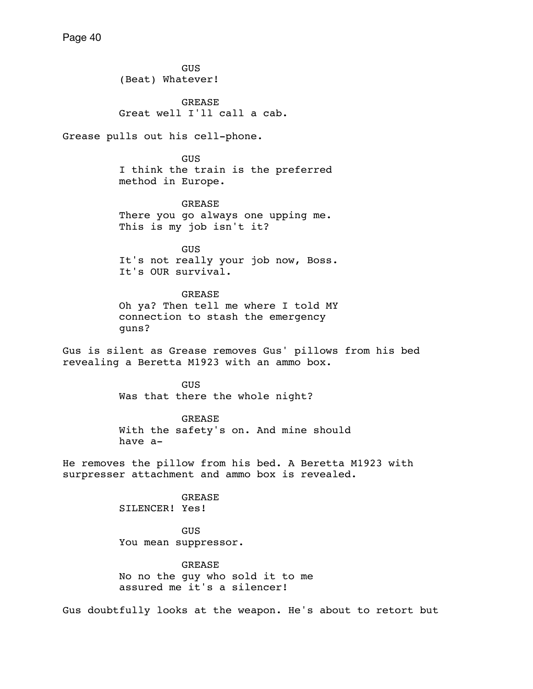GUS (Beat) Whatever!

 GREASE Great well I'll call a cab.

Grease pulls out his cell-phone.

 GUS I think the train is the preferred method in Europe.

 GREASE There you go always one upping me. This is my job isn't it?

 GUS It's not really your job now, Boss. It's OUR survival.

 GREASE Oh ya? Then tell me where I told MY connection to stash the emergency guns?

Gus is silent as Grease removes Gus' pillows from his bed revealing a Beretta M1923 with an ammo box.

> GUS Was that there the whole night?

 GREASE With the safety's on. And mine should have a-

He removes the pillow from his bed. A Beretta M1923 with surpresser attachment and ammo box is revealed.

> GREASE SILENCER! Yes!

 GUS You mean suppressor.

 GREASE No no the guy who sold it to me assured me it's a silencer!

Gus doubtfully looks at the weapon. He's about to retort but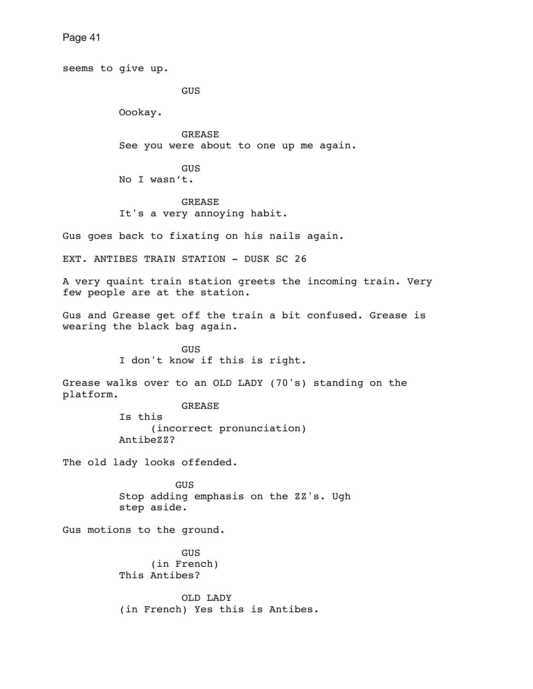seems to give up. GUS Oookay. GREASE See you were about to one up me again. GUS No I wasn't. GREASE It's a very annoying habit. Gus goes back to fixating on his nails again. EXT. ANTIBES TRAIN STATION - DUSK SC 26 A very quaint train station greets the incoming train. Very few people are at the station. Gus and Grease get off the train a bit confused. Grease is wearing the black bag again. GUS I don't know if this is right. Grease walks over to an OLD LADY (70's) standing on the platform. GREASE Is this (incorrect pronunciation) AntibeZZ? The old lady looks offended. GUS Stop adding emphasis on the ZZ's. Ugh step aside. Gus motions to the ground. GUS (in French) This Antibes? OLD LADY (in French) Yes this is Antibes.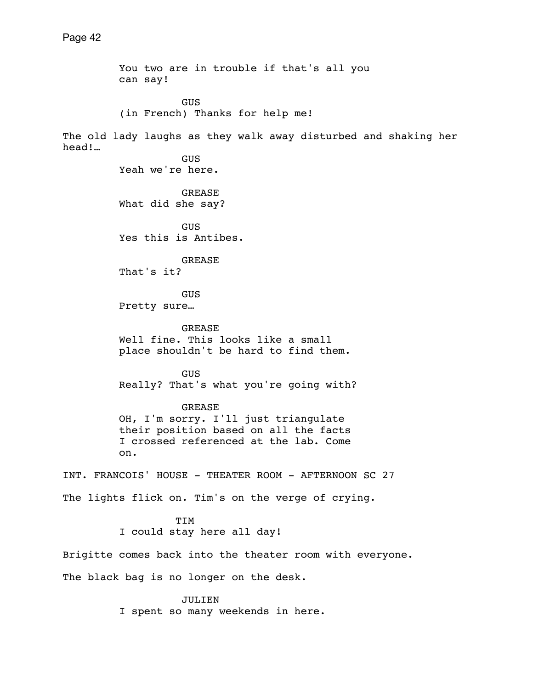You two are in trouble if that's all you can say! GUS (in French) Thanks for help me! The old lady laughs as they walk away disturbed and shaking her head!… GUS Yeah we're here. GREASE What did she say? GUS Yes this is Antibes. GREASE That's it? **GUS**  Pretty sure… **GREASE**  Well fine. This looks like a small place shouldn't be hard to find them. GUS Really? That's what you're going with? GREASE OH, I'm sorry. I'll just triangulate their position based on all the facts I crossed referenced at the lab. Come on. INT. FRANCOIS' HOUSE - THEATER ROOM - AFTERNOON SC 27 The lights flick on. Tim's on the verge of crying. TIM I could stay here all day! Brigitte comes back into the theater room with everyone. The black bag is no longer on the desk. JULIEN

I spent so many weekends in here.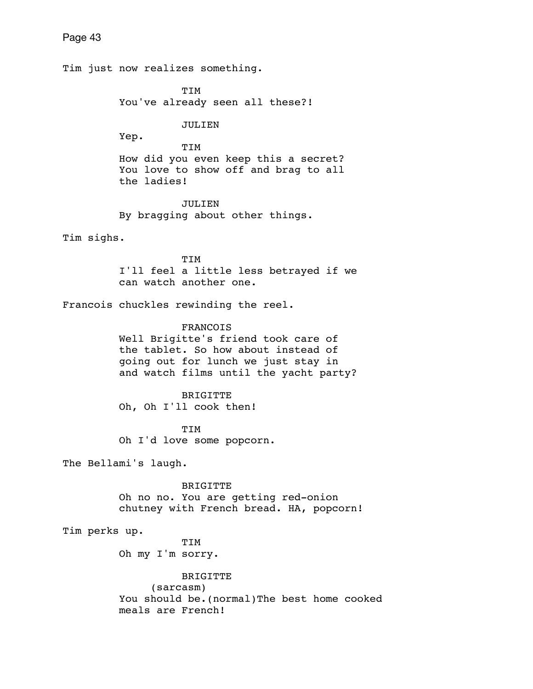Tim just now realizes something. TIM You've already seen all these?! JULIEN Yep. TIM How did you even keep this a secret? You love to show off and brag to all the ladies! JULIEN By bragging about other things. Tim sighs. TIM I'll feel a little less betrayed if we can watch another one. Francois chuckles rewinding the reel. FRANCOIS Well Brigitte's friend took care of the tablet. So how about instead of going out for lunch we just stay in and watch films until the yacht party? BRIGITTE Oh, Oh I'll cook then! TIM Oh I'd love some popcorn. The Bellami's laugh. BRIGITTE Oh no no. You are getting red-onion chutney with French bread. HA, popcorn! Tim perks up. TIM Oh my I'm sorry. BRIGITTE (sarcasm) You should be. (normal) The best home cooked meals are French!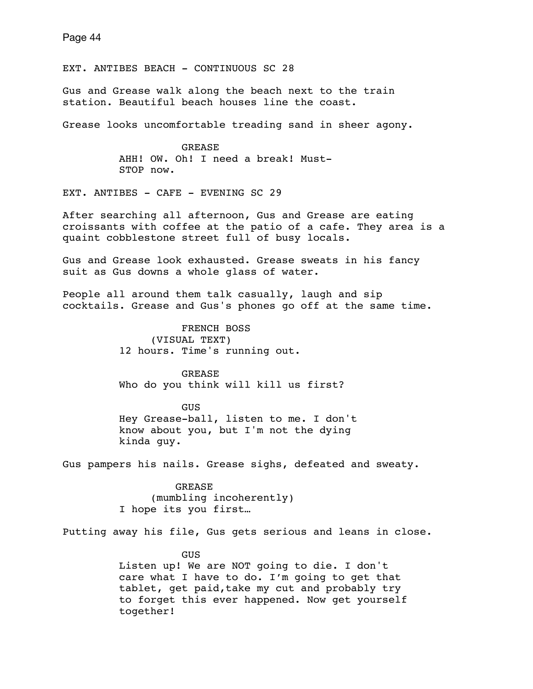EXT. ANTIBES BEACH - CONTINUOUS SC 28

Gus and Grease walk along the beach next to the train station. Beautiful beach houses line the coast.

Grease looks uncomfortable treading sand in sheer agony.

 GREASE AHH! OW. Oh! I need a break! Must- STOP now.

EXT. ANTIBES - CAFE - EVENING SC 29

After searching all afternoon, Gus and Grease are eating croissants with coffee at the patio of a cafe. They area is a quaint cobblestone street full of busy locals.

Gus and Grease look exhausted. Grease sweats in his fancy suit as Gus downs a whole glass of water.

People all around them talk casually, laugh and sip cocktails. Grease and Gus's phones go off at the same time.

> FRENCH BOSS (VISUAL TEXT) 12 hours. Time's running out.

 GREASE Who do you think will kill us first?

**GUS GUS**  Hey Grease-ball, listen to me. I don't know about you, but I'm not the dying kinda guy.

Gus pampers his nails. Grease sighs, defeated and sweaty.

 GREASE (mumbling incoherently) I hope its you first…

Putting away his file, Gus gets serious and leans in close.

 GUS Listen up! We are NOT going to die. I don't care what I have to do. I'm going to get that tablet, get paid,take my cut and probably try to forget this ever happened. Now get yourself together!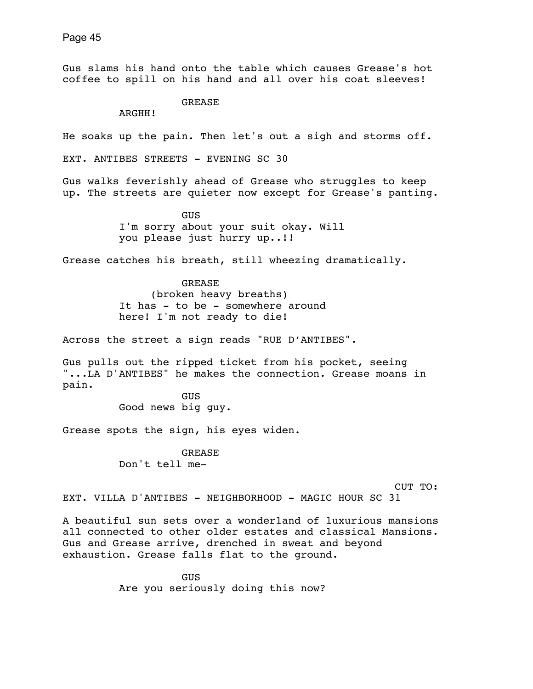Gus slams his hand onto the table which causes Grease's hot coffee to spill on his hand and all over his coat sleeves!

GREASE

ARGHH!

He soaks up the pain. Then let's out a sigh and storms off.

EXT. ANTIBES STREETS - EVENING SC 30

Gus walks feverishly ahead of Grease who struggles to keep up. The streets are quieter now except for Grease's panting.

> GUS I'm sorry about your suit okay. Will you please just hurry up..!!

Grease catches his breath, still wheezing dramatically.

 GREASE (broken heavy breaths) It has - to be - somewhere around here! I'm not ready to die!

Across the street a sign reads "RUE D'ANTIBES".

Gus pulls out the ripped ticket from his pocket, seeing "...LA D'ANTIBES" he makes the connection. Grease moans in pain.

**GUS** Good news big guy.

Grease spots the sign, his eyes widen.

 GREASE Don't tell me-

CUT TO:

EXT. VILLA D'ANTIBES - NEIGHBORHOOD - MAGIC HOUR SC 31

A beautiful sun sets over a wonderland of luxurious mansions all connected to other older estates and classical Mansions. Gus and Grease arrive, drenched in sweat and beyond exhaustion. Grease falls flat to the ground.

**GUS GUS** Are you seriously doing this now?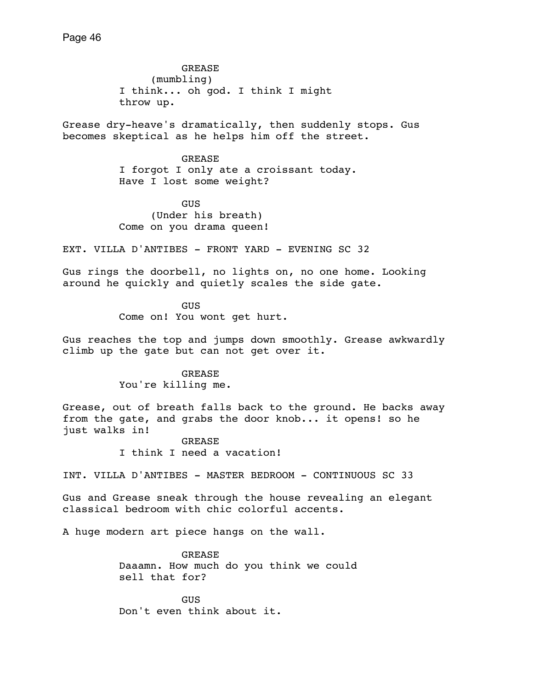GREASE (mumbling) I think... oh god. I think I might throw up.

Grease dry-heave's dramatically, then suddenly stops. Gus becomes skeptical as he helps him off the street.

> GREASE I forgot I only ate a croissant today. Have I lost some weight?

 GUS (Under his breath) Come on you drama queen!

EXT. VILLA D'ANTIBES - FRONT YARD - EVENING SC 32

Gus rings the doorbell, no lights on, no one home. Looking around he quickly and quietly scales the side gate.

**GUS GUS** Come on! You wont get hurt.

Gus reaches the top and jumps down smoothly. Grease awkwardly climb up the gate but can not get over it.

> GREASE You're killing me.

Grease, out of breath falls back to the ground. He backs away from the gate, and grabs the door knob... it opens! so he just walks in!

> GREASE I think I need a vacation!

INT. VILLA D'ANTIBES - MASTER BEDROOM - CONTINUOUS SC 33

Gus and Grease sneak through the house revealing an elegant classical bedroom with chic colorful accents.

A huge modern art piece hangs on the wall.

 GREASE Daaamn. How much do you think we could sell that for?

**GUS** Don't even think about it.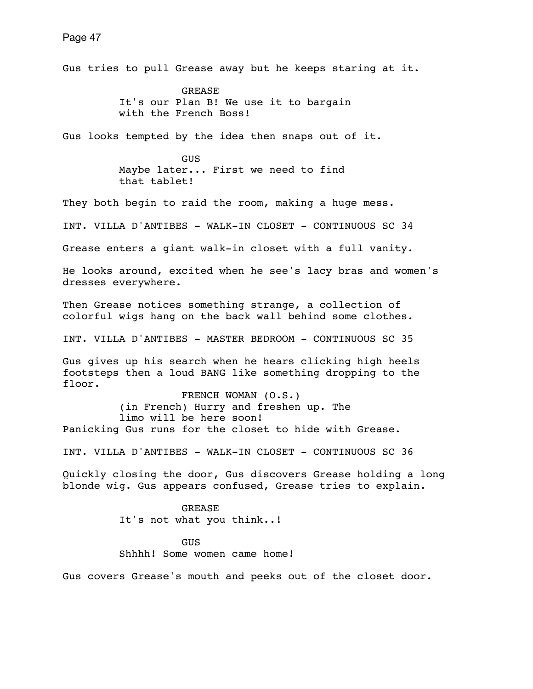Gus tries to pull Grease away but he keeps staring at it.

 GREASE It's our Plan B! We use it to bargain with the French Boss!

Gus looks tempted by the idea then snaps out of it.

 GUS Maybe later... First we need to find that tablet!

They both begin to raid the room, making a huge mess.

INT. VILLA D'ANTIBES - WALK-IN CLOSET - CONTINUOUS SC 34

Grease enters a giant walk-in closet with a full vanity.

He looks around, excited when he see's lacy bras and women's dresses everywhere.

Then Grease notices something strange, a collection of colorful wigs hang on the back wall behind some clothes.

INT. VILLA D'ANTIBES - MASTER BEDROOM - CONTINUOUS SC 35

Gus gives up his search when he hears clicking high heels footsteps then a loud BANG like something dropping to the floor.

 FRENCH WOMAN (O.S.) (in French) Hurry and freshen up. The limo will be here soon! Panicking Gus runs for the closet to hide with Grease.

INT. VILLA D'ANTIBES - WALK-IN CLOSET - CONTINUOUS SC 36

Quickly closing the door, Gus discovers Grease holding a long blonde wig. Gus appears confused, Grease tries to explain.

> GREASE It's not what you think..!

 GUS Shhhh! Some women came home!

Gus covers Grease's mouth and peeks out of the closet door.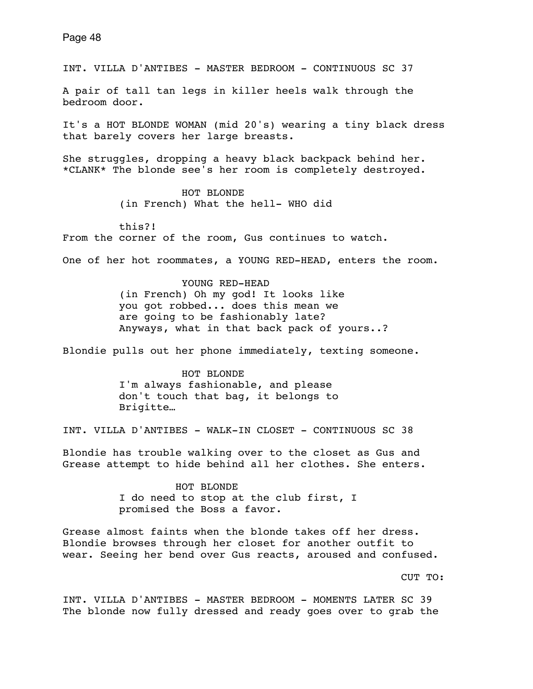INT. VILLA D'ANTIBES - MASTER BEDROOM - CONTINUOUS SC 37

A pair of tall tan legs in killer heels walk through the bedroom door.

It's a HOT BLONDE WOMAN (mid 20's) wearing a tiny black dress that barely covers her large breasts.

She struggles, dropping a heavy black backpack behind her. \*CLANK\* The blonde see's her room is completely destroyed.

> HOT BLONDE (in French) What the hell- WHO did

this?!

From the corner of the room, Gus continues to watch.

One of her hot roommates, a YOUNG RED-HEAD, enters the room.

 YOUNG RED-HEAD (in French) Oh my god! It looks like you got robbed... does this mean we are going to be fashionably late? Anyways, what in that back pack of yours..?

Blondie pulls out her phone immediately, texting someone.

 HOT BLONDE I'm always fashionable, and please don't touch that bag, it belongs to Brigitte…

INT. VILLA D'ANTIBES - WALK-IN CLOSET - CONTINUOUS SC 38

Blondie has trouble walking over to the closet as Gus and Grease attempt to hide behind all her clothes. She enters.

> HOT BLONDE I do need to stop at the club first, I promised the Boss a favor.

Grease almost faints when the blonde takes off her dress. Blondie browses through her closet for another outfit to wear. Seeing her bend over Gus reacts, aroused and confused.

CUT TO:

INT. VILLA D'ANTIBES - MASTER BEDROOM - MOMENTS LATER SC 39 The blonde now fully dressed and ready goes over to grab the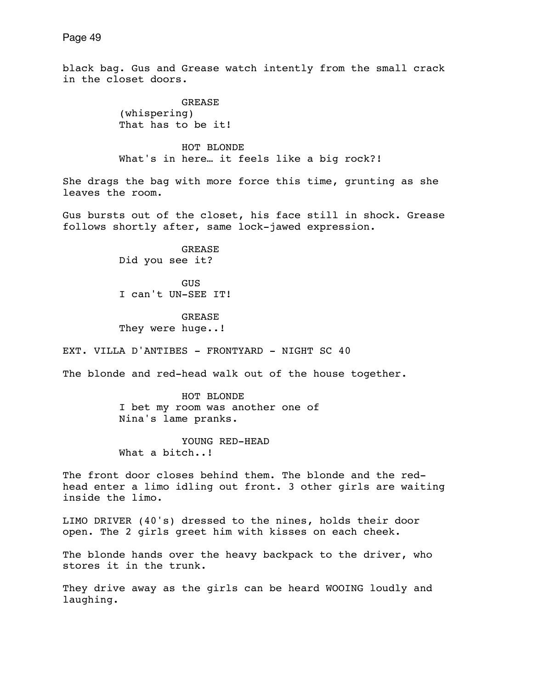black bag. Gus and Grease watch intently from the small crack in the closet doors.

> GREASE (whispering) That has to be it!

 HOT BLONDE What's in here… it feels like a big rock?!

She drags the bag with more force this time, grunting as she leaves the room.

Gus bursts out of the closet, his face still in shock. Grease follows shortly after, same lock-jawed expression.

> GREASE Did you see it?

 GUS I can't UN-SEE IT!

 GREASE They were huge..!

EXT. VILLA D'ANTIBES - FRONTYARD - NIGHT SC 40

The blonde and red-head walk out of the house together.

 HOT BLONDE I bet my room was another one of Nina's lame pranks.

 YOUNG RED-HEAD What a bitch..!

The front door closes behind them. The blonde and the redhead enter a limo idling out front. 3 other girls are waiting inside the limo.

LIMO DRIVER (40's) dressed to the nines, holds their door open. The 2 girls greet him with kisses on each cheek.

The blonde hands over the heavy backpack to the driver, who stores it in the trunk.

They drive away as the girls can be heard WOOING loudly and laughing.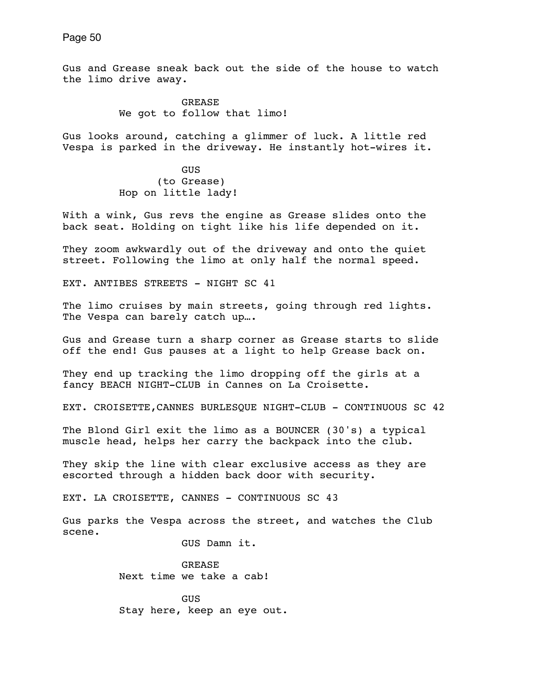Gus and Grease sneak back out the side of the house to watch the limo drive away.

> GREASE We got to follow that limo!

Gus looks around, catching a glimmer of luck. A little red Vespa is parked in the driveway. He instantly hot-wires it.

**GUS GUS**  (to Grease) Hop on little lady!

With a wink, Gus revs the engine as Grease slides onto the back seat. Holding on tight like his life depended on it.

They zoom awkwardly out of the driveway and onto the quiet street. Following the limo at only half the normal speed.

EXT. ANTIBES STREETS - NIGHT SC 41

The limo cruises by main streets, going through red lights. The Vespa can barely catch up….

Gus and Grease turn a sharp corner as Grease starts to slide off the end! Gus pauses at a light to help Grease back on.

They end up tracking the limo dropping off the girls at a fancy BEACH NIGHT-CLUB in Cannes on La Croisette.

EXT. CROISETTE, CANNES BURLESOUE NIGHT-CLUB - CONTINUOUS SC 42

The Blond Girl exit the limo as a BOUNCER (30's) a typical muscle head, helps her carry the backpack into the club.

They skip the line with clear exclusive access as they are escorted through a hidden back door with security.

EXT. LA CROISETTE, CANNES - CONTINUOUS SC 43

Gus parks the Vespa across the street, and watches the Club scene.

GUS Damn it.

 GREASE Next time we take a cab!

 GUS Stay here, keep an eye out.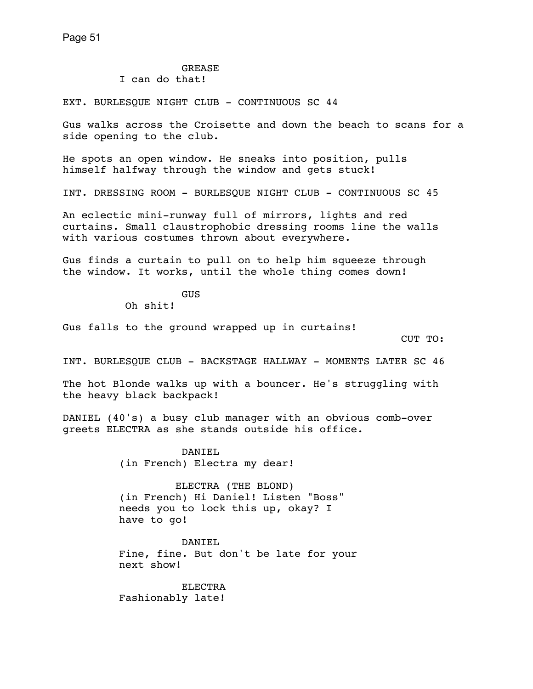## GREASE

I can do that!

EXT. BURLESQUE NIGHT CLUB - CONTINUOUS SC 44

Gus walks across the Croisette and down the beach to scans for a side opening to the club.

He spots an open window. He sneaks into position, pulls himself halfway through the window and gets stuck!

INT. DRESSING ROOM - BURLESQUE NIGHT CLUB - CONTINUOUS SC 45

An eclectic mini-runway full of mirrors, lights and red curtains. Small claustrophobic dressing rooms line the walls with various costumes thrown about everywhere.

Gus finds a curtain to pull on to help him squeeze through the window. It works, until the whole thing comes down!

**GUS** 

Oh shit!

Gus falls to the ground wrapped up in curtains!

CUT TO:

INT. BURLESQUE CLUB - BACKSTAGE HALLWAY - MOMENTS LATER SC 46

The hot Blonde walks up with a bouncer. He's struggling with the heavy black backpack!

DANIEL (40's) a busy club manager with an obvious comb-over greets ELECTRA as she stands outside his office.

> DANTEL. (in French) Electra my dear!

 ELECTRA (THE BLOND) (in French) Hi Daniel! Listen "Boss" needs you to lock this up, okay? I have to go!

 DANIEL Fine, fine. But don't be late for your next show!

**ELECTRA** Fashionably late!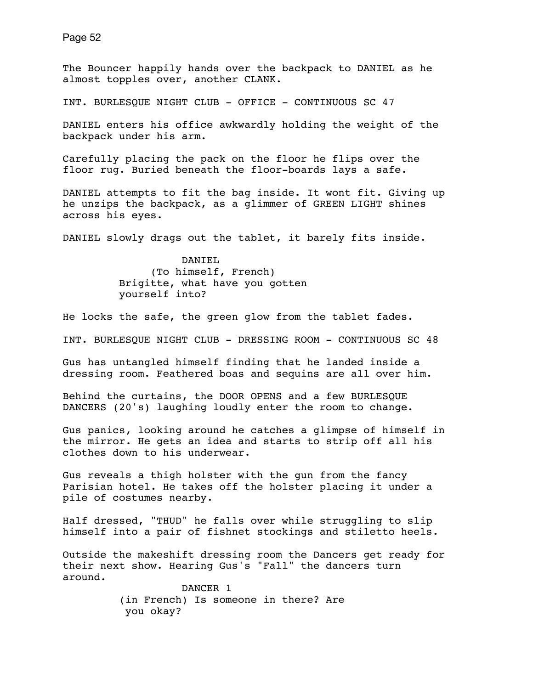The Bouncer happily hands over the backpack to DANIEL as he almost topples over, another CLANK.

INT. BURLESQUE NIGHT CLUB - OFFICE - CONTINUOUS SC 47

DANIEL enters his office awkwardly holding the weight of the backpack under his arm.

Carefully placing the pack on the floor he flips over the floor rug. Buried beneath the floor-boards lays a safe.

DANIEL attempts to fit the bag inside. It wont fit. Giving up he unzips the backpack, as a glimmer of GREEN LIGHT shines across his eyes.

DANIEL slowly drags out the tablet, it barely fits inside.

 DANIEL (To himself, French) Brigitte, what have you gotten yourself into?

He locks the safe, the green glow from the tablet fades.

INT. BURLESQUE NIGHT CLUB - DRESSING ROOM - CONTINUOUS SC 48

Gus has untangled himself finding that he landed inside a dressing room. Feathered boas and sequins are all over him.

Behind the curtains, the DOOR OPENS and a few BURLESQUE DANCERS (20's) laughing loudly enter the room to change.

Gus panics, looking around he catches a glimpse of himself in the mirror. He gets an idea and starts to strip off all his clothes down to his underwear.

Gus reveals a thigh holster with the gun from the fancy Parisian hotel. He takes off the holster placing it under a pile of costumes nearby.

Half dressed, "THUD" he falls over while struggling to slip himself into a pair of fishnet stockings and stiletto heels.

Outside the makeshift dressing room the Dancers get ready for their next show. Hearing Gus's "Fall" the dancers turn around.

> DANCER 1 (in French) Is someone in there? Are you okay?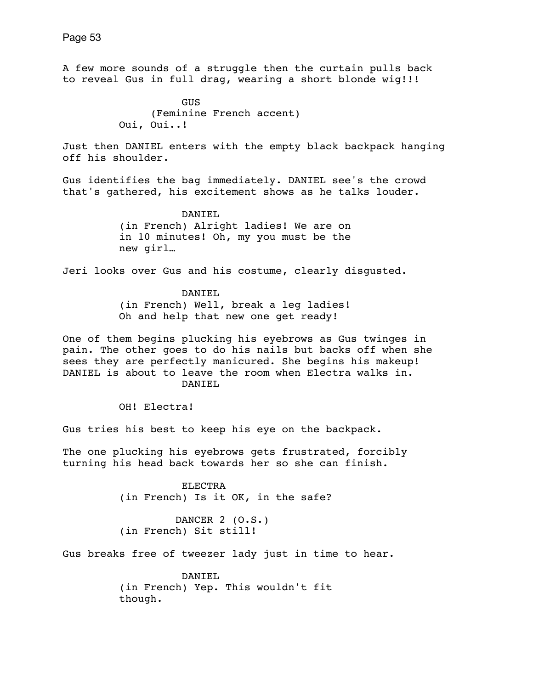A few more sounds of a struggle then the curtain pulls back to reveal Gus in full drag, wearing a short blonde wig!!!

**GUS GUS**  (Feminine French accent) Oui, Oui..!

Just then DANIEL enters with the empty black backpack hanging off his shoulder.

Gus identifies the bag immediately. DANIEL see's the crowd that's gathered, his excitement shows as he talks louder.

> DANTEL. (in French) Alright ladies! We are on in 10 minutes! Oh, my you must be the new girl…

Jeri looks over Gus and his costume, clearly disgusted.

 DANIEL (in French) Well, break a leg ladies! Oh and help that new one get ready!

One of them begins plucking his eyebrows as Gus twinges in pain. The other goes to do his nails but backs off when she sees they are perfectly manicured. She begins his makeup! DANIEL is about to leave the room when Electra walks in. DANIEL

OH! Electra!

Gus tries his best to keep his eye on the backpack.

The one plucking his eyebrows gets frustrated, forcibly turning his head back towards her so she can finish.

> ELECTRA (in French) Is it OK, in the safe?

 DANCER 2 (O.S.) (in French) Sit still!

Gus breaks free of tweezer lady just in time to hear.

 DANIEL (in French) Yep. This wouldn't fit though.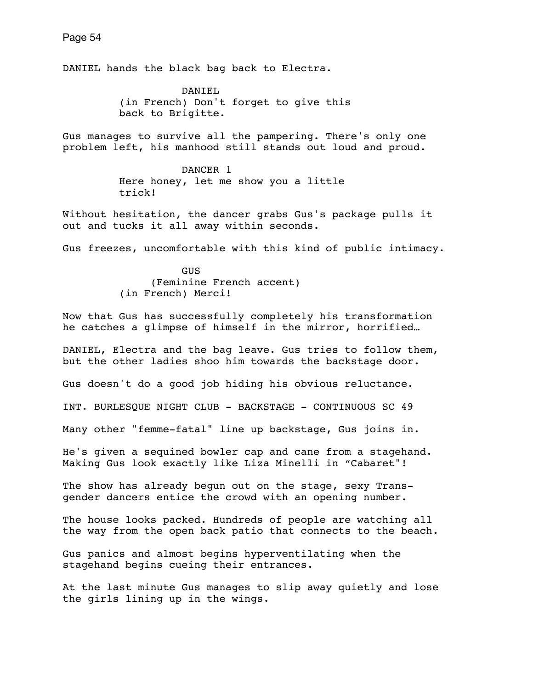DANIEL hands the black bag back to Electra.

 DANIEL (in French) Don't forget to give this back to Brigitte.

Gus manages to survive all the pampering. There's only one problem left, his manhood still stands out loud and proud.

> DANCER 1 Here honey, let me show you a little trick!

Without hesitation, the dancer grabs Gus's package pulls it out and tucks it all away within seconds.

Gus freezes, uncomfortable with this kind of public intimacy.

**GUS GUS**  (Feminine French accent) (in French) Merci!

Now that Gus has successfully completely his transformation he catches a glimpse of himself in the mirror, horrified…

DANIEL, Electra and the bag leave. Gus tries to follow them, but the other ladies shoo him towards the backstage door.

Gus doesn't do a good job hiding his obvious reluctance.

INT. BURLESQUE NIGHT CLUB - BACKSTAGE - CONTINUOUS SC 49

Many other "femme-fatal" line up backstage, Gus joins in.

He's given a sequined bowler cap and cane from a stagehand. Making Gus look exactly like Liza Minelli in "Cabaret"!

The show has already begun out on the stage, sexy Transgender dancers entice the crowd with an opening number.

The house looks packed. Hundreds of people are watching all the way from the open back patio that connects to the beach.

Gus panics and almost begins hyperventilating when the stagehand begins cueing their entrances.

At the last minute Gus manages to slip away quietly and lose the girls lining up in the wings.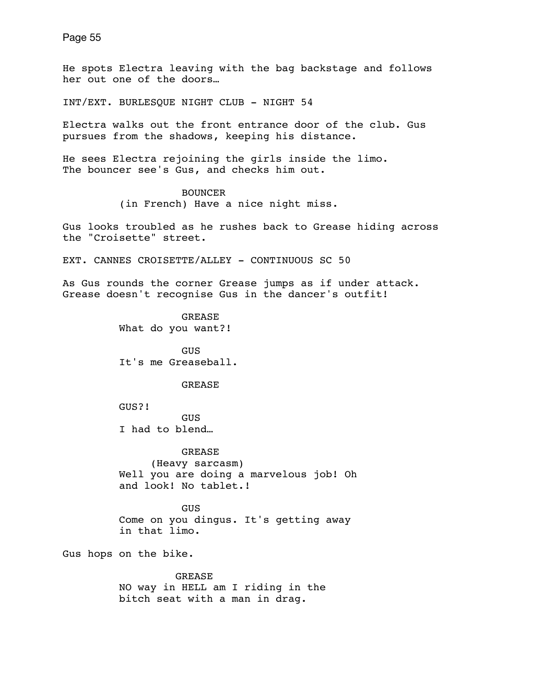He spots Electra leaving with the bag backstage and follows her out one of the doors…

INT/EXT. BURLESQUE NIGHT CLUB - NIGHT 54

Electra walks out the front entrance door of the club. Gus pursues from the shadows, keeping his distance.

He sees Electra rejoining the girls inside the limo. The bouncer see's Gus, and checks him out.

> BOUNCER (in French) Have a nice night miss.

Gus looks troubled as he rushes back to Grease hiding across the "Croisette" street.

EXT. CANNES CROISETTE/ALLEY - CONTINUOUS SC 50

As Gus rounds the corner Grease jumps as if under attack. Grease doesn't recognise Gus in the dancer's outfit!

> GREASE What do you want?!

 GUS It's me Greaseball.

GREASE

 GUS?! GUS I had to blend…

 GREASE (Heavy sarcasm) Well you are doing a marvelous job! Oh and look! No tablet.!

**GUS**  Come on you dingus. It's getting away in that limo.

Gus hops on the bike.

 GREASE NO way in HELL am I riding in the bitch seat with a man in drag.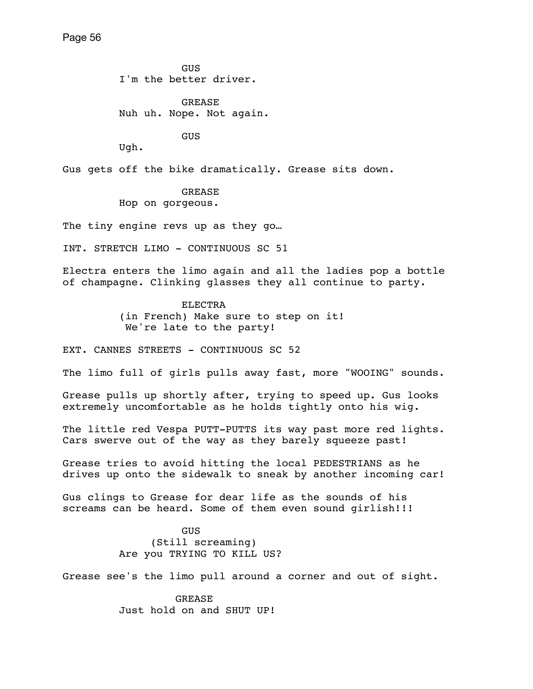**GUS GUS** I'm the better driver.

> GREASE Nuh uh. Nope. Not again.

> > **GUS**

Ugh.

Gus gets off the bike dramatically. Grease sits down.

 GREASE Hop on gorgeous.

The tiny engine revs up as they go...

INT. STRETCH LIMO - CONTINUOUS SC 51

Electra enters the limo again and all the ladies pop a bottle of champagne. Clinking glasses they all continue to party.

> ELECTRA (in French) Make sure to step on it! We're late to the party!

EXT. CANNES STREETS - CONTINUOUS SC 52

The limo full of girls pulls away fast, more "WOOING" sounds.

Grease pulls up shortly after, trying to speed up. Gus looks extremely uncomfortable as he holds tightly onto his wig.

The little red Vespa PUTT-PUTTS its way past more red lights. Cars swerve out of the way as they barely squeeze past!

Grease tries to avoid hitting the local PEDESTRIANS as he drives up onto the sidewalk to sneak by another incoming car!

Gus clings to Grease for dear life as the sounds of his screams can be heard. Some of them even sound girlish!!!

**GUS GUS**  (Still screaming) Are you TRYING TO KILL US?

Grease see's the limo pull around a corner and out of sight.

 GREASE Just hold on and SHUT UP!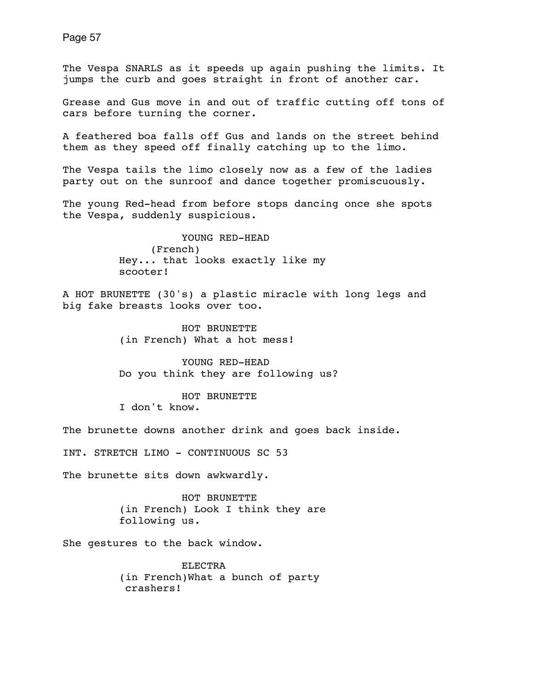The Vespa SNARLS as it speeds up again pushing the limits. It jumps the curb and goes straight in front of another car.

Grease and Gus move in and out of traffic cutting off tons of cars before turning the corner.

A feathered boa falls off Gus and lands on the street behind them as they speed off finally catching up to the limo.

The Vespa tails the limo closely now as a few of the ladies party out on the sunroof and dance together promiscuously.

The young Red-head from before stops dancing once she spots the Vespa, suddenly suspicious.

> YOUNG RED-HEAD (French) Hey... that looks exactly like my scooter!

A HOT BRUNETTE (30's) a plastic miracle with long legs and big fake breasts looks over too.

> HOT BRUNETTE (in French) What a hot mess!

 YOUNG RED-HEAD Do you think they are following us?

 HOT BRUNETTE I don't know.

The brunette downs another drink and goes back inside.

INT. STRETCH LIMO - CONTINUOUS SC 53

The brunette sits down awkwardly.

 HOT BRUNETTE (in French) Look I think they are following us.

She gestures to the back window.

 ELECTRA (in French)What a bunch of party crashers!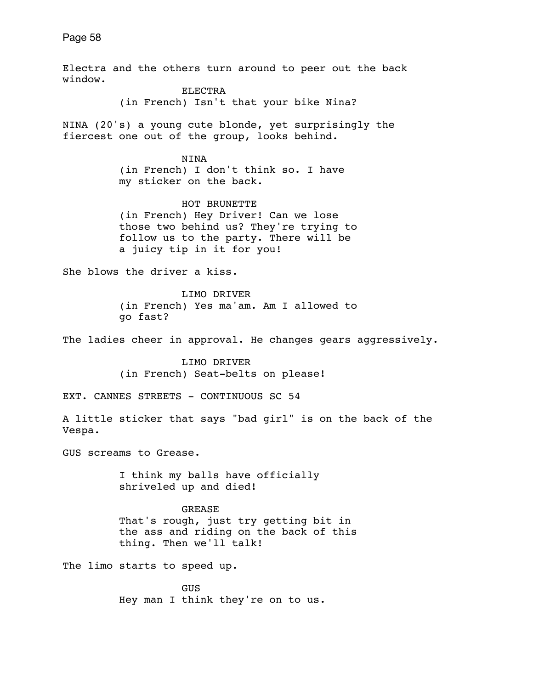Electra and the others turn around to peer out the back window. ELECTRA (in French) Isn't that your bike Nina? NINA (20's) a young cute blonde, yet surprisingly the fiercest one out of the group, looks behind. NINA (in French) I don't think so. I have my sticker on the back. HOT BRUNETTE (in French) Hey Driver! Can we lose those two behind us? They're trying to follow us to the party. There will be a juicy tip in it for you! She blows the driver a kiss. LIMO DRIVER (in French) Yes ma'am. Am I allowed to go fast? The ladies cheer in approval. He changes gears aggressively. LIMO DRIVER (in French) Seat-belts on please! EXT. CANNES STREETS - CONTINUOUS SC 54 A little sticker that says "bad girl" is on the back of the Vespa. GUS screams to Grease. I think my balls have officially shriveled up and died! GREASE That's rough, just try getting bit in the ass and riding on the back of this thing. Then we'll talk! The limo starts to speed up. GUS

Hey man I think they're on to us.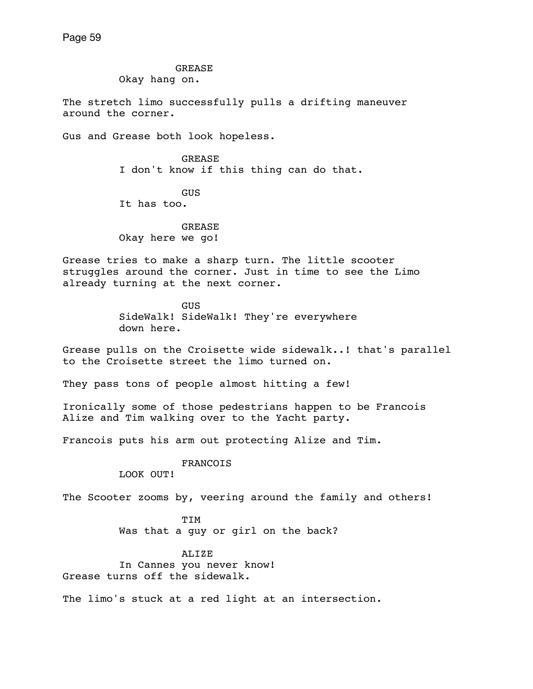GREASE

Okay hang on.

The stretch limo successfully pulls a drifting maneuver around the corner.

Gus and Grease both look hopeless.

 GREASE I don't know if this thing can do that.

 GUS It has too.

 GREASE Okay here we go!

Grease tries to make a sharp turn. The little scooter struggles around the corner. Just in time to see the Limo already turning at the next corner.

> GUS SideWalk! SideWalk! They're everywhere down here.

Grease pulls on the Croisette wide sidewalk..! that's parallel to the Croisette street the limo turned on.

They pass tons of people almost hitting a few!

Ironically some of those pedestrians happen to be Francois Alize and Tim walking over to the Yacht party.

Francois puts his arm out protecting Alize and Tim.

FRANCOIS

LOOK OUT!

The Scooter zooms by, veering around the family and others!

 TIM Was that a guy or girl on the back?

ALIZE

 In Cannes you never know! Grease turns off the sidewalk.

The limo's stuck at a red light at an intersection.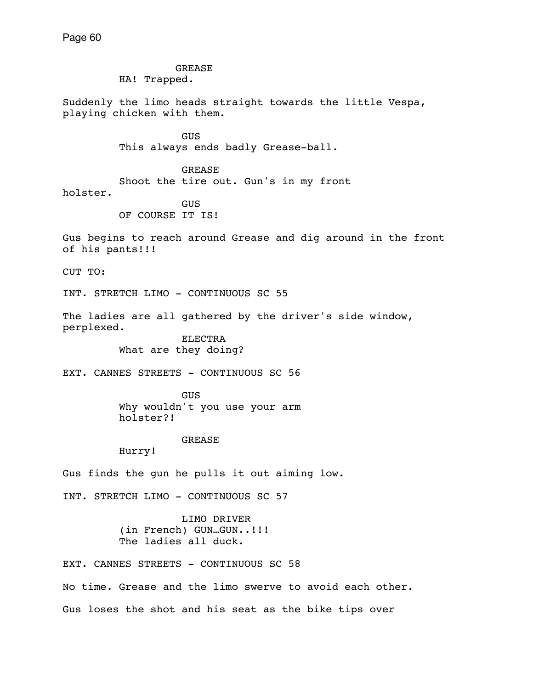GREASE HA! Trapped. Suddenly the limo heads straight towards the little Vespa, playing chicken with them. **GUS GUS**  This always ends badly Grease-ball. GREASE Shoot the tire out. Gun's in my front holster. **GUS GUS**  OF COURSE IT IS! Gus begins to reach around Grease and dig around in the front of his pants!!! CUT TO: INT. STRETCH LIMO - CONTINUOUS SC 55 The ladies are all gathered by the driver's side window, perplexed. ELECTRA What are they doing? EXT. CANNES STREETS - CONTINUOUS SC 56 GUS Why wouldn't you use your arm holster?! GREASE Hurry! Gus finds the gun he pulls it out aiming low. INT. STRETCH LIMO - CONTINUOUS SC 57 LIMO DRIVER (in French) GUN…GUN..!!! The ladies all duck. EXT. CANNES STREETS - CONTINUOUS SC 58 No time. Grease and the limo swerve to avoid each other. Gus loses the shot and his seat as the bike tips over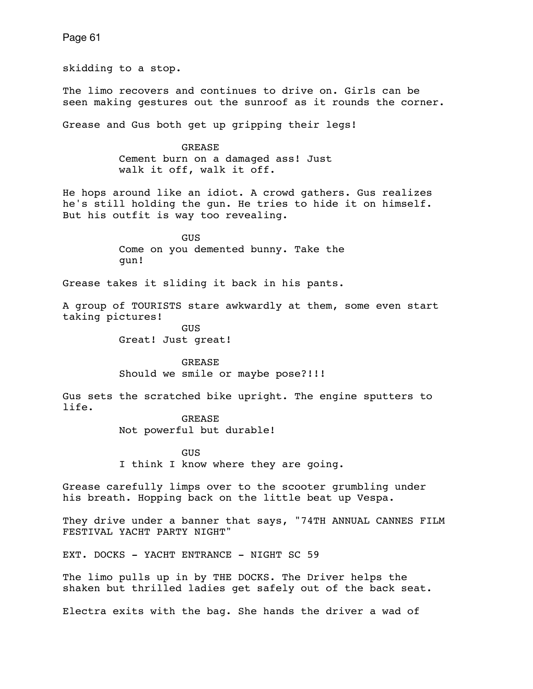skidding to a stop. The limo recovers and continues to drive on. Girls can be seen making gestures out the sunroof as it rounds the corner. Grease and Gus both get up gripping their legs! GREASE Cement burn on a damaged ass! Just walk it off, walk it off. He hops around like an idiot. A crowd gathers. Gus realizes he's still holding the gun. He tries to hide it on himself. But his outfit is way too revealing. **GUS GUS**  Come on you demented bunny. Take the gun! Grease takes it sliding it back in his pants. A group of TOURISTS stare awkwardly at them, some even start taking pictures! GUS Great! Just great! GREASE Should we smile or maybe pose?!!! Gus sets the scratched bike upright. The engine sputters to life. GREASE Not powerful but durable! **GUS GUS**  I think I know where they are going. Grease carefully limps over to the scooter grumbling under his breath. Hopping back on the little beat up Vespa. They drive under a banner that says, "74TH ANNUAL CANNES FILM FESTIVAL YACHT PARTY NIGHT" EXT. DOCKS - YACHT ENTRANCE - NIGHT SC 59 The limo pulls up in by THE DOCKS. The Driver helps the shaken but thrilled ladies get safely out of the back seat.

Page 61

Electra exits with the bag. She hands the driver a wad of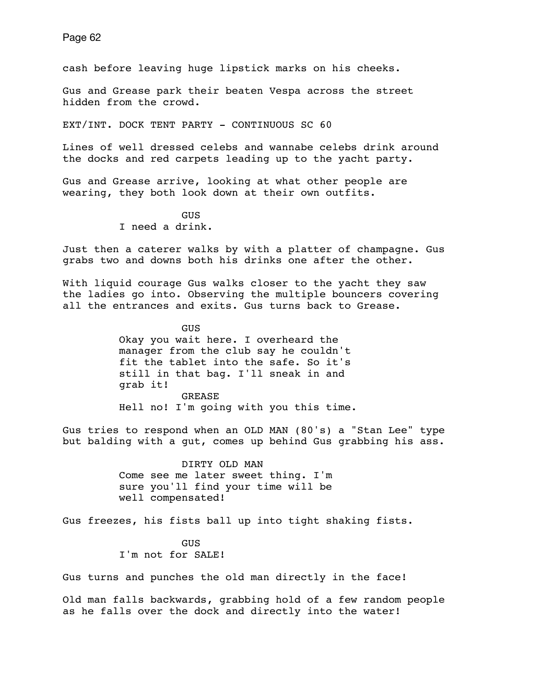cash before leaving huge lipstick marks on his cheeks.

Gus and Grease park their beaten Vespa across the street hidden from the crowd.

EXT/INT. DOCK TENT PARTY - CONTINUOUS SC 60

Lines of well dressed celebs and wannabe celebs drink around the docks and red carpets leading up to the yacht party.

Gus and Grease arrive, looking at what other people are wearing, they both look down at their own outfits.

> GUS I need a drink.

Just then a caterer walks by with a platter of champagne. Gus grabs two and downs both his drinks one after the other.

With liquid courage Gus walks closer to the yacht they saw the ladies go into. Observing the multiple bouncers covering all the entrances and exits. Gus turns back to Grease.

**GUS GUS**  Okay you wait here. I overheard the manager from the club say he couldn't fit the tablet into the safe. So it's still in that bag. I'll sneak in and grab it! GREASE Hell no! I'm going with you this time.

Gus tries to respond when an OLD MAN (80's) a "Stan Lee" type but balding with a gut, comes up behind Gus grabbing his ass.

> DIRTY OLD MAN Come see me later sweet thing. I'm sure you'll find your time will be well compensated!

Gus freezes, his fists ball up into tight shaking fists.

**GUS GUS** I'm not for SALE!

Gus turns and punches the old man directly in the face!

Old man falls backwards, grabbing hold of a few random people as he falls over the dock and directly into the water!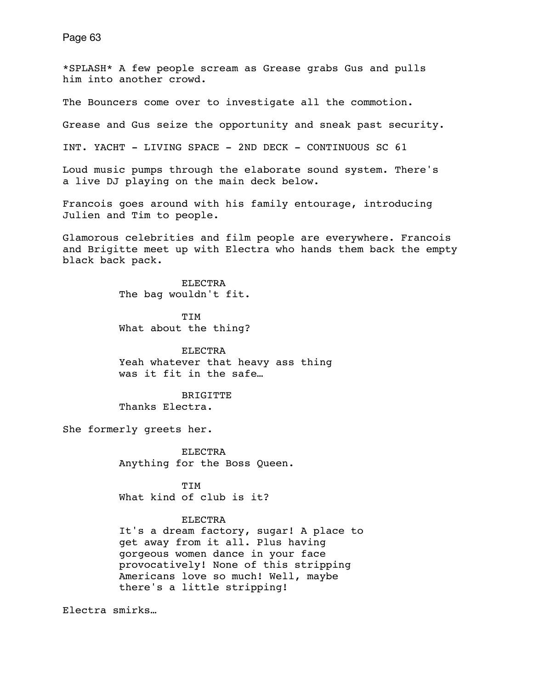\*SPLASH\* A few people scream as Grease grabs Gus and pulls him into another crowd.

The Bouncers come over to investigate all the commotion.

Grease and Gus seize the opportunity and sneak past security.

INT. YACHT - LIVING SPACE - 2ND DECK - CONTINUOUS SC 61

Loud music pumps through the elaborate sound system. There's a live DJ playing on the main deck below.

Francois goes around with his family entourage, introducing Julien and Tim to people.

Glamorous celebrities and film people are everywhere. Francois and Brigitte meet up with Electra who hands them back the empty black back pack.

> ELECTRA The bag wouldn't fit.

 TIM What about the thing?

 ELECTRA Yeah whatever that heavy ass thing was it fit in the safe…

 BRIGITTE Thanks Electra.

She formerly greets her.

 ELECTRA Anything for the Boss Queen.

 TIM What kind of club is it?

### ELECTRA

 It's a dream factory, sugar! A place to get away from it all. Plus having gorgeous women dance in your face provocatively! None of this stripping Americans love so much! Well, maybe there's a little stripping!

Electra smirks…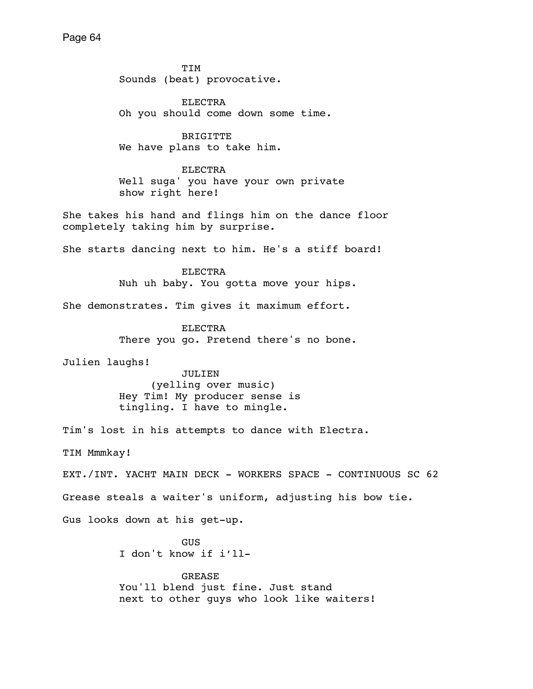TIM Sounds (beat) provocative. ELECTRA Oh you should come down some time. **BRIGITTE**  We have plans to take him. ELECTRA Well suga' you have your own private show right here! She takes his hand and flings him on the dance floor completely taking him by surprise. She starts dancing next to him. He's a stiff board! ELECTRA Nuh uh baby. You gotta move your hips. She demonstrates. Tim gives it maximum effort. ELECTRA There you go. Pretend there's no bone. Julien laughs! JULIEN (yelling over music) Hey Tim! My producer sense is tingling. I have to mingle. Tim's lost in his attempts to dance with Electra. TIM Mmmkay! EXT./INT. YACHT MAIN DECK - WORKERS SPACE - CONTINUOUS SC 62 Grease steals a waiter's uniform, adjusting his bow tie. Gus looks down at his get-up. GUS I don't know if i'll- GREASE You'll blend just fine. Just stand next to other guys who look like waiters!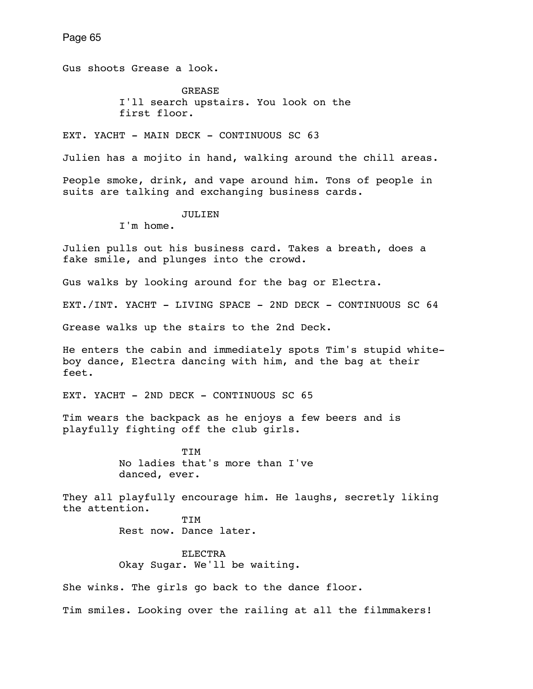Gus shoots Grease a look.

**GREASE**  I'll search upstairs. You look on the first floor.

EXT. YACHT - MAIN DECK - CONTINUOUS SC 63

Julien has a mojito in hand, walking around the chill areas.

People smoke, drink, and vape around him. Tons of people in suits are talking and exchanging business cards.

JULIEN

I'm home.

Julien pulls out his business card. Takes a breath, does a fake smile, and plunges into the crowd.

Gus walks by looking around for the bag or Electra.

EXT./INT. YACHT - LIVING SPACE - 2ND DECK - CONTINUOUS SC 64

Grease walks up the stairs to the 2nd Deck.

He enters the cabin and immediately spots Tim's stupid whiteboy dance, Electra dancing with him, and the bag at their feet.

EXT. YACHT - 2ND DECK - CONTINUOUS SC 65

Tim wears the backpack as he enjoys a few beers and is playfully fighting off the club girls.

 TIM No ladies that's more than I've danced, ever.

They all playfully encourage him. He laughs, secretly liking the attention.

 TIM Rest now. Dance later.

> ELECTRA Okay Sugar. We'll be waiting.

She winks. The girls go back to the dance floor.

Tim smiles. Looking over the railing at all the filmmakers!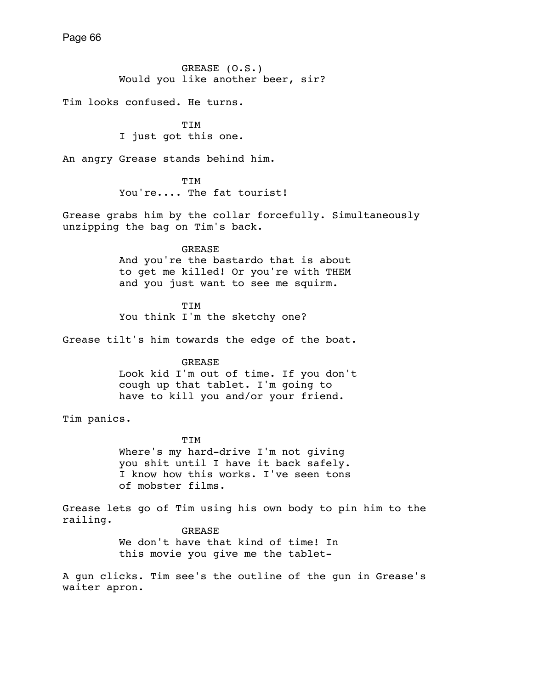GREASE (O.S.) Would you like another beer, sir?

Tim looks confused. He turns.

**TTM** I just got this one.

An angry Grease stands behind him.

 TIM You're.... The fat tourist!

Grease grabs him by the collar forcefully. Simultaneously unzipping the bag on Tim's back.

> GREASE And you're the bastardo that is about to get me killed! Or you're with THEM and you just want to see me squirm.

 TIM You think I'm the sketchy one?

Grease tilt's him towards the edge of the boat.

 GREASE Look kid I'm out of time. If you don't cough up that tablet. I'm going to have to kill you and/or your friend.

Tim panics.

 TIM Where's my hard-drive I'm not giving you shit until I have it back safely. I know how this works. I've seen tons of mobster films.

Grease lets go of Tim using his own body to pin him to the railing. GREASE We don't have that kind of time! In this movie you give me the tablet-

A gun clicks. Tim see's the outline of the gun in Grease's waiter apron.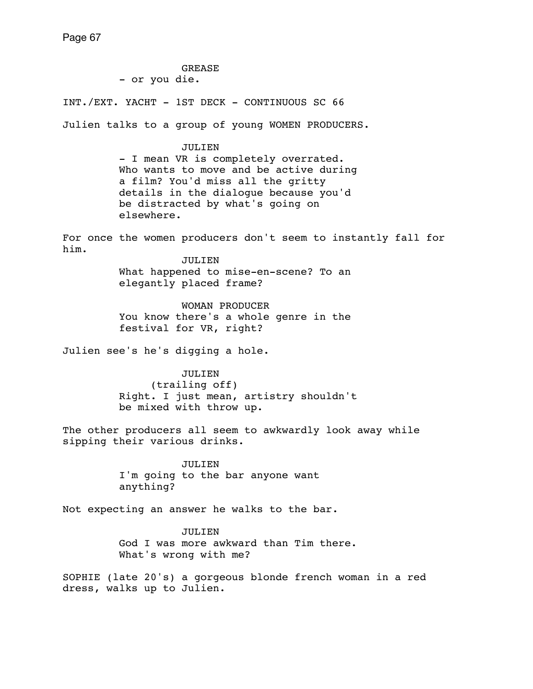GREASE - or you die. INT./EXT. YACHT - 1ST DECK - CONTINUOUS SC 66 Julien talks to a group of young WOMEN PRODUCERS. JULIEN - I mean VR is completely overrated. Who wants to move and be active during a film? You'd miss all the gritty details in the dialogue because you'd be distracted by what's going on elsewhere. For once the women producers don't seem to instantly fall for him. JULIEN. What happened to mise-en-scene? To an elegantly placed frame? WOMAN PRODUCER You know there's a whole genre in the festival for VR, right? Julien see's he's digging a hole. JULIEN (trailing off) Right. I just mean, artistry shouldn't be mixed with throw up. The other producers all seem to awkwardly look away while sipping their various drinks. JULIEN I'm going to the bar anyone want anything? Not expecting an answer he walks to the bar. JULIEN. God I was more awkward than Tim there. What's wrong with me? SOPHIE (late 20's) a gorgeous blonde french woman in a red dress, walks up to Julien.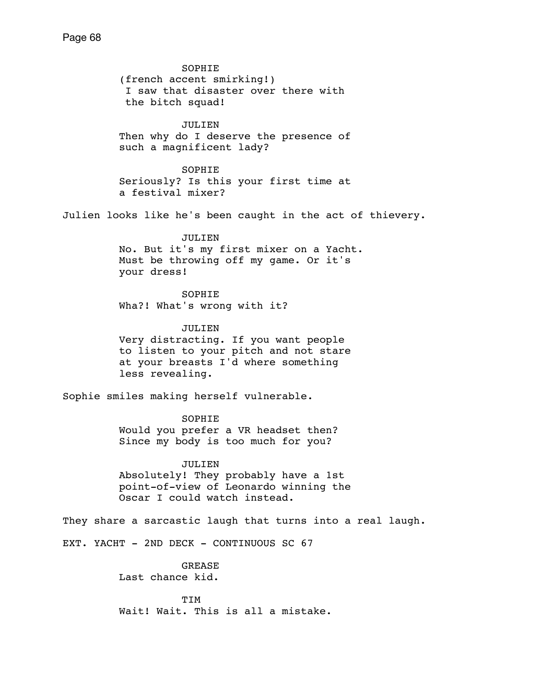SOPHIE (french accent smirking!) I saw that disaster over there with the bitch squad! JULIEN Then why do I deserve the presence of such a magnificent lady? **SOPHIE**  Seriously? Is this your first time at a festival mixer? Julien looks like he's been caught in the act of thievery. JULIEN No. But it's my first mixer on a Yacht. Must be throwing off my game. Or it's your dress! SOPHIE Wha?! What's wrong with it? JULIEN Very distracting. If you want people to listen to your pitch and not stare at your breasts I'd where something less revealing. Sophie smiles making herself vulnerable. SOPHIE Would you prefer a VR headset then? Since my body is too much for you? JULIEN Absolutely! They probably have a 1st point-of-view of Leonardo winning the Oscar I could watch instead. They share a sarcastic laugh that turns into a real laugh. EXT. YACHT - 2ND DECK - CONTINUOUS SC 67 GREASE Last chance kid. TIM Wait! Wait. This is all a mistake.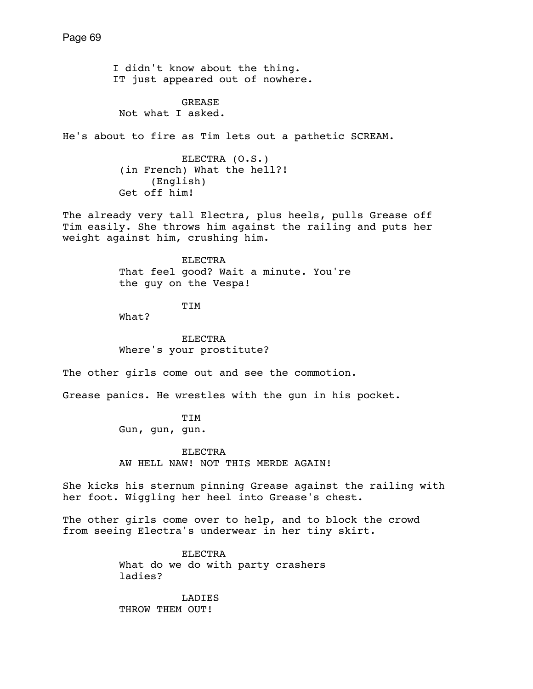I didn't know about the thing. IT just appeared out of nowhere.

 GREASE Not what I asked.

He's about to fire as Tim lets out a pathetic SCREAM.

 ELECTRA (O.S.) (in French) What the hell?! (English) Get off him!

The already very tall Electra, plus heels, pulls Grease off Tim easily. She throws him against the railing and puts her weight against him, crushing him.

> **ELECTRA**  That feel good? Wait a minute. You're the guy on the Vespa!

> > TIM

What?

 ELECTRA Where's your prostitute?

The other girls come out and see the commotion.

Grease panics. He wrestles with the gun in his pocket.

 TIM Gun, gun, gun.

 ELECTRA AW HELL NAW! NOT THIS MERDE AGAIN!

She kicks his sternum pinning Grease against the railing with her foot. Wiggling her heel into Grease's chest.

The other girls come over to help, and to block the crowd from seeing Electra's underwear in her tiny skirt.

> ELECTRA What do we do with party crashers ladies?

 LADIES THROW THEM OUT!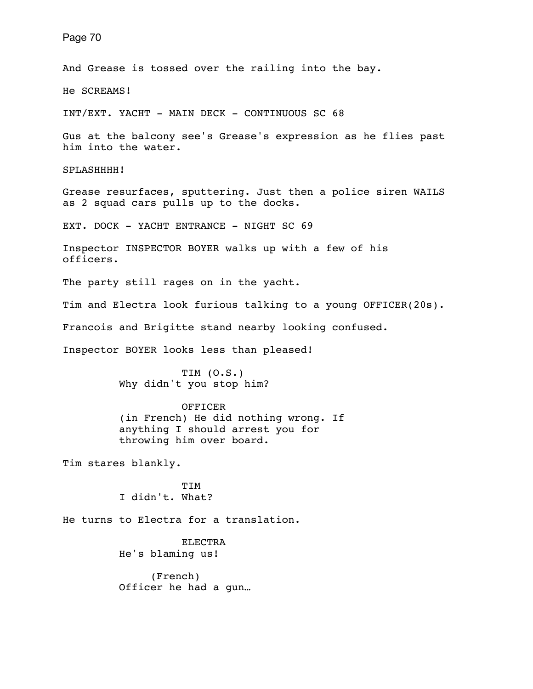And Grease is tossed over the railing into the bay.

He SCREAMS!

INT/EXT. YACHT - MAIN DECK - CONTINUOUS SC 68

Gus at the balcony see's Grease's expression as he flies past him into the water.

SPLASHHHH!

Grease resurfaces, sputtering. Just then a police siren WAILS as 2 squad cars pulls up to the docks.

EXT. DOCK - YACHT ENTRANCE - NIGHT SC 69

Inspector INSPECTOR BOYER walks up with a few of his officers.

The party still rages on in the yacht.

Tim and Electra look furious talking to a young OFFICER(20s).

Francois and Brigitte stand nearby looking confused.

Inspector BOYER looks less than pleased!

 TIM (O.S.) Why didn't you stop him?

 OFFICER (in French) He did nothing wrong. If anything I should arrest you for throwing him over board.

Tim stares blankly.

 TIM I didn't. What?

He turns to Electra for a translation.

 ELECTRA He's blaming us!

 (French) Officer he had a gun…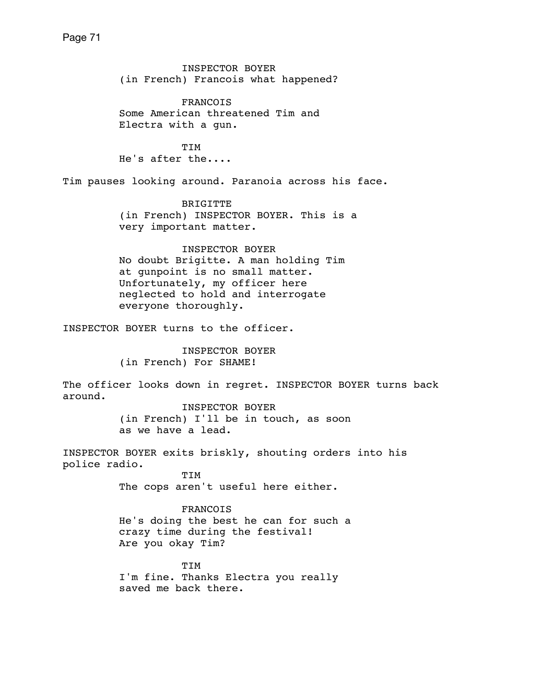INSPECTOR BOYER (in French) Francois what happened? FRANCOIS Some American threatened Tim and Electra with a gun. TIM He's after the.... Tim pauses looking around. Paranoia across his face. BRIGITTE (in French) INSPECTOR BOYER. This is a very important matter. INSPECTOR BOYER No doubt Brigitte. A man holding Tim at gunpoint is no small matter. Unfortunately, my officer here neglected to hold and interrogate everyone thoroughly. INSPECTOR BOYER turns to the officer. INSPECTOR BOYER (in French) For SHAME! The officer looks down in regret. INSPECTOR BOYER turns back around. INSPECTOR BOYER (in French) I'll be in touch, as soon as we have a lead. INSPECTOR BOYER exits briskly, shouting orders into his police radio. TIM The cops aren't useful here either. FRANCOIS He's doing the best he can for such a crazy time during the festival! Are you okay Tim? TIM I'm fine. Thanks Electra you really saved me back there.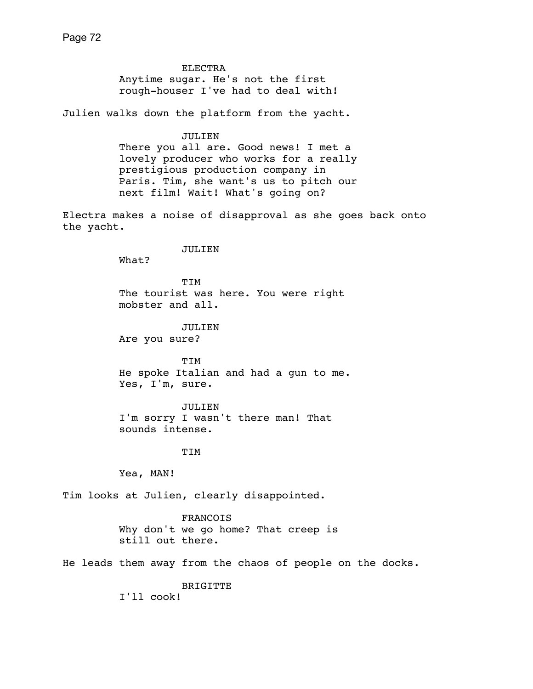ELECTRA Anytime sugar. He's not the first rough-houser I've had to deal with!

Julien walks down the platform from the yacht.

 JULIEN There you all are. Good news! I met a lovely producer who works for a really prestigious production company in Paris. Tim, she want's us to pitch our next film! Wait! What's going on?

Electra makes a noise of disapproval as she goes back onto the yacht.

JULIEN

What?

 TIM The tourist was here. You were right mobster and all.

 JULIEN Are you sure?

 TIM He spoke Italian and had a gun to me. Yes, I'm, sure.

 JULIEN I'm sorry I wasn't there man! That sounds intense.

**TIM** 

Yea, MAN!

Tim looks at Julien, clearly disappointed.

 FRANCOIS Why don't we go home? That creep is still out there.

He leads them away from the chaos of people on the docks.

BRIGITTE

I'll cook!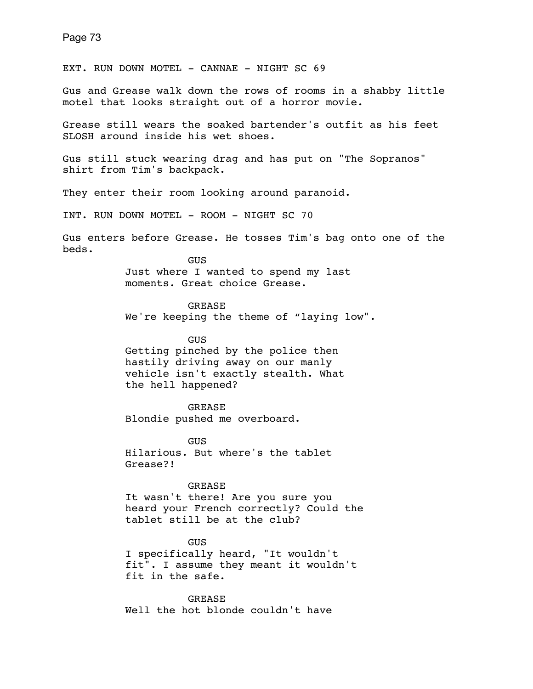EXT. RUN DOWN MOTEL - CANNAE - NIGHT SC 69

Gus and Grease walk down the rows of rooms in a shabby little motel that looks straight out of a horror movie.

Grease still wears the soaked bartender's outfit as his feet SLOSH around inside his wet shoes.

Gus still stuck wearing drag and has put on "The Sopranos" shirt from Tim's backpack.

They enter their room looking around paranoid.

INT. RUN DOWN MOTEL - ROOM - NIGHT SC 70

Gus enters before Grease. He tosses Tim's bag onto one of the beds.

> **GUS** Just where I wanted to spend my last moments. Great choice Grease.

 GREASE We're keeping the theme of "laying low".

 GUS Getting pinched by the police then hastily driving away on our manly vehicle isn't exactly stealth. What the hell happened?

 GREASE Blondie pushed me overboard.

GUS Hilarious. But where's the tablet Grease?!

GREASE

It wasn't there! Are you sure you heard your French correctly? Could the tablet still be at the club?

GUS

I specifically heard, "It wouldn't fit". I assume they meant it wouldn't fit in the safe.

GREASE Well the hot blonde couldn't have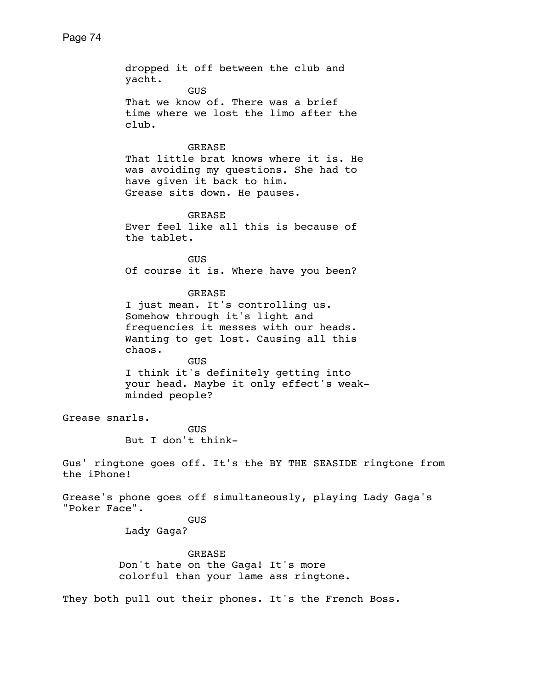dropped it off between the club and yacht. **GUS GUS** That we know of. There was a brief time where we lost the limo after the club. GREASE That little brat knows where it is. He was avoiding my questions. She had to have given it back to him. Grease sits down. He pauses. GREASE Ever feel like all this is because of the tablet. GUS Of course it is. Where have you been? GREASE I just mean. It's controlling us. Somehow through it's light and frequencies it messes with our heads. Wanting to get lost. Causing all this chaos. **GUS GUS**  I think it's definitely getting into your head. Maybe it only effect's weak minded people? Grease snarls. GUS But I don't think-Gus' ringtone goes off. It's the BY THE SEASIDE ringtone from the iPhone! Grease's phone goes off simultaneously, playing Lady Gaga's "Poker Face". GUS Lady Gaga? GREASE Don't hate on the Gaga! It's more colorful than your lame ass ringtone. They both pull out their phones. It's the French Boss.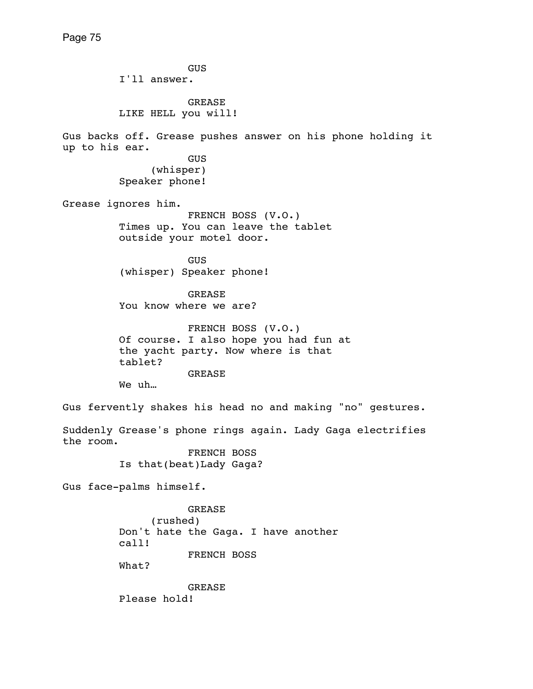GUS I'll answer. **GREASE**  LIKE HELL you will! Gus backs off. Grease pushes answer on his phone holding it up to his ear. GUS (whisper) Speaker phone! Grease ignores him. FRENCH BOSS (V.O.) Times up. You can leave the tablet outside your motel door. **GUS**  (whisper) Speaker phone! GREASE You know where we are? FRENCH BOSS (V.O.) Of course. I also hope you had fun at the yacht party. Now where is that tablet? GREASE We uh… Gus fervently shakes his head no and making "no" gestures. Suddenly Grease's phone rings again. Lady Gaga electrifies the room. FRENCH BOSS Is that(beat)Lady Gaga? Gus face-palms himself. GREASE (rushed) Don't hate the Gaga. I have another call! FRENCH BOSS What? GREASE

Please hold!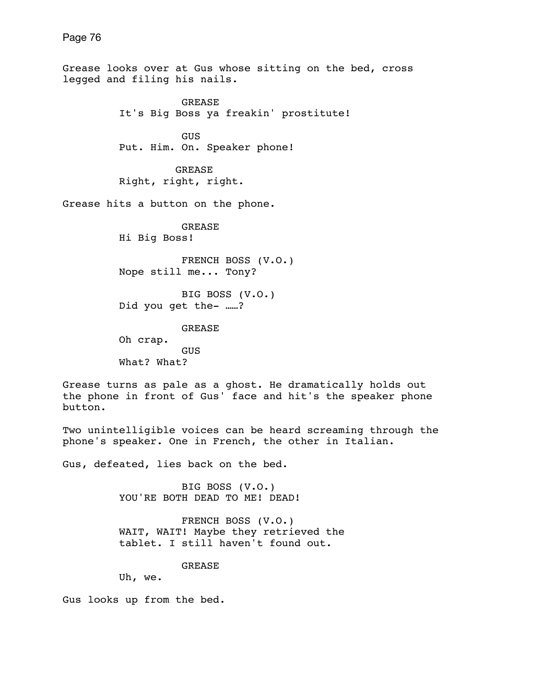Grease looks over at Gus whose sitting on the bed, cross legged and filing his nails. GREASE It's Big Boss ya freakin' prostitute! **GUS GUS**  Put. Him. On. Speaker phone! GREASE Right, right, right. Grease hits a button on the phone. GREASE Hi Big Boss! FRENCH BOSS (V.O.) Nope still me... Tony? BIG BOSS (V.O.) Did you get the- ……? GREASE Oh crap. GUS What? What? Grease turns as pale as a ghost. He dramatically holds out the phone in front of Gus' face and hit's the speaker phone button. Two unintelligible voices can be heard screaming through the phone's speaker. One in French, the other in Italian. Gus, defeated, lies back on the bed. BIG BOSS (V.O.) YOU'RE BOTH DEAD TO ME! DEAD! FRENCH BOSS (V.O.) WAIT, WAIT! Maybe they retrieved the tablet. I still haven't found out. GREASE Uh, we.

Gus looks up from the bed.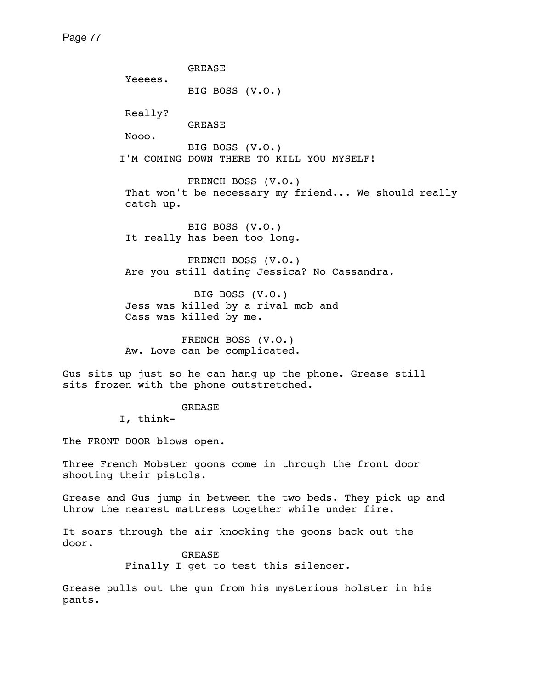GREASE Yeeees. BIG BOSS (V.O.) Really? GREASE Nooo. BIG BOSS (V.O.) I'M COMING DOWN THERE TO KILL YOU MYSELF! FRENCH BOSS (V.O.) That won't be necessary my friend... We should really catch up. BIG BOSS (V.O.) It really has been too long. FRENCH BOSS (V.O.) Are you still dating Jessica? No Cassandra. BIG BOSS (V.O.) Jess was killed by a rival mob and Cass was killed by me. FRENCH BOSS (V.O.) Aw. Love can be complicated. Gus sits up just so he can hang up the phone. Grease still sits frozen with the phone outstretched. GREASE I, think-The FRONT DOOR blows open. Three French Mobster goons come in through the front door shooting their pistols.

Grease and Gus jump in between the two beds. They pick up and throw the nearest mattress together while under fire.

It soars through the air knocking the goons back out the door.

> GREASE Finally I get to test this silencer.

Grease pulls out the gun from his mysterious holster in his pants.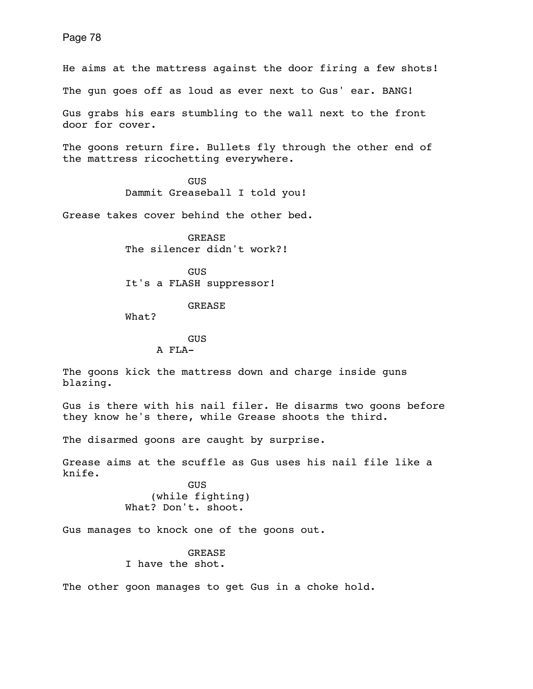He aims at the mattress against the door firing a few shots! The gun goes off as loud as ever next to Gus' ear. BANG! Gus grabs his ears stumbling to the wall next to the front door for cover.

The goons return fire. Bullets fly through the other end of the mattress ricochetting everywhere.

> GUS Dammit Greaseball I told you!

Grease takes cover behind the other bed.

 GREASE The silencer didn't work?!

 GUS It's a FLASH suppressor!

### GREASE

What?

# GUS A FLA-

The goons kick the mattress down and charge inside guns blazing.

Gus is there with his nail filer. He disarms two goons before they know he's there, while Grease shoots the third.

The disarmed goons are caught by surprise.

Grease aims at the scuffle as Gus uses his nail file like a knife.

 GUS (while fighting) What? Don't. shoot.

Gus manages to knock one of the goons out.

GREASE I have the shot.

The other goon manages to get Gus in a choke hold.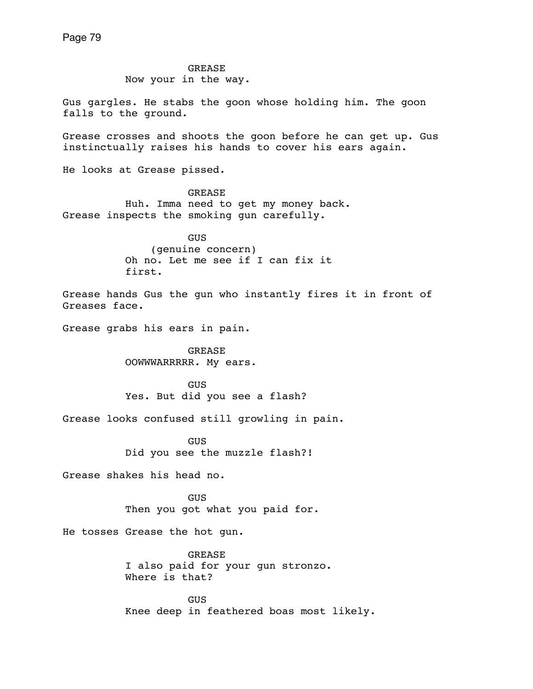GREASE Now your in the way.

Gus gargles. He stabs the goon whose holding him. The goon falls to the ground.

Grease crosses and shoots the goon before he can get up. Gus instinctually raises his hands to cover his ears again.

He looks at Grease pissed.

 GREASE Huh. Imma need to get my money back. Grease inspects the smoking gun carefully.

> GUS (genuine concern) Oh no. Let me see if I can fix it first.

Grease hands Gus the gun who instantly fires it in front of Greases face.

Grease grabs his ears in pain.

 GREASE OOWWWARRRRR. My ears.

 GUS Yes. But did you see a flash?

Grease looks confused still growling in pain.

 GUS Did you see the muzzle flash?!

Grease shakes his head no.

 GUS Then you got what you paid for.

He tosses Grease the hot gun.

 GREASE I also paid for your gun stronzo. Where is that?

 GUS Knee deep in feathered boas most likely.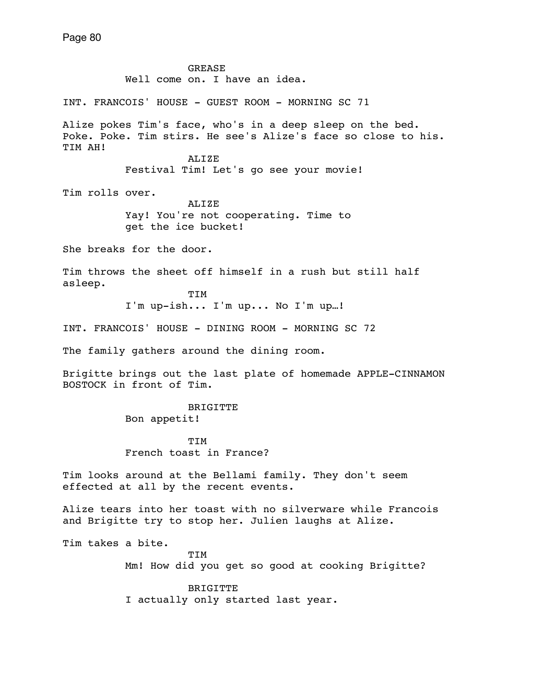GREASE Well come on. I have an idea. INT. FRANCOIS' HOUSE - GUEST ROOM - MORNING SC 71 Alize pokes Tim's face, who's in a deep sleep on the bed. Poke. Poke. Tim stirs. He see's Alize's face so close to his. TIM AH! ALIZE Festival Tim! Let's go see your movie! Tim rolls over. ALIZE Yay! You're not cooperating. Time to get the ice bucket! She breaks for the door. Tim throws the sheet off himself in a rush but still half asleep. TIM I'm up-ish... I'm up... No I'm up…! INT. FRANCOIS' HOUSE - DINING ROOM - MORNING SC 72 The family gathers around the dining room. Brigitte brings out the last plate of homemade APPLE-CINNAMON BOSTOCK in front of Tim. BRIGITTE Bon appetit! TIM French toast in France? Tim looks around at the Bellami family. They don't seem effected at all by the recent events. Alize tears into her toast with no silverware while Francois and Brigitte try to stop her. Julien laughs at Alize.

Tim takes a bite.

 TIM Mm! How did you get so good at cooking Brigitte?

 BRIGITTE I actually only started last year.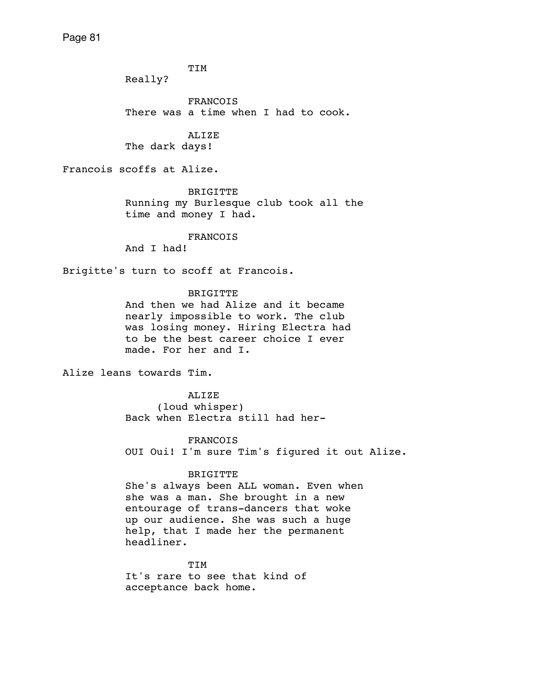TIM

Really?

 FRANCOIS There was a time when I had to cook.

 ALIZE The dark days!

Francois scoffs at Alize.

 BRIGITTE Running my Burlesque club took all the time and money I had.

# FRANCOIS

And I had!

Brigitte's turn to scoff at Francois.

BRIGITTE

 And then we had Alize and it became nearly impossible to work. The club was losing money. Hiring Electra had to be the best career choice I ever made. For her and I.

Alize leans towards Tim.

 ALIZE (loud whisper) Back when Electra still had her-

FRANCOIS

OUI Oui! I'm sure Tim's figured it out Alize.

### BRIGITTE

 She's always been ALL woman. Even when she was a man. She brought in a new entourage of trans-dancers that woke up our audience. She was such a huge help, that I made her the permanent headliner.

 TIM It's rare to see that kind of acceptance back home.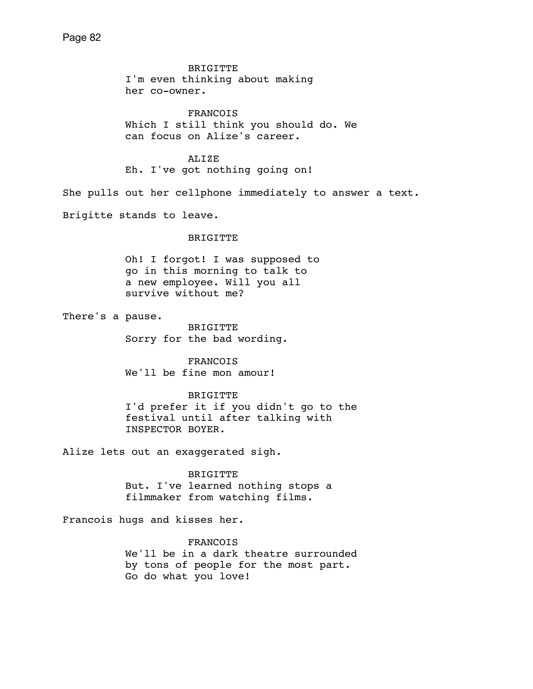BRIGITTE I'm even thinking about making her co-owner.

 FRANCOIS Which I still think you should do. We can focus on Alize's career.

 ALIZE Eh. I've got nothing going on!

She pulls out her cellphone immediately to answer a text.

Brigitte stands to leave.

#### BRIGITTE

Oh! I forgot! I was supposed to go in this morning to talk to a new employee. Will you all survive without me?

There's a pause.

 BRIGITTE Sorry for the bad wording.

 FRANCOIS We'll be fine mon amour!

#### BRIGITTE

 I'd prefer it if you didn't go to the festival until after talking with INSPECTOR BOYER.

Alize lets out an exaggerated sigh.

 BRIGITTE But. I've learned nothing stops a filmmaker from watching films.

Francois hugs and kisses her.

FRANCOIS

 We'll be in a dark theatre surrounded by tons of people for the most part. Go do what you love!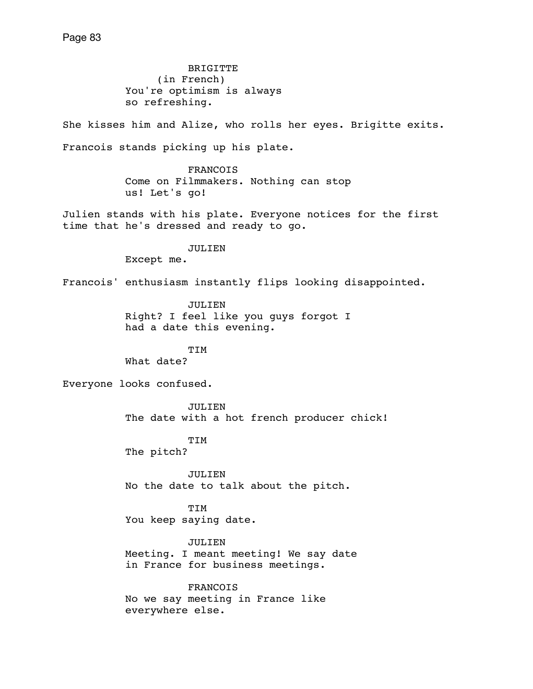BRIGITTE (in French) You're optimism is always so refreshing.

She kisses him and Alize, who rolls her eyes. Brigitte exits. Francois stands picking up his plate.

> FRANCOIS Come on Filmmakers. Nothing can stop us! Let's go!

Julien stands with his plate. Everyone notices for the first time that he's dressed and ready to go.

JULIEN

Except me.

Francois' enthusiasm instantly flips looking disappointed.

 JULIEN Right? I feel like you guys forgot I had a date this evening.

TIM

What date?

Everyone looks confused.

 JULIEN The date with a hot french producer chick!

TIM

The pitch?

 JULIEN No the date to talk about the pitch.

 TIM You keep saying date.

 JULIEN Meeting. I meant meeting! We say date in France for business meetings.

 FRANCOIS No we say meeting in France like everywhere else.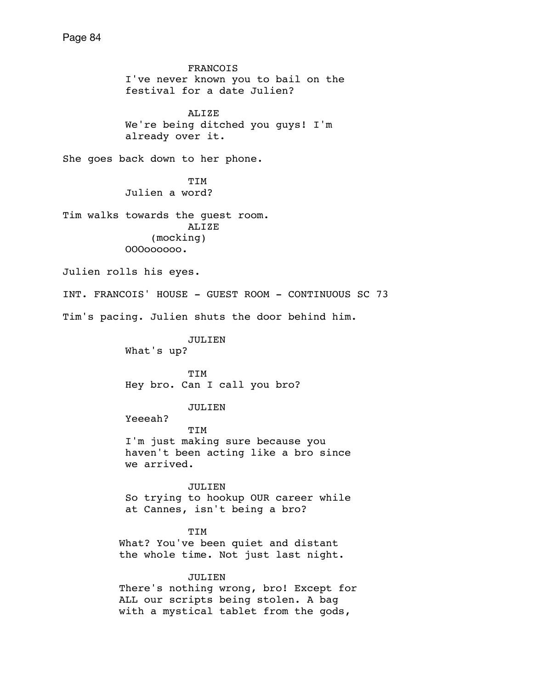FRANCOIS I've never known you to bail on the festival for a date Julien? ALIZE We're being ditched you guys! I'm already over it. She goes back down to her phone. TIM Julien a word? Tim walks towards the guest room. ALIZE (mocking) OOOoooooo. Julien rolls his eyes. INT. FRANCOIS' HOUSE - GUEST ROOM - CONTINUOUS SC 73 Tim's pacing. Julien shuts the door behind him. JULIEN What's up? TIM Hey bro. Can I call you bro? JULIEN Yeeeah? TIM I'm just making sure because you haven't been acting like a bro since we arrived. JULIEN So trying to hookup OUR career while at Cannes, isn't being a bro? TIM What? You've been quiet and distant the whole time. Not just last night. JULIEN There's nothing wrong, bro! Except for ALL our scripts being stolen. A bag with a mystical tablet from the gods,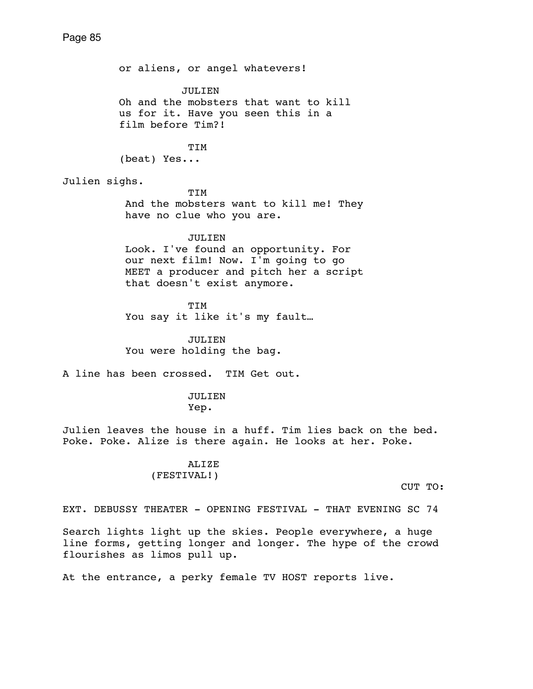or aliens, or angel whatevers! JULIEN Oh and the mobsters that want to kill us for it. Have you seen this in a film before Tim?! TIM (beat) Yes... Julien sighs. TIM And the mobsters want to kill me! They have no clue who you are. JULIEN Look. I've found an opportunity. For our next film! Now. I'm going to go MEET a producer and pitch her a script that doesn't exist anymore. TIM You say it like it's my fault… JULIEN You were holding the bag. A line has been crossed. TIM Get out. JULIEN Yep. Julien leaves the house in a huff. Tim lies back on the bed. Poke. Poke. Alize is there again. He looks at her. Poke. ALIZE (FESTIVAL!) CUT TO:

EXT. DEBUSSY THEATER - OPENING FESTIVAL - THAT EVENING SC 74

Search lights light up the skies. People everywhere, a huge line forms, getting longer and longer. The hype of the crowd flourishes as limos pull up.

At the entrance, a perky female TV HOST reports live.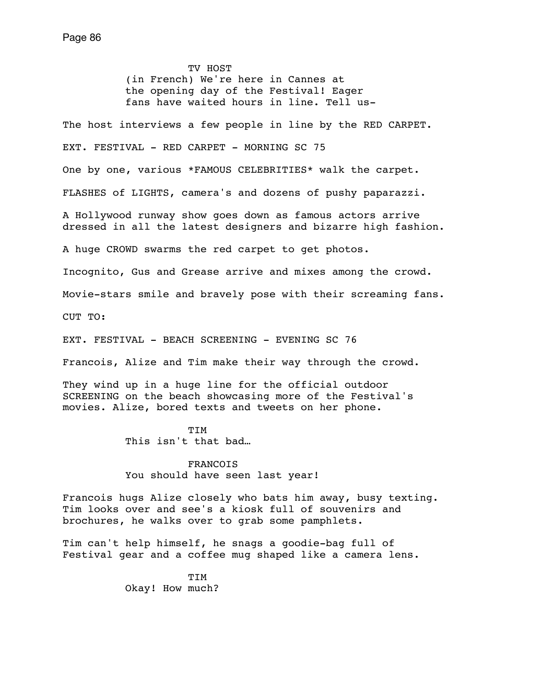TV HOST (in French) We're here in Cannes at the opening day of the Festival! Eager fans have waited hours in line. Tell us-

The host interviews a few people in line by the RED CARPET.

EXT. FESTIVAL - RED CARPET - MORNING SC 75

One by one, various \*FAMOUS CELEBRITIES\* walk the carpet.

FLASHES of LIGHTS, camera's and dozens of pushy paparazzi.

A Hollywood runway show goes down as famous actors arrive dressed in all the latest designers and bizarre high fashion.

A huge CROWD swarms the red carpet to get photos.

Incognito, Gus and Grease arrive and mixes among the crowd.

Movie-stars smile and bravely pose with their screaming fans.

CUT TO:

EXT. FESTIVAL - BEACH SCREENING - EVENING SC 76

Francois, Alize and Tim make their way through the crowd.

They wind up in a huge line for the official outdoor SCREENING on the beach showcasing more of the Festival's movies. Alize, bored texts and tweets on her phone.

 TIM This isn't that bad…

> FRANCOIS You should have seen last year!

Francois hugs Alize closely who bats him away, busy texting. Tim looks over and see's a kiosk full of souvenirs and brochures, he walks over to grab some pamphlets.

Tim can't help himself, he snags a goodie-bag full of Festival gear and a coffee mug shaped like a camera lens.

 TIM Okay! How much?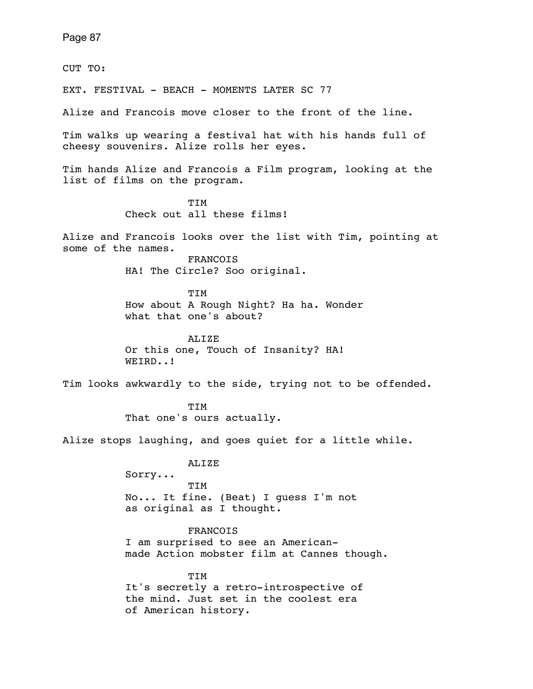CUT TO:

EXT. FESTIVAL - BEACH - MOMENTS LATER SC 77

Alize and Francois move closer to the front of the line.

Tim walks up wearing a festival hat with his hands full of cheesy souvenirs. Alize rolls her eyes.

Tim hands Alize and Francois a Film program, looking at the list of films on the program.

 TIM Check out all these films!

Alize and Francois looks over the list with Tim, pointing at some of the names.

> FRANCOIS HA! The Circle? Soo original.

 TIM How about A Rough Night? Ha ha. Wonder what that one's about?

> ALIZE Or this one, Touch of Insanity? HA! WEIRD..!

Tim looks awkwardly to the side, trying not to be offended.

 TIM That one's ours actually.

Alize stops laughing, and goes quiet for a little while.

ALIZE

 Sorry... TIM No... It fine. (Beat) I guess I'm not as original as I thought.

FRANCOIS

 I am surprised to see an American made Action mobster film at Cannes though.

TIM

 It's secretly a retro-introspective of the mind. Just set in the coolest era of American history.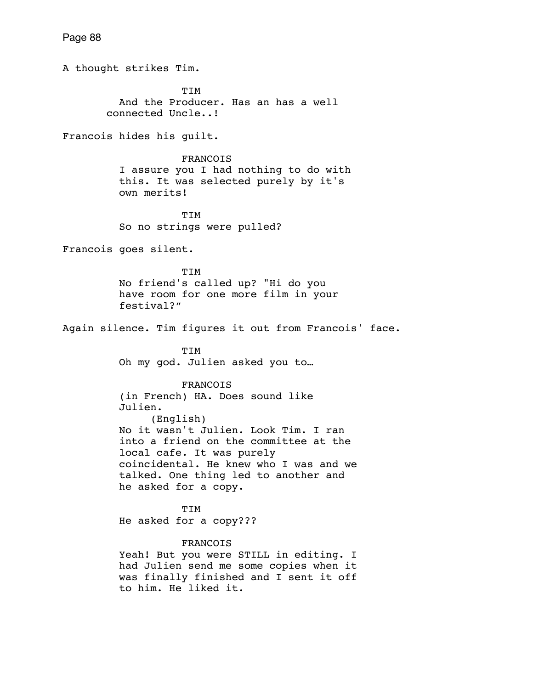Page 88 A thought strikes Tim. **TTM**  And the Producer. Has an has a well connected Uncle..! Francois hides his guilt. FRANCOIS I assure you I had nothing to do with this. It was selected purely by it's own merits! TIM So no strings were pulled? Francois goes silent. TIM No friend's called up? "Hi do you have room for one more film in your festival?" Again silence. Tim figures it out from Francois' face. TIM Oh my god. Julien asked you to… FRANCOIS (in French) HA. Does sound like Julien. (English) No it wasn't Julien. Look Tim. I ran into a friend on the committee at the local cafe. It was purely coincidental. He knew who I was and we talked. One thing led to another and he asked for a copy. TIM He asked for a copy??? FRANCOIS Yeah! But you were STILL in editing. I had Julien send me some copies when it was finally finished and I sent it off to him. He liked it.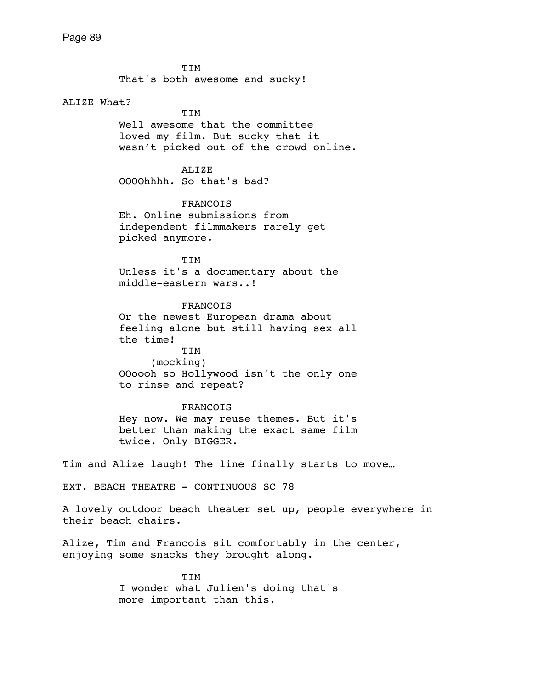TIM That's both awesome and sucky!

# ALIZE What?

 TIM Well awesome that the committee loved my film. But sucky that it wasn't picked out of the crowd online.

ALIZE OOOOhhhh. So that's bad?

 FRANCOIS Eh. Online submissions from independent filmmakers rarely get picked anymore.

**TTM**  Unless it's a documentary about the middle-eastern wars..!

 FRANCOIS Or the newest European drama about feeling alone but still having sex all the time! TIM (mocking)

 OOoooh so Hollywood isn't the only one to rinse and repeat?

# FRANCOIS

 Hey now. We may reuse themes. But it's better than making the exact same film twice. Only BIGGER.

Tim and Alize laugh! The line finally starts to move…

EXT. BEACH THEATRE - CONTINUOUS SC 78

A lovely outdoor beach theater set up, people everywhere in their beach chairs.

Alize, Tim and Francois sit comfortably in the center, enjoying some snacks they brought along.

 TIM I wonder what Julien's doing that's more important than this.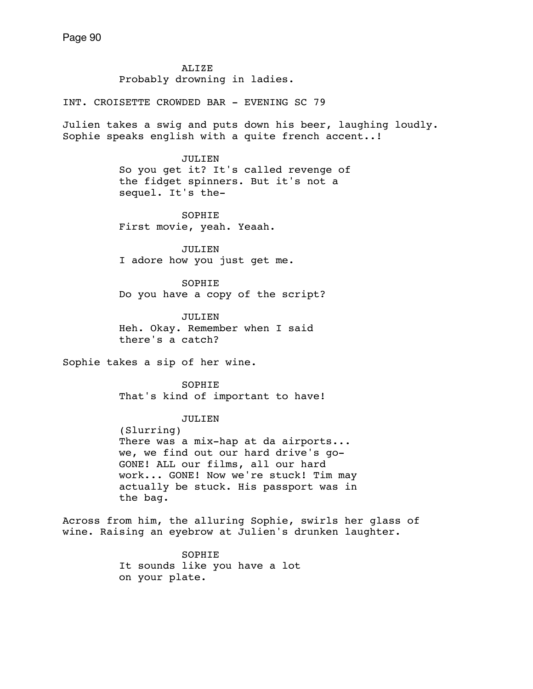ALIZE Probably drowning in ladies.

INT. CROISETTE CROWDED BAR - EVENING SC 79

Julien takes a swig and puts down his beer, laughing loudly. Sophie speaks english with a quite french accent..!

> JULIEN So you get it? It's called revenge of the fidget spinners. But it's not a sequel. It's the-

 SOPHIE First movie, yeah. Yeaah.

 JULIEN I adore how you just get me.

 SOPHIE Do you have a copy of the script?

 JULIEN Heh. Okay. Remember when I said there's a catch?

Sophie takes a sip of her wine.

 SOPHIE That's kind of important to have!

JULIEN

 (Slurring) There was a mix-hap at da airports... we, we find out our hard drive's go- GONE! ALL our films, all our hard work... GONE! Now we're stuck! Tim may actually be stuck. His passport was in the bag.

Across from him, the alluring Sophie, swirls her glass of wine. Raising an eyebrow at Julien's drunken laughter.

> SOPHIE It sounds like you have a lot on your plate.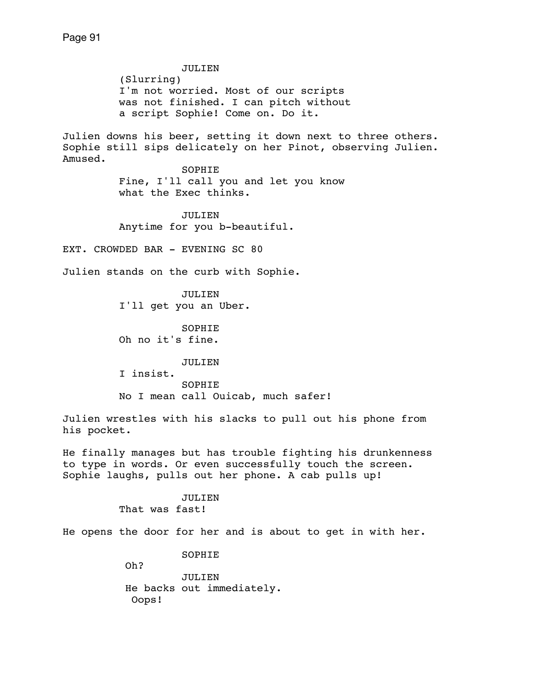JULIEN (Slurring) I'm not worried. Most of our scripts was not finished. I can pitch without a script Sophie! Come on. Do it. Julien downs his beer, setting it down next to three others. Sophie still sips delicately on her Pinot, observing Julien. Amused. SOPHIE Fine, I'll call you and let you know what the Exec thinks. JULIEN Anytime for you b-beautiful. EXT. CROWDED BAR - EVENING SC 80 Julien stands on the curb with Sophie. JULIEN I'll get you an Uber. SOPHIE Oh no it's fine. JULIEN I insist. SOPHIE No I mean call Ouicab, much safer! Julien wrestles with his slacks to pull out his phone from his pocket. He finally manages but has trouble fighting his drunkenness to type in words. Or even successfully touch the screen. Sophie laughs, pulls out her phone. A cab pulls up!

> JULIEN That was fast!

He opens the door for her and is about to get in with her.

SOPHIE

Oh?

 JULIEN He backs out immediately. Oops!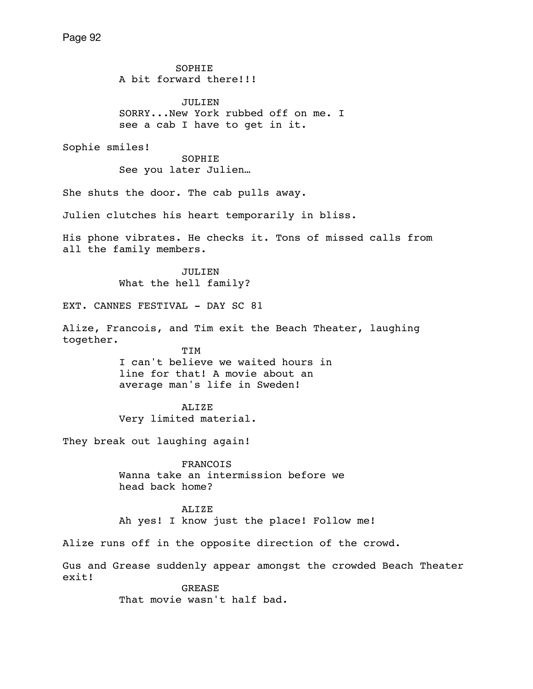SOPHIE A bit forward there!!! JULIEN SORRY...New York rubbed off on me. I see a cab I have to get in it. Sophie smiles! SOPHIE See you later Julien… She shuts the door. The cab pulls away. Julien clutches his heart temporarily in bliss. His phone vibrates. He checks it. Tons of missed calls from all the family members. JULIEN What the hell family? EXT. CANNES FESTIVAL - DAY SC 81 Alize, Francois, and Tim exit the Beach Theater, laughing together. TIM I can't believe we waited hours in line for that! A movie about an average man's life in Sweden! ALIZE Very limited material. They break out laughing again! FRANCOIS Wanna take an intermission before we head back home? ALIZE Ah yes! I know just the place! Follow me! Alize runs off in the opposite direction of the crowd. Gus and Grease suddenly appear amongst the crowded Beach Theater exit! GREASE That movie wasn't half bad.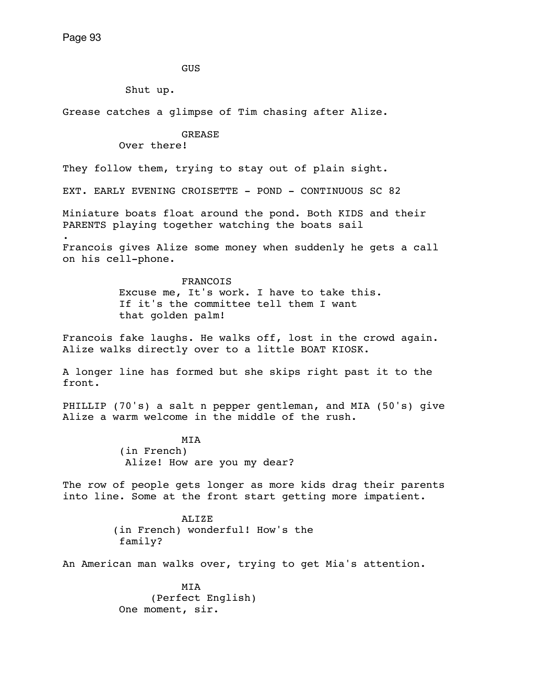.

GUS

Shut up.

Grease catches a glimpse of Tim chasing after Alize.

# GREASE

Over there!

They follow them, trying to stay out of plain sight.

EXT. EARLY EVENING CROISETTE - POND - CONTINUOUS SC 82

Miniature boats float around the pond. Both KIDS and their PARENTS playing together watching the boats sail

Francois gives Alize some money when suddenly he gets a call on his cell-phone.

# FRANCOIS

 Excuse me, It's work. I have to take this. If it's the committee tell them I want that golden palm!

Francois fake laughs. He walks off, lost in the crowd again. Alize walks directly over to a little BOAT KIOSK.

A longer line has formed but she skips right past it to the front.

PHILLIP (70's) a salt n pepper gentleman, and MIA (50's) give Alize a warm welcome in the middle of the rush.

MIA

 (in French) Alize! How are you my dear?

The row of people gets longer as more kids drag their parents into line. Some at the front start getting more impatient.

> **ALIZE**  (in French) wonderful! How's the family?

An American man walks over, trying to get Mia's attention.

 MIA (Perfect English) One moment, sir.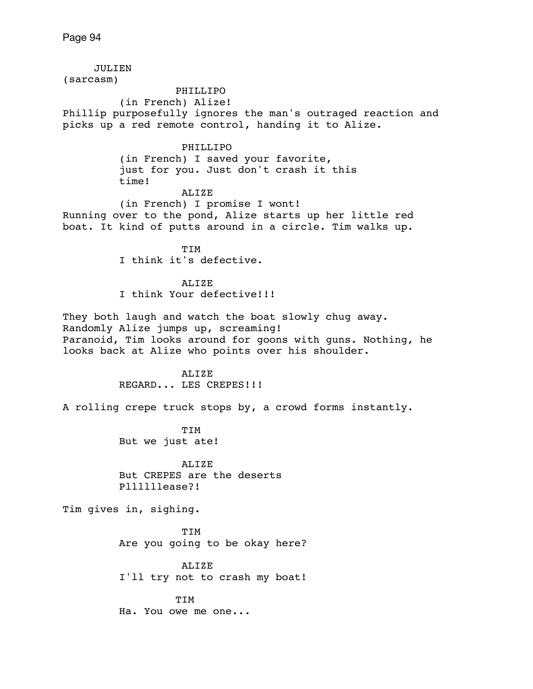JULIEN (sarcasm) PHILLIPO (in French) Alize! Phillip purposefully ignores the man's outraged reaction and picks up a red remote control, handing it to Alize. PHILLIPO (in French) I saved your favorite, just for you. Just don't crash it this time! ALIZE (in French) I promise I wont! Running over to the pond, Alize starts up her little red boat. It kind of putts around in a circle. Tim walks up. TIM I think it's defective. ALIZE I think Your defective!!! They both laugh and watch the boat slowly chug away. Randomly Alize jumps up, screaming! Paranoid, Tim looks around for goons with guns. Nothing, he looks back at Alize who points over his shoulder. ALIZE REGARD... LES CREPES!!! A rolling crepe truck stops by, a crowd forms instantly. TIM But we just ate! ALIZE But CREPES are the deserts Pllllllease?! Tim gives in, sighing. TIM Are you going to be okay here? ALIZE I'll try not to crash my boat! TIM Ha. You owe me one...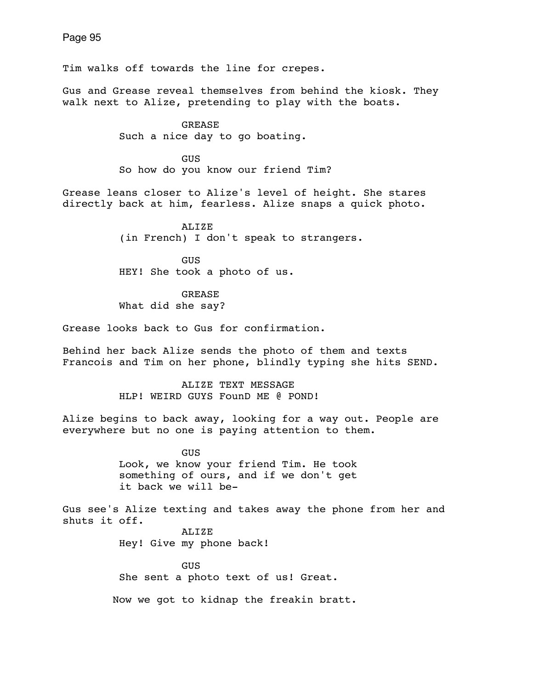Tim walks off towards the line for crepes.

Gus and Grease reveal themselves from behind the kiosk. They walk next to Alize, pretending to play with the boats.

> GREASE Such a nice day to go boating.

 GUS So how do you know our friend Tim?

Grease leans closer to Alize's level of height. She stares directly back at him, fearless. Alize snaps a quick photo.

> ALIZE (in French) I don't speak to strangers.

**GUS** HEY! She took a photo of us.

**GREASE** What did she say?

Grease looks back to Gus for confirmation.

Behind her back Alize sends the photo of them and texts Francois and Tim on her phone, blindly typing she hits SEND.

> ALIZE TEXT MESSAGE HLP! WEIRD GUYS FounD ME @ POND!

Alize begins to back away, looking for a way out. People are everywhere but no one is paying attention to them.

**GUS GUS**  Look, we know your friend Tim. He took something of ours, and if we don't get it back we will be-

Gus see's Alize texting and takes away the phone from her and shuts it off.

> ALIZE Hey! Give my phone back!

 GUS She sent a photo text of us! Great.

Now we got to kidnap the freakin bratt.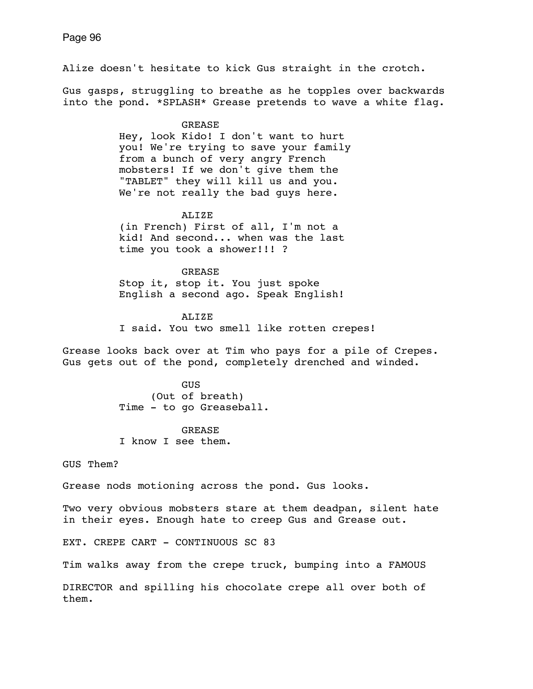Alize doesn't hesitate to kick Gus straight in the crotch. Gus gasps, struggling to breathe as he topples over backwards into the pond. \*SPLASH\* Grease pretends to wave a white flag. GREASE Hey, look Kido! I don't want to hurt you! We're trying to save your family from a bunch of very angry French mobsters! If we don't give them the "TABLET" they will kill us and you. We're not really the bad guys here. ALIZE (in French) First of all, I'm not a kid! And second... when was the last time you took a shower!!! ? GREASE Stop it, stop it. You just spoke English a second ago. Speak English! ALIZE I said. You two smell like rotten crepes! Grease looks back over at Tim who pays for a pile of Crepes. Gus gets out of the pond, completely drenched and winded. GUS (Out of breath) Time - to go Greaseball. **GREASE**  I know I see them. GUS Them? Grease nods motioning across the pond. Gus looks. Two very obvious mobsters stare at them deadpan, silent hate in their eyes. Enough hate to creep Gus and Grease out.

EXT. CREPE CART - CONTINUOUS SC 83

Tim walks away from the crepe truck, bumping into a FAMOUS

DIRECTOR and spilling his chocolate crepe all over both of them.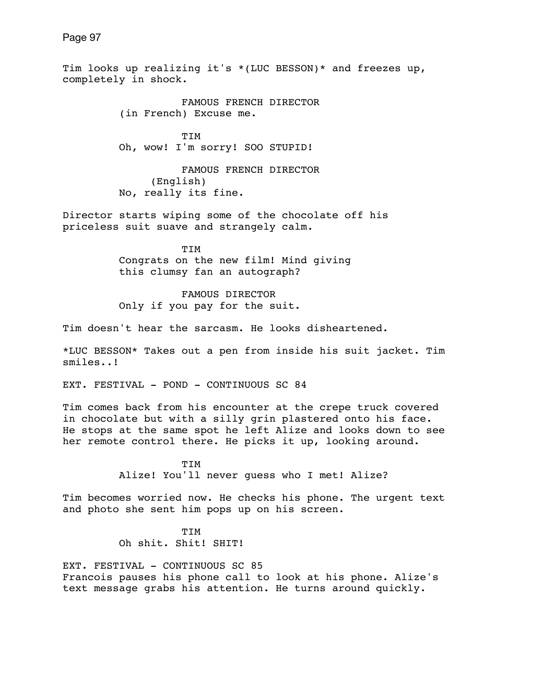Page 97 Tim looks up realizing it's \*(LUC BESSON)\* and freezes up, completely in shock. FAMOUS FRENCH DIRECTOR (in French) Excuse me. TIM Oh, wow! I'm sorry! SOO STUPID! FAMOUS FRENCH DIRECTOR (English) No, really its fine. Director starts wiping some of the chocolate off his priceless suit suave and strangely calm. TIM Congrats on the new film! Mind giving this clumsy fan an autograph? FAMOUS DIRECTOR Only if you pay for the suit. Tim doesn't hear the sarcasm. He looks disheartened. \*LUC BESSON\* Takes out a pen from inside his suit jacket. Tim smiles..! EXT. FESTIVAL - POND - CONTINUOUS SC 84

Tim comes back from his encounter at the crepe truck covered in chocolate but with a silly grin plastered onto his face. He stops at the same spot he left Alize and looks down to see her remote control there. He picks it up, looking around.

> TIM Alize! You'll never guess who I met! Alize?

Tim becomes worried now. He checks his phone. The urgent text and photo she sent him pops up on his screen.

> TIM Oh shit. Shit! SHIT!

EXT. FESTIVAL - CONTINUOUS SC 85 Francois pauses his phone call to look at his phone. Alize's text message grabs his attention. He turns around quickly.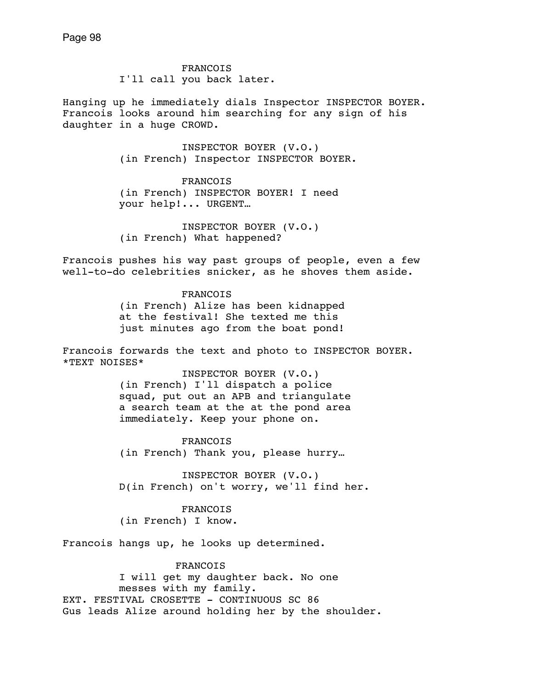FRANCOIS I'll call you back later.

Hanging up he immediately dials Inspector INSPECTOR BOYER. Francois looks around him searching for any sign of his daughter in a huge CROWD.

> INSPECTOR BOYER (V.O.) (in French) Inspector INSPECTOR BOYER.

 FRANCOIS (in French) INSPECTOR BOYER! I need your help!... URGENT…

 INSPECTOR BOYER (V.O.) (in French) What happened?

Francois pushes his way past groups of people, even a few well-to-do celebrities snicker, as he shoves them aside.

> **FRANCOIS**  (in French) Alize has been kidnapped at the festival! She texted me this just minutes ago from the boat pond!

Francois forwards the text and photo to INSPECTOR BOYER. \*TEXT NOISES\*

> INSPECTOR BOYER (V.O.) (in French) I'll dispatch a police squad, put out an APB and triangulate a search team at the at the pond area immediately. Keep your phone on.

 FRANCOIS (in French) Thank you, please hurry…

 INSPECTOR BOYER (V.O.) D(in French) on't worry, we'll find her.

 FRANCOIS (in French) I know.

Francois hangs up, he looks up determined.

 FRANCOIS I will get my daughter back. No one messes with my family. EXT. FESTIVAL CROSETTE - CONTINUOUS SC 86 Gus leads Alize around holding her by the shoulder.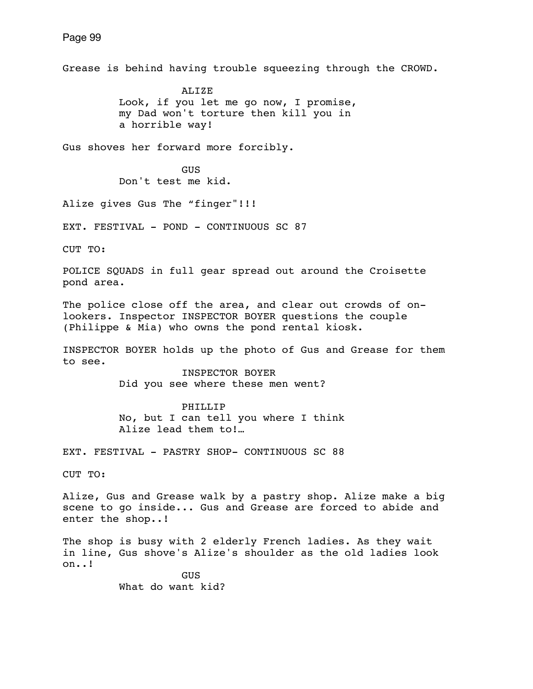Grease is behind having trouble squeezing through the CROWD.

 ALIZE Look, if you let me go now, I promise, my Dad won't torture then kill you in a horrible way!

Gus shoves her forward more forcibly.

**GUS GUS** Don't test me kid.

Alize gives Gus The "finger"!!!

EXT. FESTIVAL - POND - CONTINUOUS SC 87

CUT TO:

POLICE SQUADS in full gear spread out around the Croisette pond area.

The police close off the area, and clear out crowds of onlookers. Inspector INSPECTOR BOYER questions the couple (Philippe & Mia) who owns the pond rental kiosk.

INSPECTOR BOYER holds up the photo of Gus and Grease for them to see.

 INSPECTOR BOYER Did you see where these men went?

 PHILLIP No, but I can tell you where I think Alize lead them to!…

EXT. FESTIVAL - PASTRY SHOP- CONTINUOUS SC 88

CUT TO:

Alize, Gus and Grease walk by a pastry shop. Alize make a big scene to go inside... Gus and Grease are forced to abide and enter the shop..!

The shop is busy with 2 elderly French ladies. As they wait in line, Gus shove's Alize's shoulder as the old ladies look on..!

> GUS What do want kid?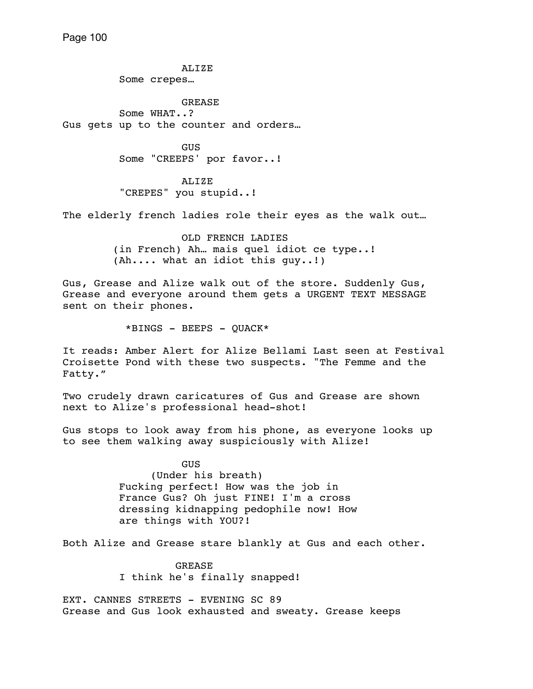ALIZE Some crepes…

 GREASE Some WHAT..? Gus gets up to the counter and orders…

> GUS Some "CREEPS' por favor..!

 ALIZE "CREPES" you stupid..!

The elderly french ladies role their eyes as the walk out...

 OLD FRENCH LADIES (in French) Ah… mais quel idiot ce type..! (Ah.... what an idiot this guy..!)

Gus, Grease and Alize walk out of the store. Suddenly Gus, Grease and everyone around them gets a URGENT TEXT MESSAGE sent on their phones.

 $*BINGS$  - BEEPS - QUACK\*

It reads: Amber Alert for Alize Bellami Last seen at Festival Croisette Pond with these two suspects. "The Femme and the Fatty."

Two crudely drawn caricatures of Gus and Grease are shown next to Alize's professional head-shot!

Gus stops to look away from his phone, as everyone looks up to see them walking away suspiciously with Alize!

> GUS (Under his breath) Fucking perfect! How was the job in France Gus? Oh just FINE! I'm a cross dressing kidnapping pedophile now! How are things with YOU?!

Both Alize and Grease stare blankly at Gus and each other.

 GREASE I think he's finally snapped!

EXT. CANNES STREETS - EVENING SC 89 Grease and Gus look exhausted and sweaty. Grease keeps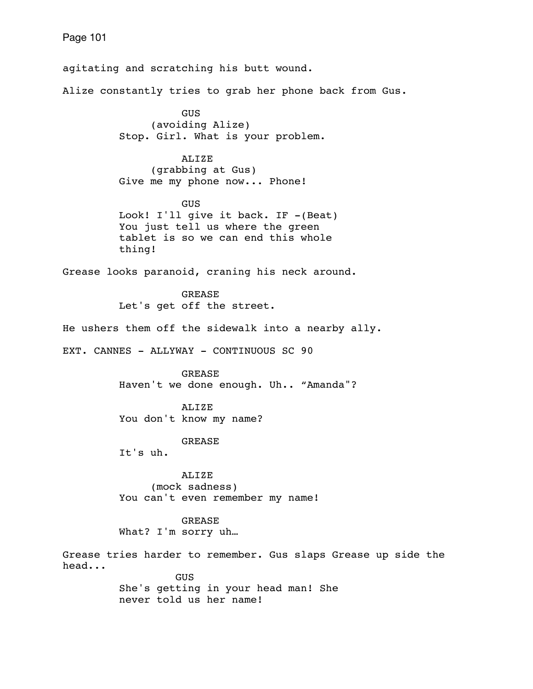agitating and scratching his butt wound. Alize constantly tries to grab her phone back from Gus. GUS (avoiding Alize) Stop. Girl. What is your problem. ALIZE (grabbing at Gus) Give me my phone now... Phone! GUS Look! I'll give it back. IF -(Beat) You just tell us where the green tablet is so we can end this whole thing! Grease looks paranoid, craning his neck around. **GREASE**  Let's get off the street. He ushers them off the sidewalk into a nearby ally. EXT. CANNES - ALLYWAY - CONTINUOUS SC 90 GREASE Haven't we done enough. Uh.. "Amanda"? ALIZE You don't know my name? GREASE It's uh. ALIZE (mock sadness) You can't even remember my name! GREASE What? I'm sorry uh… Grease tries harder to remember. Gus slaps Grease up side the head... **GUS**  She's getting in your head man! She never told us her name!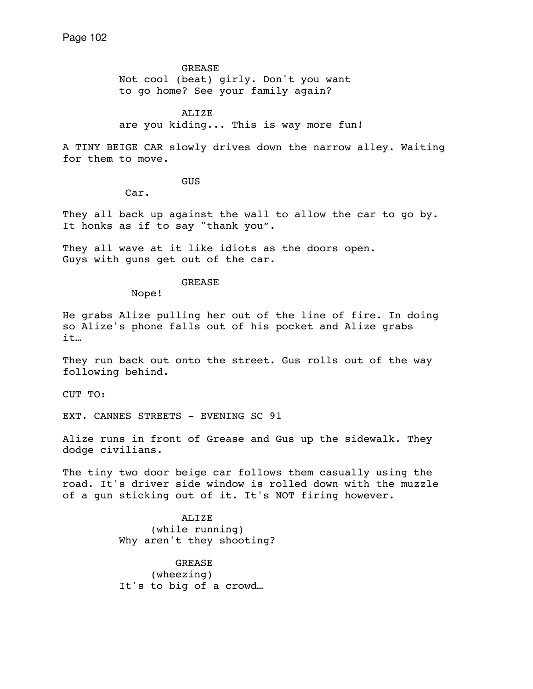GREASE Not cool (beat) girly. Don't you want to go home? See your family again?

 ALIZE are you kiding... This is way more fun!

A TINY BEIGE CAR slowly drives down the narrow alley. Waiting for them to move.

GUS

Car.

They all back up against the wall to allow the car to go by. It honks as if to say "thank you".

They all wave at it like idiots as the doors open. Guys with guns get out of the car.

# GREASE

Nope!

He grabs Alize pulling her out of the line of fire. In doing so Alize's phone falls out of his pocket and Alize grabs it…

They run back out onto the street. Gus rolls out of the way following behind.

CUT TO:

EXT. CANNES STREETS - EVENING SC 91

Alize runs in front of Grease and Gus up the sidewalk. They dodge civilians.

The tiny two door beige car follows them casually using the road. It's driver side window is rolled down with the muzzle of a gun sticking out of it. It's NOT firing however.

> ALIZE (while running) Why aren't they shooting?

 GREASE (wheezing) It's to big of a crowd…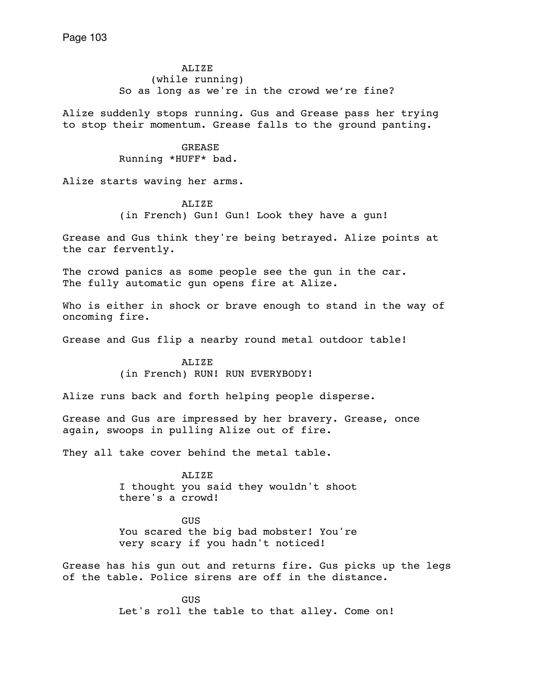ALIZE (while running) So as long as we're in the crowd we're fine?

Alize suddenly stops running. Gus and Grease pass her trying to stop their momentum. Grease falls to the ground panting.

> GREASE Running \*HUFF\* bad.

Alize starts waving her arms.

ALIZE (in French) Gun! Gun! Look they have a gun!

Grease and Gus think they're being betrayed. Alize points at the car fervently.

The crowd panics as some people see the gun in the car. The fully automatic qun opens fire at Alize.

Who is either in shock or brave enough to stand in the way of oncoming fire.

Grease and Gus flip a nearby round metal outdoor table!

 ALIZE (in French) RUN! RUN EVERYBODY!

Alize runs back and forth helping people disperse.

Grease and Gus are impressed by her bravery. Grease, once again, swoops in pulling Alize out of fire.

They all take cover behind the metal table.

 ALIZE I thought you said they wouldn't shoot there's a crowd!

 GUS You scared the big bad mobster! You're very scary if you hadn't noticed!

Grease has his gun out and returns fire. Gus picks up the legs of the table. Police sirens are off in the distance.

**GUS GUS** Let's roll the table to that alley. Come on!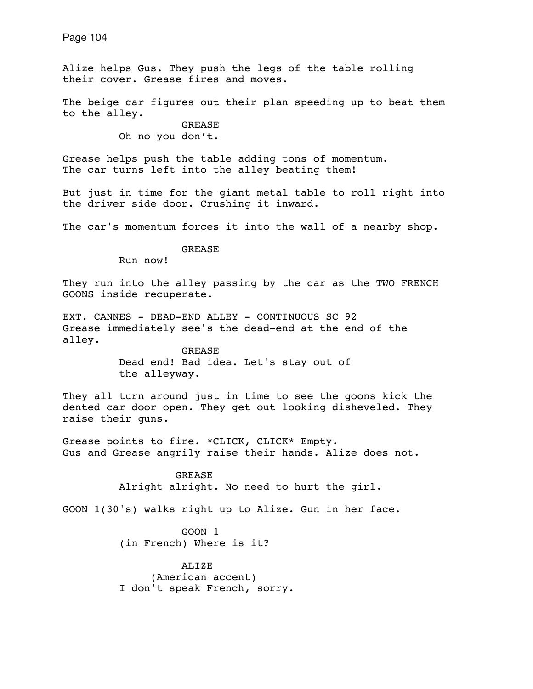Alize helps Gus. They push the legs of the table rolling their cover. Grease fires and moves.

The beige car figures out their plan speeding up to beat them to the alley.

> GREASE Oh no you don't.

Grease helps push the table adding tons of momentum. The car turns left into the alley beating them!

But just in time for the giant metal table to roll right into the driver side door. Crushing it inward.

The car's momentum forces it into the wall of a nearby shop.

GREASE

Run now!

They run into the alley passing by the car as the TWO FRENCH GOONS inside recuperate.

EXT. CANNES - DEAD-END ALLEY - CONTINUOUS SC 92 Grease immediately see's the dead-end at the end of the alley.

> GREASE Dead end! Bad idea. Let's stay out of the alleyway.

They all turn around just in time to see the goons kick the dented car door open. They get out looking disheveled. They raise their guns.

Grease points to fire. \*CLICK, CLICK\* Empty. Gus and Grease angrily raise their hands. Alize does not.

> GREASE Alright alright. No need to hurt the girl.

GOON 1(30's) walks right up to Alize. Gun in her face.

 GOON 1 (in French) Where is it?

 ALIZE (American accent) I don't speak French, sorry.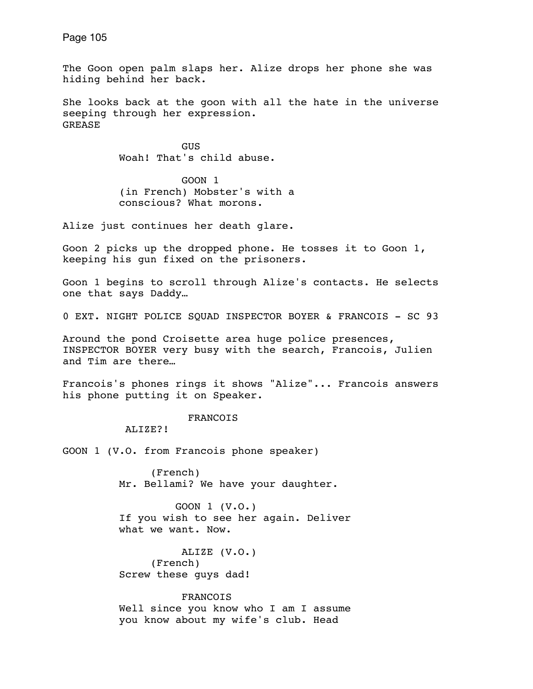The Goon open palm slaps her. Alize drops her phone she was hiding behind her back.

She looks back at the goon with all the hate in the universe seeping through her expression. **GREASE** 

**GUS GUS** Woah! That's child abuse.

> GOON 1 (in French) Mobster's with a conscious? What morons.

Alize just continues her death glare.

Goon 2 picks up the dropped phone. He tosses it to Goon 1, keeping his gun fixed on the prisoners.

Goon 1 begins to scroll through Alize's contacts. He selects one that says Daddy…

0 EXT. NIGHT POLICE SQUAD INSPECTOR BOYER & FRANCOIS - SC 93

Around the pond Croisette area huge police presences, INSPECTOR BOYER very busy with the search, Francois, Julien and Tim are there…

Francois's phones rings it shows "Alize"... Francois answers his phone putting it on Speaker.

## FRANCOIS

ALIZE?!

GOON 1 (V.O. from Francois phone speaker)

 (French) Mr. Bellami? We have your daughter.

 GOON 1 (V.O.) If you wish to see her again. Deliver what we want. Now.

 ALIZE (V.O.) (French) Screw these guys dad!

 FRANCOIS Well since you know who I am I assume you know about my wife's club. Head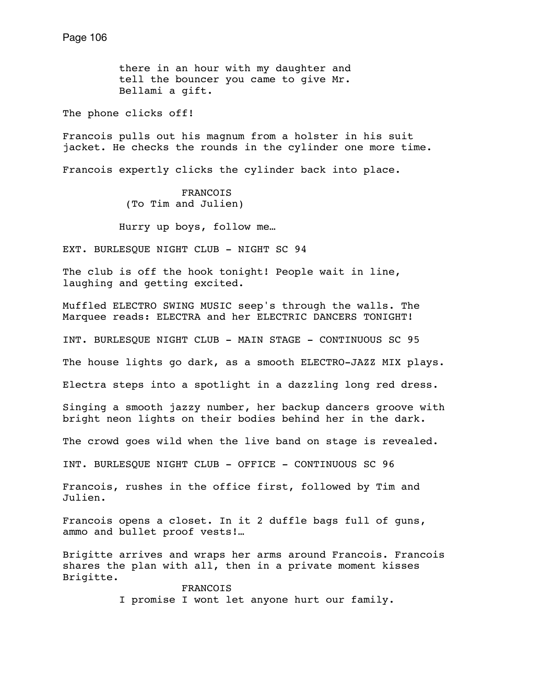there in an hour with my daughter and tell the bouncer you came to give Mr. Bellami a gift.

The phone clicks off!

Francois pulls out his magnum from a holster in his suit jacket. He checks the rounds in the cylinder one more time.

Francois expertly clicks the cylinder back into place.

 FRANCOIS (To Tim and Julien)

Hurry up boys, follow me…

EXT. BURLESQUE NIGHT CLUB - NIGHT SC 94

The club is off the hook tonight! People wait in line, laughing and getting excited.

Muffled ELECTRO SWING MUSIC seep's through the walls. The Marquee reads: ELECTRA and her ELECTRIC DANCERS TONIGHT!

INT. BURLESQUE NIGHT CLUB - MAIN STAGE - CONTINUOUS SC 95

The house lights go dark, as a smooth ELECTRO-JAZZ MIX plays.

Electra steps into a spotlight in a dazzling long red dress.

Singing a smooth jazzy number, her backup dancers groove with bright neon lights on their bodies behind her in the dark.

The crowd goes wild when the live band on stage is revealed.

INT. BURLESQUE NIGHT CLUB - OFFICE - CONTINUOUS SC 96

Francois, rushes in the office first, followed by Tim and Julien.

Francois opens a closet. In it 2 duffle bags full of guns, ammo and bullet proof vests!…

Brigitte arrives and wraps her arms around Francois. Francois shares the plan with all, then in a private moment kisses Brigitte.

 FRANCOIS I promise I wont let anyone hurt our family.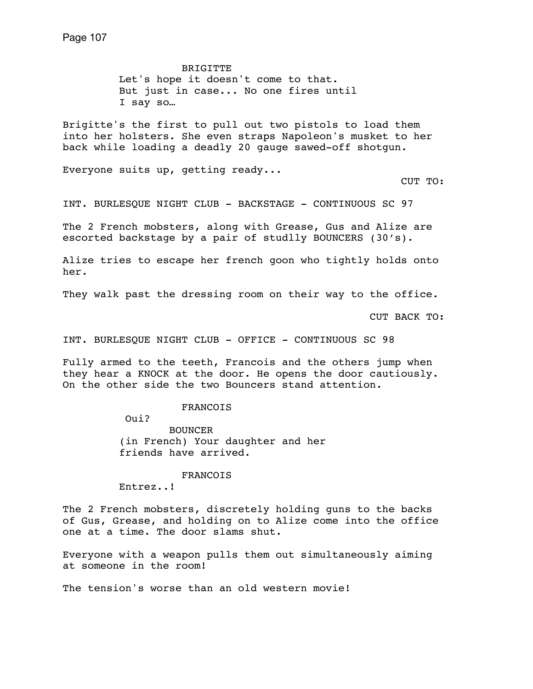BRIGITTE Let's hope it doesn't come to that. But just in case... No one fires until I say so…

Brigitte's the first to pull out two pistols to load them into her holsters. She even straps Napoleon's musket to her back while loading a deadly 20 gauge sawed-off shotgun.

Everyone suits up, getting ready...

CUT TO:

INT. BURLESQUE NIGHT CLUB - BACKSTAGE - CONTINUOUS SC 97

The 2 French mobsters, along with Grease, Gus and Alize are escorted backstage by a pair of studlly BOUNCERS (30's).

Alize tries to escape her french goon who tightly holds onto her.

They walk past the dressing room on their way to the office.

CUT BACK TO:

INT. BURLESQUE NIGHT CLUB - OFFICE - CONTINUOUS SC 98

Fully armed to the teeth, Francois and the others jump when they hear a KNOCK at the door. He opens the door cautiously. On the other side the two Bouncers stand attention.

FRANCOIS

Oui?

 BOUNCER (in French) Your daughter and her friends have arrived.

FRANCOIS

Entrez..!

The 2 French mobsters, discretely holding guns to the backs of Gus, Grease, and holding on to Alize come into the office one at a time. The door slams shut.

Everyone with a weapon pulls them out simultaneously aiming at someone in the room!

The tension's worse than an old western movie!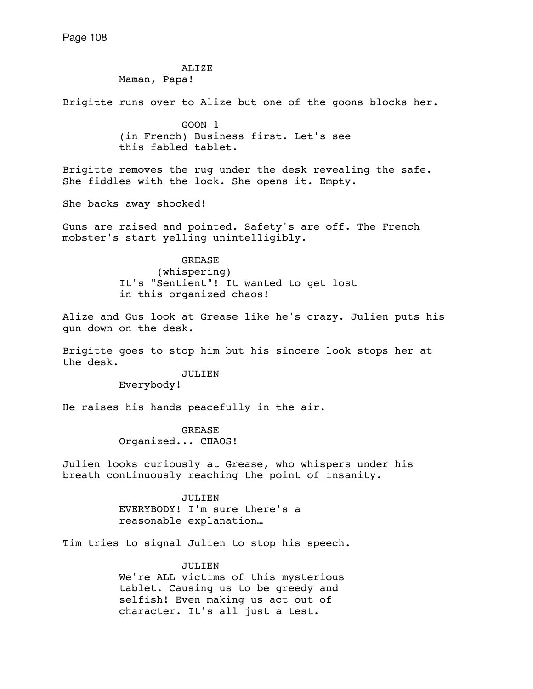ALIZE

Maman, Papa!

Brigitte runs over to Alize but one of the goons blocks her.

 GOON 1 (in French) Business first. Let's see this fabled tablet.

Brigitte removes the rug under the desk revealing the safe. She fiddles with the lock. She opens it. Empty.

She backs away shocked!

Guns are raised and pointed. Safety's are off. The French mobster's start yelling unintelligibly.

> GREASE (whispering) It's "Sentient"! It wanted to get lost in this organized chaos!

Alize and Gus look at Grease like he's crazy. Julien puts his gun down on the desk.

Brigitte goes to stop him but his sincere look stops her at the desk.

> JULIEN Everybody!

He raises his hands peacefully in the air.

 GREASE Organized... CHAOS!

Julien looks curiously at Grease, who whispers under his breath continuously reaching the point of insanity.

> JULIEN EVERYBODY! I'm sure there's a reasonable explanation…

Tim tries to signal Julien to stop his speech.

 JULIEN We're ALL victims of this mysterious tablet. Causing us to be greedy and selfish! Even making us act out of character. It's all just a test.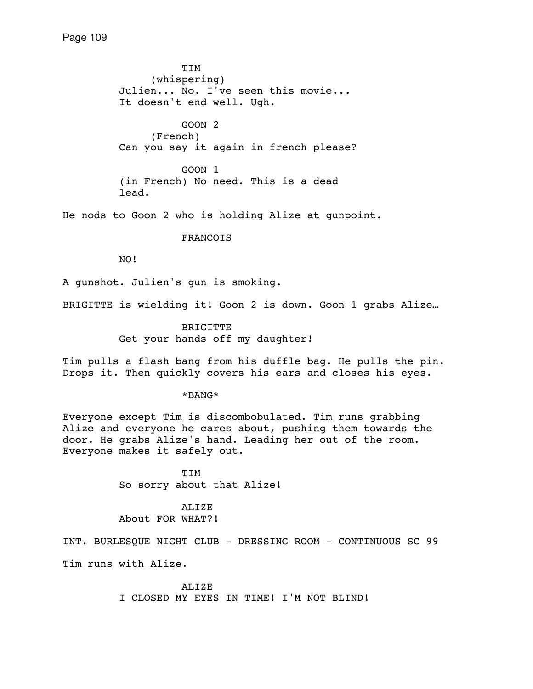TIM (whispering) Julien... No. I've seen this movie... It doesn't end well. Ugh.

 GOON 2 (French) Can you say it again in french please?

 GOON 1 (in French) No need. This is a dead lead.

He nods to Goon 2 who is holding Alize at gunpoint.

FRANCOIS

NO!

A gunshot. Julien's gun is smoking.

BRIGITTE is wielding it! Goon 2 is down. Goon 1 grabs Alize…

 BRIGITTE Get your hands off my daughter!

Tim pulls a flash bang from his duffle bag. He pulls the pin. Drops it. Then quickly covers his ears and closes his eyes.

\*BANG\*

Everyone except Tim is discombobulated. Tim runs grabbing Alize and everyone he cares about, pushing them towards the door. He grabs Alize's hand. Leading her out of the room. Everyone makes it safely out.

> TIM So sorry about that Alize!

# ALIZE About FOR WHAT?!

INT. BURLESQUE NIGHT CLUB - DRESSING ROOM - CONTINUOUS SC 99

Tim runs with Alize.

ALIZE I CLOSED MY EYES IN TIME! I'M NOT BLIND!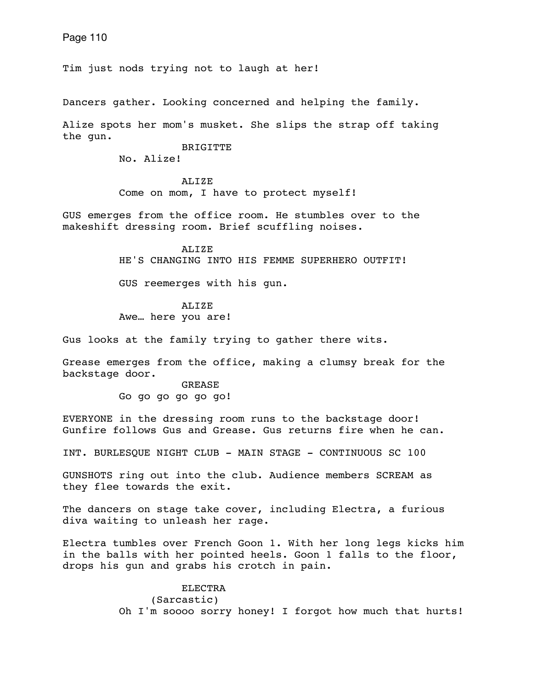Tim just nods trying not to laugh at her!

Dancers gather. Looking concerned and helping the family.

Alize spots her mom's musket. She slips the strap off taking the gun.

BRIGITTE

No. Alize!

 ALIZE Come on mom, I have to protect myself!

GUS emerges from the office room. He stumbles over to the makeshift dressing room. Brief scuffling noises.

> ALIZE HE'S CHANGING INTO HIS FEMME SUPERHERO OUTFIT!

GUS reemerges with his gun.

 ALIZE Awe… here you are!

Gus looks at the family trying to gather there wits.

Grease emerges from the office, making a clumsy break for the backstage door.

> GREASE Go go go go go go!

EVERYONE in the dressing room runs to the backstage door! Gunfire follows Gus and Grease. Gus returns fire when he can.

INT. BURLESQUE NIGHT CLUB - MAIN STAGE - CONTINUOUS SC 100

GUNSHOTS ring out into the club. Audience members SCREAM as they flee towards the exit.

The dancers on stage take cover, including Electra, a furious diva waiting to unleash her rage.

Electra tumbles over French Goon 1. With her long legs kicks him in the balls with her pointed heels. Goon 1 falls to the floor, drops his gun and grabs his crotch in pain.

> ELECTRA (Sarcastic) Oh I'm soooo sorry honey! I forgot how much that hurts!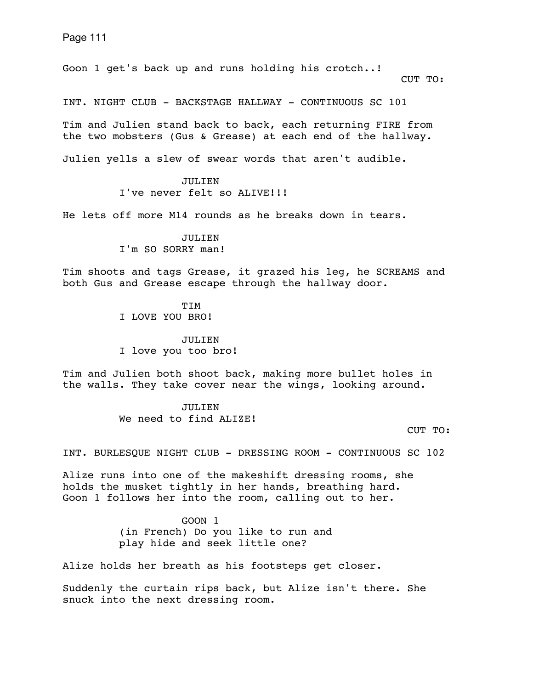Goon 1 get's back up and runs holding his crotch..! CUT TO:

INT. NIGHT CLUB - BACKSTAGE HALLWAY - CONTINUOUS SC 101

Tim and Julien stand back to back, each returning FIRE from the two mobsters (Gus & Grease) at each end of the hallway.

Julien yells a slew of swear words that aren't audible.

 JULIEN I've never felt so ALIVE!!!

He lets off more M14 rounds as he breaks down in tears.

 JULIEN I'm SO SORRY man!

Tim shoots and tags Grease, it grazed his leg, he SCREAMS and both Gus and Grease escape through the hallway door.

> TIM I LOVE YOU BRO!

 JULIEN I love you too bro!

Tim and Julien both shoot back, making more bullet holes in the walls. They take cover near the wings, looking around.

> JULIEN. We need to find ALIZE!

> > CUT TO:

INT. BURLESQUE NIGHT CLUB - DRESSING ROOM - CONTINUOUS SC 102

Alize runs into one of the makeshift dressing rooms, she holds the musket tightly in her hands, breathing hard. Goon 1 follows her into the room, calling out to her.

> GOON 1 (in French) Do you like to run and play hide and seek little one?

Alize holds her breath as his footsteps get closer.

Suddenly the curtain rips back, but Alize isn't there. She snuck into the next dressing room.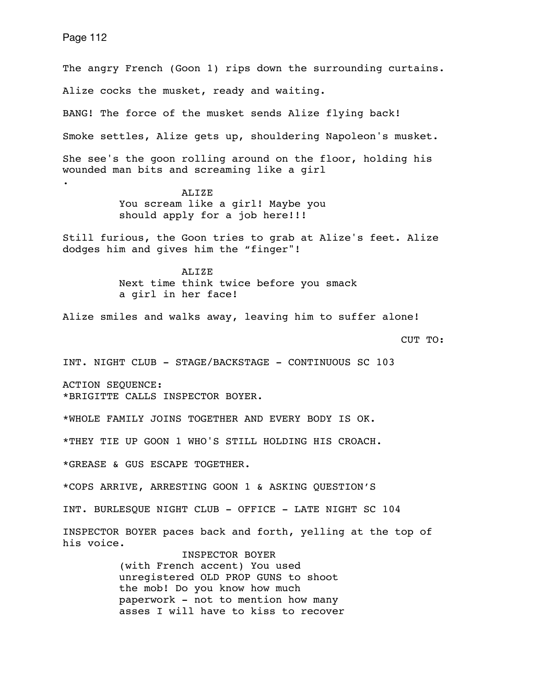The angry French (Goon 1) rips down the surrounding curtains. Alize cocks the musket, ready and waiting. BANG! The force of the musket sends Alize flying back! Smoke settles, Alize gets up, shouldering Napoleon's musket. She see's the goon rolling around on the floor, holding his wounded man bits and screaming like a girl . ALIZE You scream like a girl! Maybe you should apply for a job here!!! Still furious, the Goon tries to grab at Alize's feet. Alize dodges him and gives him the "finger"! ALIZE Next time think twice before you smack a girl in her face! Alize smiles and walks away, leaving him to suffer alone! CUT TO: INT. NIGHT CLUB - STAGE/BACKSTAGE - CONTINUOUS SC 103 ACTION SEQUENCE: \*BRIGITTE CALLS INSPECTOR BOYER. \*WHOLE FAMILY JOINS TOGETHER AND EVERY BODY IS OK. \*THEY TIE UP GOON 1 WHO'S STILL HOLDING HIS CROACH.

\*GREASE & GUS ESCAPE TOGETHER.

\*COPS ARRIVE, ARRESTING GOON 1 & ASKING QUESTION'S

INT. BURLESQUE NIGHT CLUB - OFFICE - LATE NIGHT SC 104

INSPECTOR BOYER paces back and forth, yelling at the top of his voice.

> INSPECTOR BOYER (with French accent) You used unregistered OLD PROP GUNS to shoot the mob! Do you know how much paperwork - not to mention how many asses I will have to kiss to recover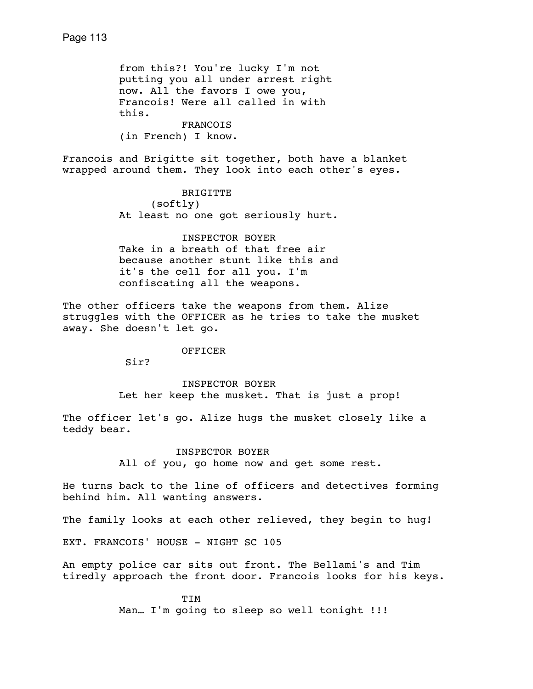from this?! You're lucky I'm not putting you all under arrest right now. All the favors I owe you, Francois! Were all called in with this. FRANCOIS (in French) I know.

Francois and Brigitte sit together, both have a blanket wrapped around them. They look into each other's eyes.

> BRIGITTE (softly) At least no one got seriously hurt.

> INSPECTOR BOYER Take in a breath of that free air because another stunt like this and it's the cell for all you. I'm confiscating all the weapons.

The other officers take the weapons from them. Alize struggles with the OFFICER as he tries to take the musket away. She doesn't let go.

OFFICER

Sir?

 INSPECTOR BOYER Let her keep the musket. That is just a prop!

The officer let's go. Alize hugs the musket closely like a teddy bear.

> INSPECTOR BOYER All of you, go home now and get some rest.

He turns back to the line of officers and detectives forming behind him. All wanting answers.

The family looks at each other relieved, they begin to hug!

EXT. FRANCOIS' HOUSE - NIGHT SC 105

An empty police car sits out front. The Bellami's and Tim tiredly approach the front door. Francois looks for his keys.

> TIM Man... I'm going to sleep so well tonight !!!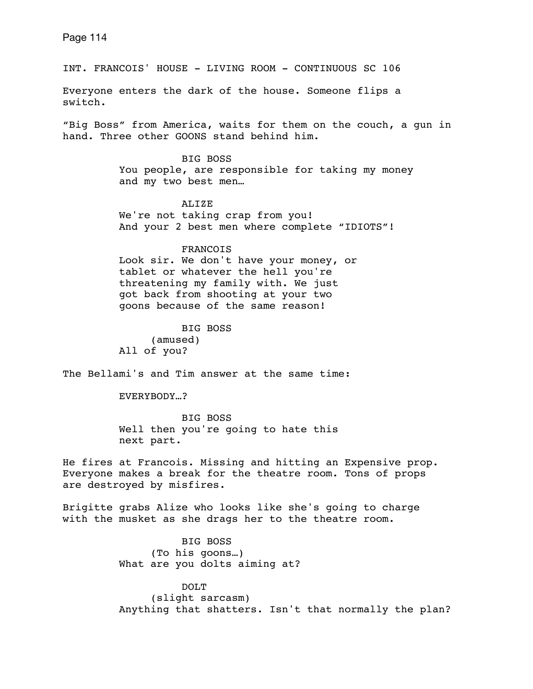INT. FRANCOIS' HOUSE - LIVING ROOM - CONTINUOUS SC 106

Everyone enters the dark of the house. Someone flips a switch.

"Big Boss" from America, waits for them on the couch, a gun in hand. Three other GOONS stand behind him.

> BIG BOSS You people, are responsible for taking my money and my two best men…

 ALIZE We're not taking crap from you! And your 2 best men where complete "IDIOTS"!

#### FRANCOIS

 Look sir. We don't have your money, or tablet or whatever the hell you're threatening my family with. We just got back from shooting at your two goons because of the same reason!

 BIG BOSS (amused) All of you?

The Bellami's and Tim answer at the same time:

EVERYBODY…?

 BIG BOSS Well then you're going to hate this next part.

He fires at Francois. Missing and hitting an Expensive prop. Everyone makes a break for the theatre room. Tons of props are destroyed by misfires.

Brigitte grabs Alize who looks like she's going to charge with the musket as she drags her to the theatre room.

> BIG BOSS (To his goons…) What are you dolts aiming at?

 DOLT (slight sarcasm) Anything that shatters. Isn't that normally the plan?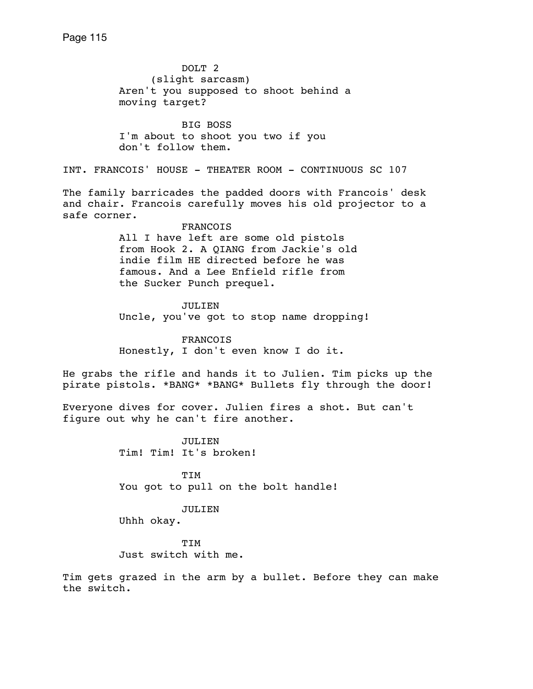DOLT 2 (slight sarcasm) Aren't you supposed to shoot behind a moving target? BIG BOSS I'm about to shoot you two if you don't follow them. INT. FRANCOIS' HOUSE - THEATER ROOM - CONTINUOUS SC 107 The family barricades the padded doors with Francois' desk and chair. Francois carefully moves his old projector to a safe corner. FRANCOIS All I have left are some old pistols from Hook 2. A QIANG from Jackie's old indie film HE directed before he was famous. And a Lee Enfield rifle from the Sucker Punch prequel. JULIEN Uncle, you've got to stop name dropping! FRANCOIS Honestly, I don't even know I do it. He grabs the rifle and hands it to Julien. Tim picks up the pirate pistols. \*BANG\* \*BANG\* Bullets fly through the door! Everyone dives for cover. Julien fires a shot. But can't figure out why he can't fire another. JULIEN Tim! Tim! It's broken! TIM You got to pull on the bolt handle! JULIEN Uhhh okay.

 TIM Just switch with me.

Tim gets grazed in the arm by a bullet. Before they can make the switch.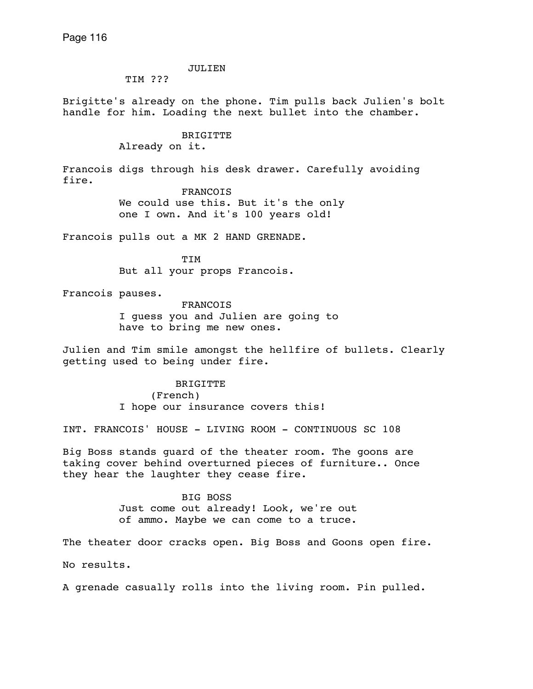### JULIEN

TIM ???

Brigitte's already on the phone. Tim pulls back Julien's bolt handle for him. Loading the next bullet into the chamber.

## BRIGITTE Already on it.

Francois digs through his desk drawer. Carefully avoiding fire.

> FRANCOIS We could use this. But it's the only one I own. And it's 100 years old!

Francois pulls out a MK 2 HAND GRENADE.

 TIM But all your props Francois.

Francois pauses.

 FRANCOIS I guess you and Julien are going to have to bring me new ones.

Julien and Tim smile amongst the hellfire of bullets. Clearly getting used to being under fire.

> BRIGITTE (French) I hope our insurance covers this!

INT. FRANCOIS' HOUSE - LIVING ROOM - CONTINUOUS SC 108

Big Boss stands guard of the theater room. The goons are taking cover behind overturned pieces of furniture.. Once they hear the laughter they cease fire.

### BIG BOSS

 Just come out already! Look, we're out of ammo. Maybe we can come to a truce.

The theater door cracks open. Big Boss and Goons open fire.

No results.

A grenade casually rolls into the living room. Pin pulled.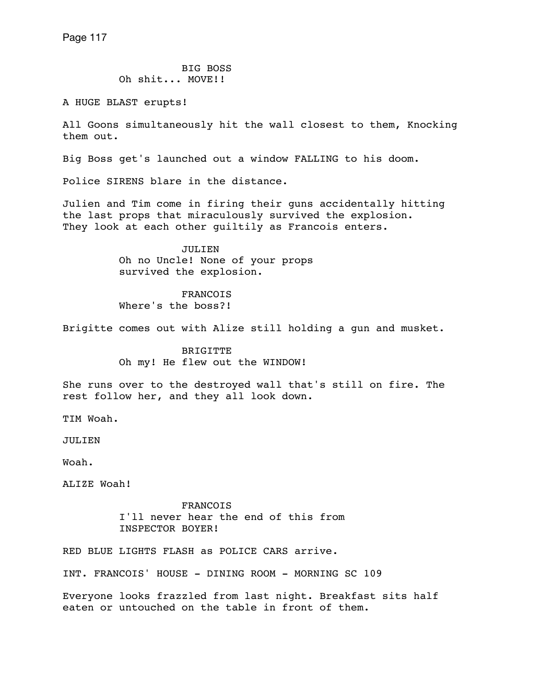BIG BOSS Oh shit... MOVE!!

A HUGE BLAST erupts!

All Goons simultaneously hit the wall closest to them, Knocking them out.

Big Boss get's launched out a window FALLING to his doom.

Police SIRENS blare in the distance.

Julien and Tim come in firing their guns accidentally hitting the last props that miraculously survived the explosion. They look at each other quiltily as Francois enters.

> JULIEN Oh no Uncle! None of your props survived the explosion.

**FRANCOIS** Where's the boss?!

Brigitte comes out with Alize still holding a gun and musket.

 BRIGITTE Oh my! He flew out the WINDOW!

She runs over to the destroyed wall that's still on fire. The rest follow her, and they all look down.

TIM Woah.

JULIEN

Woah.

ALIZE Woah!

**FRANCOIS**  I'll never hear the end of this from INSPECTOR BOYER!

RED BLUE LIGHTS FLASH as POLICE CARS arrive.

INT. FRANCOIS' HOUSE - DINING ROOM - MORNING SC 109

Everyone looks frazzled from last night. Breakfast sits half eaten or untouched on the table in front of them.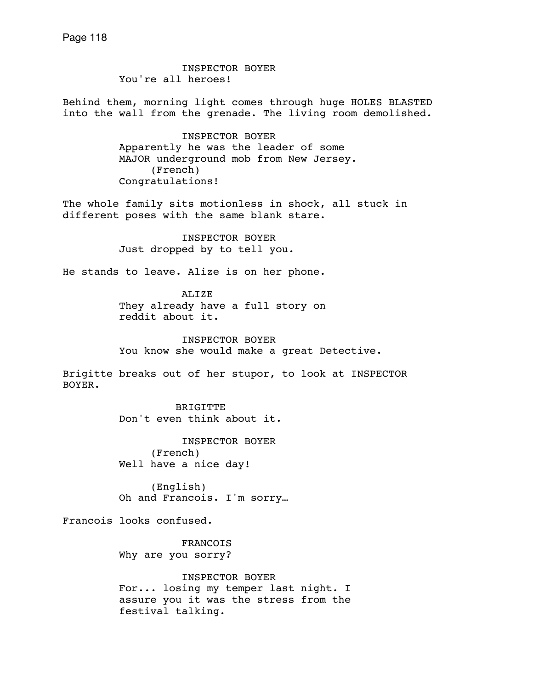INSPECTOR BOYER You're all heroes!

Behind them, morning light comes through huge HOLES BLASTED into the wall from the grenade. The living room demolished.

> INSPECTOR BOYER Apparently he was the leader of some MAJOR underground mob from New Jersey. (French) Congratulations!

The whole family sits motionless in shock, all stuck in different poses with the same blank stare.

> INSPECTOR BOYER Just dropped by to tell you.

He stands to leave. Alize is on her phone.

ALIZE They already have a full story on reddit about it.

 INSPECTOR BOYER You know she would make a great Detective.

Brigitte breaks out of her stupor, to look at INSPECTOR BOYER.

> **BRIGITTE** Don't even think about it.

 INSPECTOR BOYER (French) Well have a nice day!

 (English) Oh and Francois. I'm sorry…

Francois looks confused.

 FRANCOIS Why are you sorry?

 INSPECTOR BOYER For... losing my temper last night. I assure you it was the stress from the festival talking.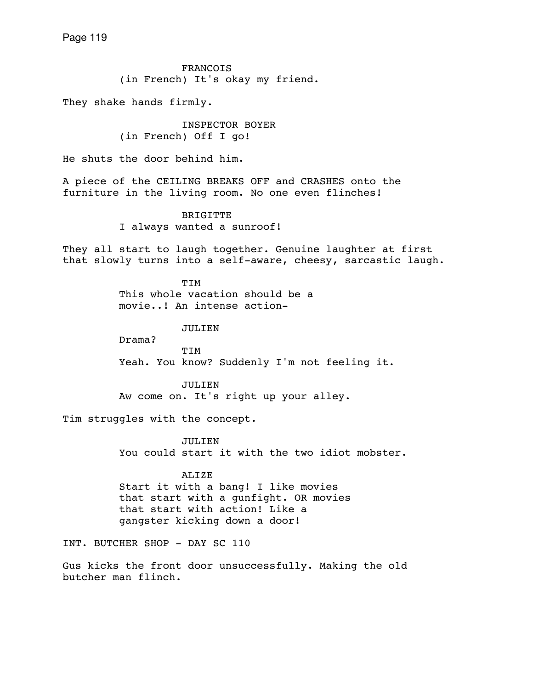FRANCOIS (in French) It's okay my friend.

They shake hands firmly.

 INSPECTOR BOYER (in French) Off I go!

He shuts the door behind him.

A piece of the CEILING BREAKS OFF and CRASHES onto the furniture in the living room. No one even flinches!

> BRIGITTE I always wanted a sunroof!

They all start to laugh together. Genuine laughter at first that slowly turns into a self-aware, cheesy, sarcastic laugh.

> TIM This whole vacation should be a movie..! An intense action-

> > JULIEN

 Drama? TIM Yeah. You know? Suddenly I'm not feeling it.

> JULIEN Aw come on. It's right up your alley.

Tim struggles with the concept.

 JULIEN You could start it with the two idiot mobster.

ALIZE

 Start it with a bang! I like movies that start with a gunfight. OR movies that start with action! Like a gangster kicking down a door!

INT. BUTCHER SHOP - DAY SC 110

Gus kicks the front door unsuccessfully. Making the old butcher man flinch.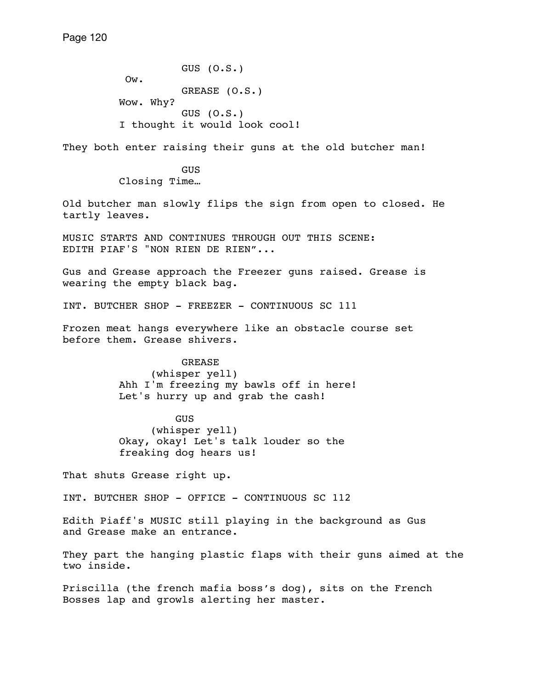GUS (O.S.) Ow. GREASE (O.S.) Wow. Why? GUS (O.S.) I thought it would look cool!

They both enter raising their guns at the old butcher man!

**GUS** 

Closing Time…

Old butcher man slowly flips the sign from open to closed. He tartly leaves.

MUSIC STARTS AND CONTINUES THROUGH OUT THIS SCENE: EDITH PIAF'S "NON RIEN DE RIEN"...

Gus and Grease approach the Freezer guns raised. Grease is wearing the empty black bag.

INT. BUTCHER SHOP - FREEZER - CONTINUOUS SC 111

Frozen meat hangs everywhere like an obstacle course set before them. Grease shivers.

> GREASE (whisper yell) Ahh I'm freezing my bawls off in here! Let's hurry up and grab the cash!

 GUS (whisper yell) Okay, okay! Let's talk louder so the freaking dog hears us!

That shuts Grease right up.

INT. BUTCHER SHOP - OFFICE - CONTINUOUS SC 112

Edith Piaff's MUSIC still playing in the background as Gus and Grease make an entrance.

They part the hanging plastic flaps with their guns aimed at the two inside.

Priscilla (the french mafia boss's dog), sits on the French Bosses lap and growls alerting her master.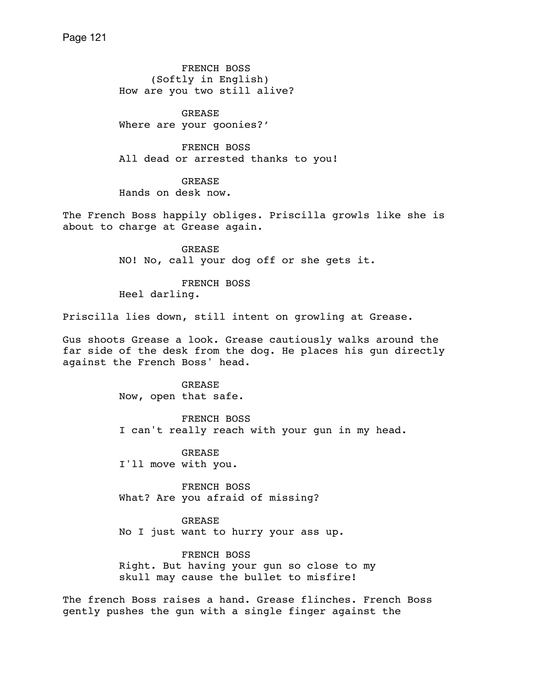FRENCH BOSS (Softly in English) How are you two still alive?

 GREASE Where are your goonies?'

 FRENCH BOSS All dead or arrested thanks to you!

 GREASE Hands on desk now.

The French Boss happily obliges. Priscilla growls like she is about to charge at Grease again.

> GREASE NO! No, call your dog off or she gets it.

 FRENCH BOSS Heel darling.

Priscilla lies down, still intent on growling at Grease.

Gus shoots Grease a look. Grease cautiously walks around the far side of the desk from the dog. He places his gun directly against the French Boss' head.

> GREASE Now, open that safe.

 FRENCH BOSS I can't really reach with your gun in my head.

 GREASE I'll move with you.

 FRENCH BOSS What? Are you afraid of missing?

 GREASE No I just want to hurry your ass up.

 FRENCH BOSS Right. But having your gun so close to my skull may cause the bullet to misfire!

The french Boss raises a hand. Grease flinches. French Boss gently pushes the gun with a single finger against the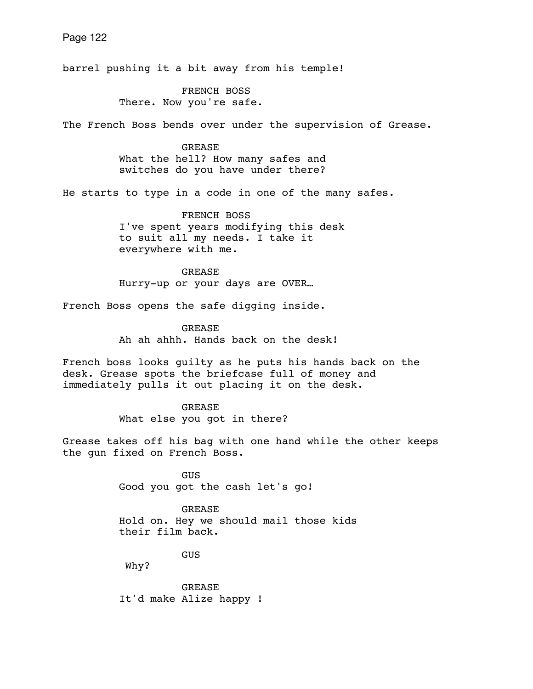Page 122 barrel pushing it a bit away from his temple! FRENCH BOSS There. Now you're safe. The French Boss bends over under the supervision of Grease. GREASE What the hell? How many safes and switches do you have under there? He starts to type in a code in one of the many safes. FRENCH BOSS I've spent years modifying this desk to suit all my needs. I take it everywhere with me. GREASE Hurry-up or your days are OVER… French Boss opens the safe digging inside. **GREASE**  Ah ah ahhh. Hands back on the desk! French boss looks guilty as he puts his hands back on the desk. Grease spots the briefcase full of money and immediately pulls it out placing it on the desk. GREASE What else you got in there? Grease takes off his bag with one hand while the other keeps the gun fixed on French Boss.

> GUS Good you got the cash let's go!

 GREASE Hold on. Hey we should mail those kids their film back.

GUS

Why?

 GREASE It'd make Alize happy !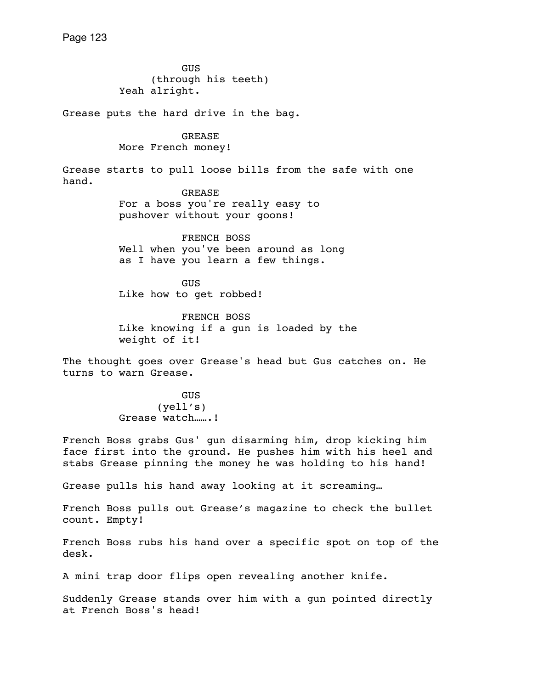GUS (through his teeth) Yeah alright.

Grease puts the hard drive in the bag.

 GREASE More French money!

Grease starts to pull loose bills from the safe with one hand. GREASE

 For a boss you're really easy to pushover without your goons!

 FRENCH BOSS Well when you've been around as long as I have you learn a few things.

 GUS Like how to get robbed!

 FRENCH BOSS Like knowing if a gun is loaded by the weight of it!

The thought goes over Grease's head but Gus catches on. He turns to warn Grease.

> GUS (yell's) Grease watch…….!

French Boss grabs Gus' gun disarming him, drop kicking him face first into the ground. He pushes him with his heel and stabs Grease pinning the money he was holding to his hand!

Grease pulls his hand away looking at it screaming…

French Boss pulls out Grease's magazine to check the bullet count. Empty!

French Boss rubs his hand over a specific spot on top of the desk.

A mini trap door flips open revealing another knife.

Suddenly Grease stands over him with a gun pointed directly at French Boss's head!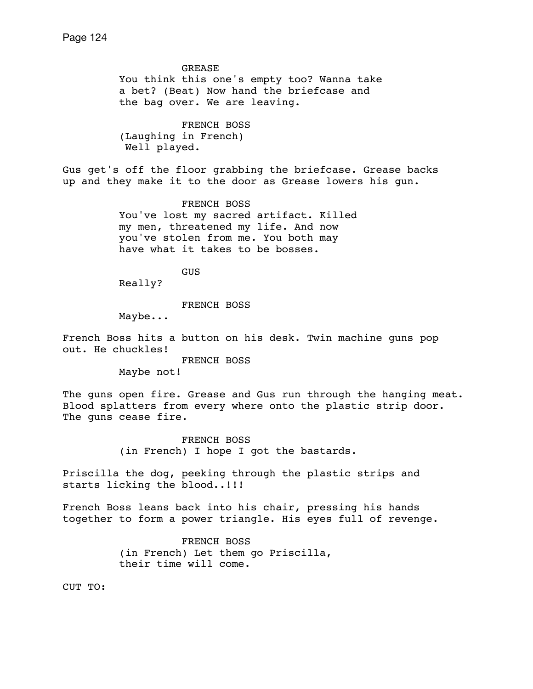GREASE You think this one's empty too? Wanna take a bet? (Beat) Now hand the briefcase and the bag over. We are leaving. FRENCH BOSS (Laughing in French) Well played. Gus get's off the floor grabbing the briefcase. Grease backs up and they make it to the door as Grease lowers his gun. FRENCH BOSS You've lost my sacred artifact. Killed my men, threatened my life. And now you've stolen from me. You both may have what it takes to be bosses. **GUS**  Really? FRENCH BOSS Maybe... French Boss hits a button on his desk. Twin machine guns pop out. He chuckles! FRENCH BOSS Maybe not! The guns open fire. Grease and Gus run through the hanging meat. Blood splatters from every where onto the plastic strip door. The guns cease fire. FRENCH BOSS (in French) I hope I got the bastards. Priscilla the dog, peeking through the plastic strips and starts licking the blood..!!! French Boss leans back into his chair, pressing his hands together to form a power triangle. His eyes full of revenge. FRENCH BOSS (in French) Let them go Priscilla, their time will come.

CUT TO: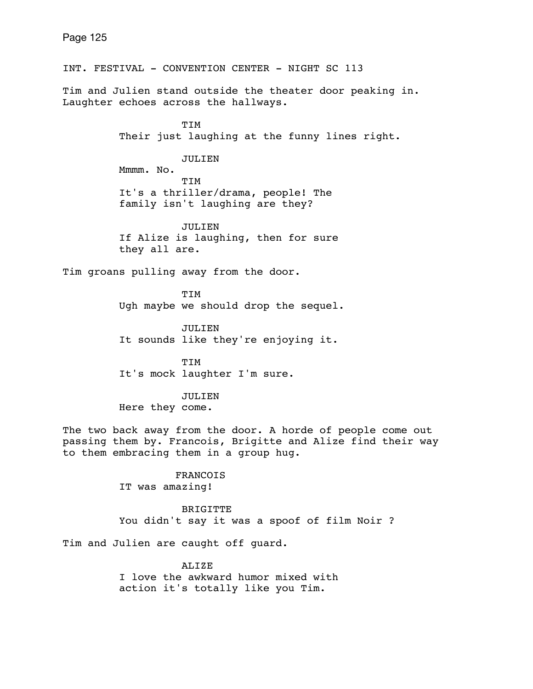INT. FESTIVAL - CONVENTION CENTER - NIGHT SC 113 Tim and Julien stand outside the theater door peaking in. Laughter echoes across the hallways. TIM Their just laughing at the funny lines right. JULIEN Mmmm. No. TIM It's a thriller/drama, people! The family isn't laughing are they? JULIEN If Alize is laughing, then for sure they all are. Tim groans pulling away from the door. **TTM**  Ugh maybe we should drop the sequel. JULIEN It sounds like they're enjoying it. TIM It's mock laughter I'm sure. JULIEN Here they come. The two back away from the door. A horde of people come out passing them by. Francois, Brigitte and Alize find their way to them embracing them in a group hug. FRANCOIS IT was amazing! BRIGITTE You didn't say it was a spoof of film Noir ?

Tim and Julien are caught off guard.

ALIZE I love the awkward humor mixed with action it's totally like you Tim.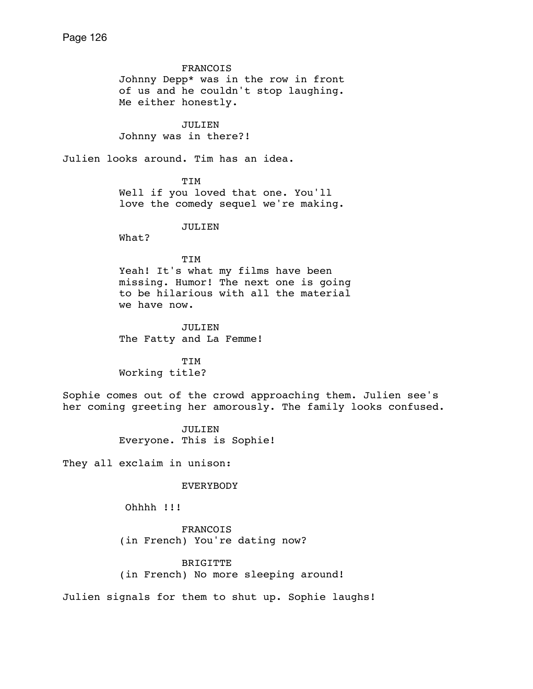FRANCOIS Johnny Depp\* was in the row in front of us and he couldn't stop laughing. Me either honestly. JULIEN Johnny was in there?! Julien looks around. Tim has an idea. TIM Well if you loved that one. You'll love the comedy sequel we're making. JULIEN What? TIM Yeah! It's what my films have been missing. Humor! The next one is going to be hilarious with all the material we have now. JULIEN The Fatty and La Femme! TIM Working title? Sophie comes out of the crowd approaching them. Julien see's her coming greeting her amorously. The family looks confused. JULIEN Everyone. This is Sophie! They all exclaim in unison: EVERYBODY Ohhhh !!! FRANCOIS (in French) You're dating now? BRIGITTE

(in French) No more sleeping around!

Julien signals for them to shut up. Sophie laughs!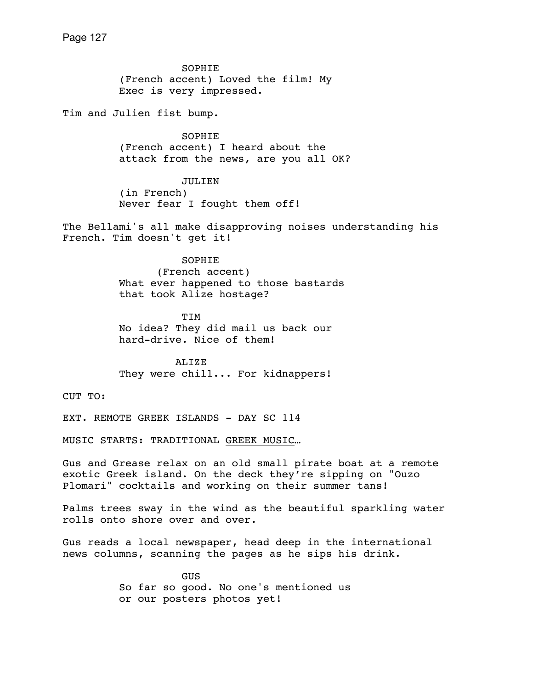SOPHIE (French accent) Loved the film! My Exec is very impressed.

Tim and Julien fist bump.

 SOPHIE (French accent) I heard about the attack from the news, are you all OK?

 JULIEN (in French) Never fear I fought them off!

The Bellami's all make disapproving noises understanding his French. Tim doesn't get it!

> SOPHIE (French accent) What ever happened to those bastards that took Alize hostage?

 TIM No idea? They did mail us back our hard-drive. Nice of them!

 ALIZE They were chill... For kidnappers!

CUT TO:

EXT. REMOTE GREEK ISLANDS - DAY SC 114

MUSIC STARTS: TRADITIONAL [GREEK MUSIC](https://www.youtube.com/watch?v=FKydGnOHJzQ)…

Gus and Grease relax on an old small pirate boat at a remote exotic Greek island. On the deck they're sipping on "Ouzo Plomari" cocktails and working on their summer tans!

Palms trees sway in the wind as the beautiful sparkling water rolls onto shore over and over.

Gus reads a local newspaper, head deep in the international news columns, scanning the pages as he sips his drink.

> **GUS**  So far so good. No one's mentioned us or our posters photos yet!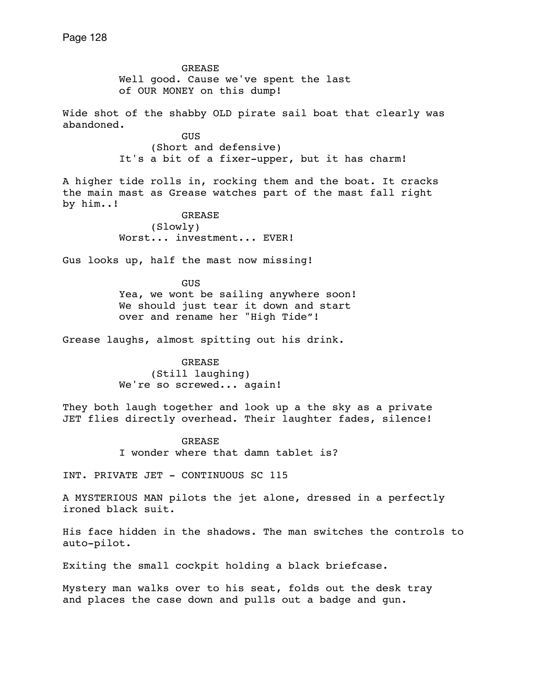GREASE Well good. Cause we've spent the last of OUR MONEY on this dump! Wide shot of the shabby OLD pirate sail boat that clearly was abandoned. **GUS GUS**  (Short and defensive) It's a bit of a fixer-upper, but it has charm! A higher tide rolls in, rocking them and the boat. It cracks the main mast as Grease watches part of the mast fall right by him..! GREASE (Slowly) Worst... investment... EVER! Gus looks up, half the mast now missing! GUS Yea, we wont be sailing anywhere soon! We should just tear it down and start over and rename her "High Tide"! Grease laughs, almost spitting out his drink. GREASE (Still laughing) We're so screwed... again! They both laugh together and look up a the sky as a private JET flies directly overhead. Their laughter fades, silence! GREASE I wonder where that damn tablet is? INT. PRIVATE JET - CONTINUOUS SC 115 A MYSTERIOUS MAN pilots the jet alone, dressed in a perfectly ironed black suit. His face hidden in the shadows. The man switches the controls to auto-pilot. Exiting the small cockpit holding a black briefcase.

Mystery man walks over to his seat, folds out the desk tray and places the case down and pulls out a badge and gun.